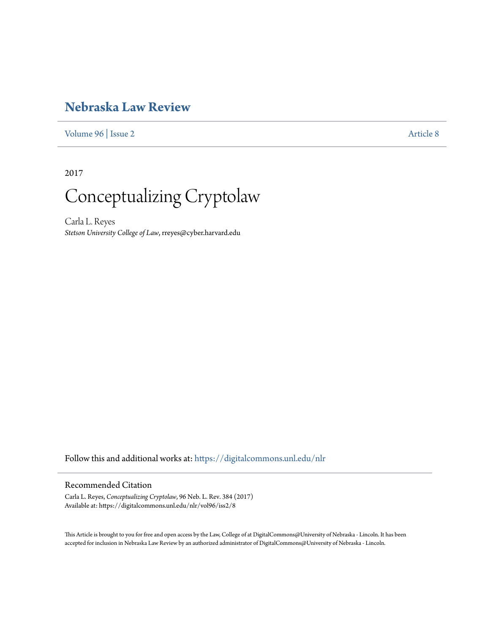# **[Nebraska Law Review](https://digitalcommons.unl.edu/nlr?utm_source=digitalcommons.unl.edu%2Fnlr%2Fvol96%2Fiss2%2F8&utm_medium=PDF&utm_campaign=PDFCoverPages)**

[Volume 96](https://digitalcommons.unl.edu/nlr/vol96?utm_source=digitalcommons.unl.edu%2Fnlr%2Fvol96%2Fiss2%2F8&utm_medium=PDF&utm_campaign=PDFCoverPages) | [Issue 2](https://digitalcommons.unl.edu/nlr/vol96/iss2?utm_source=digitalcommons.unl.edu%2Fnlr%2Fvol96%2Fiss2%2F8&utm_medium=PDF&utm_campaign=PDFCoverPages) [Article 8](https://digitalcommons.unl.edu/nlr/vol96/iss2/8?utm_source=digitalcommons.unl.edu%2Fnlr%2Fvol96%2Fiss2%2F8&utm_medium=PDF&utm_campaign=PDFCoverPages)

2017



Carla L. Reyes *Stetson University College of Law*, rreyes@cyber.harvard.edu

Follow this and additional works at: [https://digitalcommons.unl.edu/nlr](https://digitalcommons.unl.edu/nlr?utm_source=digitalcommons.unl.edu%2Fnlr%2Fvol96%2Fiss2%2F8&utm_medium=PDF&utm_campaign=PDFCoverPages)

# Recommended Citation

Carla L. Reyes, *Conceptualizing Cryptolaw*, 96 Neb. L. Rev. 384 (2017) Available at: https://digitalcommons.unl.edu/nlr/vol96/iss2/8

This Article is brought to you for free and open access by the Law, College of at DigitalCommons@University of Nebraska - Lincoln. It has been accepted for inclusion in Nebraska Law Review by an authorized administrator of DigitalCommons@University of Nebraska - Lincoln.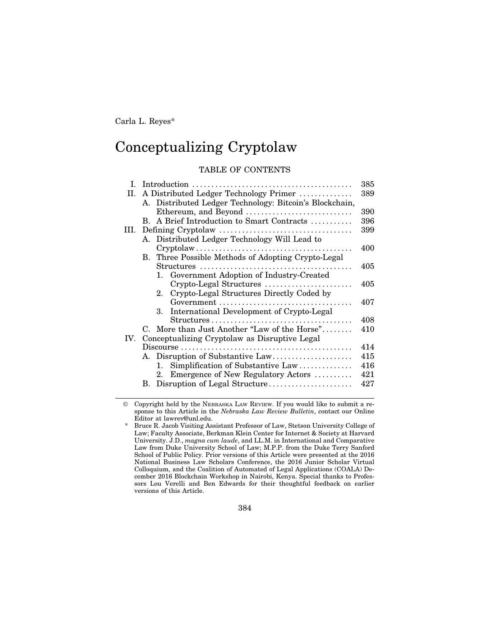Carla L. Reyes\*

# Conceptualizing Cryptolaw

## TABLE OF CONTENTS

| L    | 385                                                                                                    |     |  |
|------|--------------------------------------------------------------------------------------------------------|-----|--|
| II.  | A Distributed Ledger Technology Primer<br>389                                                          |     |  |
|      | A. Distributed Ledger Technology: Bitcoin's Blockchain,                                                |     |  |
|      | Ethereum, and Beyond                                                                                   | 390 |  |
|      | B. A Brief Introduction to Smart Contracts                                                             | 396 |  |
| III. |                                                                                                        | 399 |  |
|      | A. Distributed Ledger Technology Will Lead to                                                          |     |  |
|      | $Cryptolaw \ldots \ldots \ldots \ldots \ldots \ldots \ldots \ldots \ldots \ldots \ldots \ldots \ldots$ | 400 |  |
|      | B. Three Possible Methods of Adopting Crypto-Legal                                                     |     |  |
|      |                                                                                                        | 405 |  |
|      | 1. Government Adoption of Industry-Created                                                             |     |  |
|      | Crypto-Legal Structures                                                                                | 405 |  |
|      | 2. Crypto-Legal Structures Directly Coded by                                                           |     |  |
|      |                                                                                                        | 407 |  |
|      | International Development of Crypto-Legal<br>$\mathbf{R}$                                              |     |  |
|      |                                                                                                        | 408 |  |
|      | C. More than Just Another "Law of the Horse"                                                           | 410 |  |
|      | IV. Conceptualizing Cryptolaw as Disruptive Legal                                                      |     |  |
|      | $Discourse \ldots \ldots \ldots \ldots \ldots \ldots \ldots \ldots \ldots \ldots \ldots \ldots \ldots$ | 414 |  |
|      | A. Disruption of Substantive Law                                                                       | 415 |  |
|      | Simplification of Substantive Law<br>1.                                                                | 416 |  |
|      | 2. Emergence of New Regulatory Actors                                                                  | 421 |  |
|      |                                                                                                        | 427 |  |

© Copyright held by the NEBRASKA LAW REVIEW. If you would like to submit a response to this Article in the *Nebraska Law Review Bulletin*, contact our Online Editor at lawrev@unl.edu.

384

<sup>\*</sup> Bruce R. Jacob Visiting Assistant Professor of Law, Stetson University College of Law; Faculty Associate, Berkman Klein Center for Internet & Society at Harvard University. J.D., *magna cum laude*, and LL.M. in International and Comparative Law from Duke University School of Law; M.P.P. from the Duke Terry Sanford School of Public Policy. Prior versions of this Article were presented at the 2016 National Business Law Scholars Conference, the 2016 Junior Scholar Virtual Colloquium, and the Coalition of Automated of Legal Applications (COALA) December 2016 Blockchain Workshop in Nairobi, Kenya. Special thanks to Professors Lou Verelli and Ben Edwards for their thoughtful feedback on earlier versions of this Article.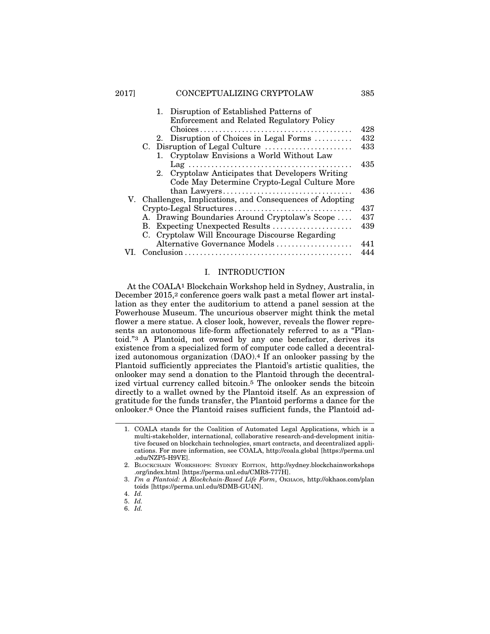|  | 1. Disruption of Established Patterns of<br>Enforcement and Related Regulatory Policy |     |
|--|---------------------------------------------------------------------------------------|-----|
|  |                                                                                       | 428 |
|  | 2. Disruption of Choices in Legal Forms                                               | 432 |
|  | C. Disruption of Legal Culture                                                        | 433 |
|  | 1. Cryptolaw Envisions a World Without Law                                            |     |
|  |                                                                                       | 435 |
|  | 2. Cryptolaw Anticipates that Developers Writing                                      |     |
|  | Code May Determine Crypto-Legal Culture More                                          |     |
|  |                                                                                       | 436 |
|  | V. Challenges, Implications, and Consequences of Adopting                             |     |
|  | Crypto-Legal Structures                                                               | 437 |
|  | A. Drawing Boundaries Around Cryptolaw's Scope                                        | 437 |
|  | B. Expecting Unexpected Results                                                       | 439 |
|  | C. Cryptolaw Will Encourage Discourse Regarding                                       |     |
|  | Alternative Governance Models                                                         | 441 |
|  |                                                                                       |     |

## I. INTRODUCTION

At the COALA1 Blockchain Workshop held in Sydney, Australia, in December 2015,<sup>2</sup> conference goers walk past a metal flower art installation as they enter the auditorium to attend a panel session at the Powerhouse Museum. The uncurious observer might think the metal flower a mere statue. A closer look, however, reveals the flower represents an autonomous life-form affectionately referred to as a "Plantoid."3 A Plantoid, not owned by any one benefactor, derives its existence from a specialized form of computer code called a decentralized autonomous organization (DAO).<sup>4</sup> If an onlooker passing by the Plantoid sufficiently appreciates the Plantoid's artistic qualities, the onlooker may send a donation to the Plantoid through the decentralized virtual currency called bitcoin.5 The onlooker sends the bitcoin directly to a wallet owned by the Plantoid itself. As an expression of gratitude for the funds transfer, the Plantoid performs a dance for the onlooker.6 Once the Plantoid raises sufficient funds, the Plantoid ad-

<sup>1.</sup> COALA stands for the Coalition of Automated Legal Applications, which is a multi-stakeholder, international, collaborative research-and-development initiative focused on blockchain technologies, smart contracts, and decentralized applications. For more information, see COALA, http://coala.global [https://perma.unl .edu/NZP5-H9VE].

<sup>2.</sup> BLOCKCHAIN WORKSHOPS: SYDNEY EDITION, http://sydney.blockchainworkshops .org/index.html [https://perma.unl.edu/CMR8-777H].

<sup>3.</sup> I'm a Plantoid: A Blockchain-Based Life Form, OKHAOS, http://okhaos.com/plan toids [https://perma.unl.edu/8DMB-GU4N].

<sup>4.</sup> *Id.*

<sup>5.</sup> *Id.*

<sup>6.</sup> *Id.*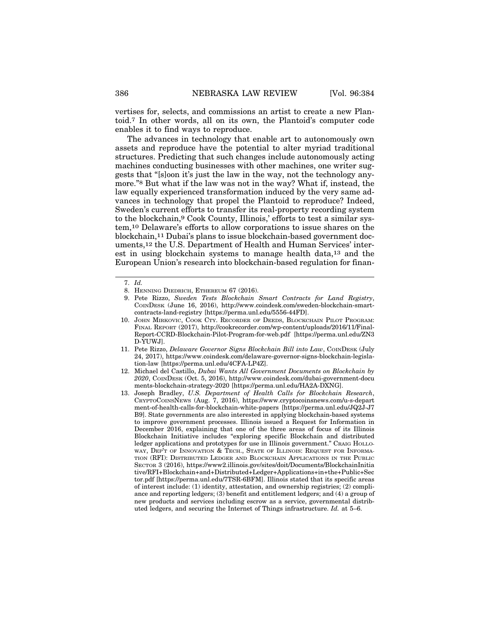vertises for, selects, and commissions an artist to create a new Plantoid.7 In other words, all on its own, the Plantoid's computer code enables it to find ways to reproduce.

The advances in technology that enable art to autonomously own assets and reproduce have the potential to alter myriad traditional structures. Predicting that such changes include autonomously acting machines conducting businesses with other machines, one writer suggests that "[s]oon it's just the law in the way, not the technology anymore."8 But what if the law was not in the way? What if, instead, the law equally experienced transformation induced by the very same advances in technology that propel the Plantoid to reproduce? Indeed, Sweden's current efforts to transfer its real-property recording system to the blockchain,9 Cook County, Illinois,' efforts to test a similar system,10 Delaware's efforts to allow corporations to issue shares on the blockchain,11 Dubai's plans to issue blockchain-based government documents,12 the U.S. Department of Health and Human Services' interest in using blockchain systems to manage health data,13 and the European Union's research into blockchain-based regulation for finan-

<sup>7.</sup> *Id.*

<sup>8.</sup> HENNING DIEDRICH, ETHEREUM 67 (2016).

<sup>9.</sup> Pete Rizzo, *Sweden Tests Blockchain Smart Contracts for Land Registry*, COINDESK (June 16, 2016), http://www.coindesk.com/sweden-blockchain-smartcontracts-land-registry [https://perma.unl.edu/5556-44FD].

<sup>10.</sup> JOHN MIRKOVIC, COOK CTY. RECORDER OF DEEDS, BLOCKCHAIN PILOT PROGRAM: FINAL REPORT (2017), http://cookrecorder.com/wp-content/uploads/2016/11/Final-Report-CCRD-Blockchain-Pilot-Program-for-web.pdf [https://perma.unl.edu/ZN3 D-YUWJ].

<sup>11.</sup> Pete Rizzo, *Delaware Governor Signs Blockchain Bill into Law*, COINDESK (July 24, 2017), https://www.coindesk.com/delaware-governor-signs-blockchain-legislation-law [https://perma.unl.edu/4CFA-LP4Z].

<sup>12.</sup> Michael del Castillo, *Dubai Wants All Government Documents on Blockchain by 2020*, COINDESK (Oct. 5, 2016), http://www.coindesk.com/dubai-government-docu ments-blockchain-strategy-2020 [https://perma.unl.edu/HA2A-DXNG].

<sup>13.</sup> Joseph Bradley, *U.S. Department of Health Calls for Blockchain Research*, CRYPTOCOINSNEWS (Aug. 7, 2016), https://www.cryptocoinsnews.com/u-s-depart ment-of-health-calls-for-blockchain-white-papers [https://perma.unl.edu/JQ2J-J7 B9]. State governments are also interested in applying blockchain-based systems to improve government processes. Illinois issued a Request for Information in December 2016, explaining that one of the three areas of focus of its Illinois Blockchain Initiative includes "exploring specific Blockchain and distributed ledger applications and prototypes for use in Illinois government." CRAIG HOLLO-WAY, DEP'T OF INNOVATION & TECH., STATE OF ILLINOIS: REQUEST FOR INFORMA-TION (RFI): DISTRIBUTED LEDGER AND BLOCKCHAIN APPLICATIONS IN THE PUBLIC SECTOR 3 (2016), https://www2.illinois.gov/sites/doit/Documents/BlockchainInitia tive/RFI+Blockchain+and+Distributed+Ledger+Applications+in+the+Public+Sec tor.pdf [https://perma.unl.edu/7TSR-6BFM]. Illinois stated that its specific areas of interest include: (1) identity, attestation, and ownership registries; (2) compliance and reporting ledgers; (3) benefit and entitlement ledgers; and (4) a group of new products and services including escrow as a service, governmental distributed ledgers, and securing the Internet of Things infrastructure. *Id.* at 5–6.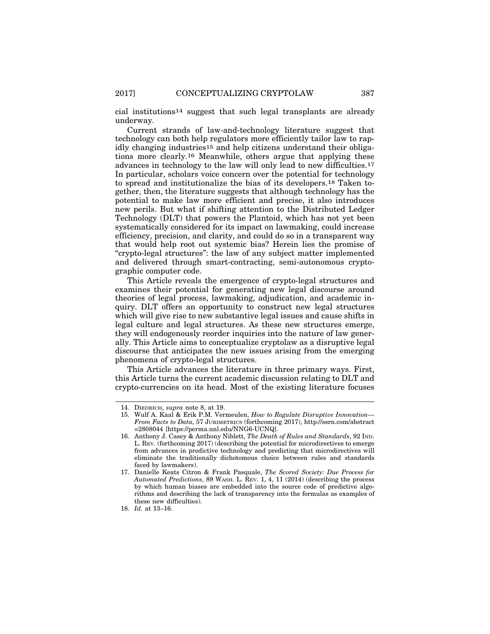cial institutions14 suggest that such legal transplants are already underway.

Current strands of law-and-technology literature suggest that technology can both help regulators more efficiently tailor law to rapidly changing industries15 and help citizens understand their obligations more clearly.16 Meanwhile, others argue that applying these advances in technology to the law will only lead to new difficulties.17 In particular, scholars voice concern over the potential for technology to spread and institutionalize the bias of its developers.18 Taken together, then, the literature suggests that although technology has the potential to make law more efficient and precise, it also introduces new perils. But what if shifting attention to the Distributed Ledger Technology (DLT) that powers the Plantoid, which has not yet been systematically considered for its impact on lawmaking, could increase efficiency, precision, and clarity, and could do so in a transparent way that would help root out systemic bias? Herein lies the promise of "crypto-legal structures": the law of any subject matter implemented and delivered through smart-contracting, semi-autonomous cryptographic computer code.

This Article reveals the emergence of crypto-legal structures and examines their potential for generating new legal discourse around theories of legal process, lawmaking, adjudication, and academic inquiry. DLT offers an opportunity to construct new legal structures which will give rise to new substantive legal issues and cause shifts in legal culture and legal structures. As these new structures emerge, they will endogenously reorder inquiries into the nature of law generally. This Article aims to conceptualize cryptolaw as a disruptive legal discourse that anticipates the new issues arising from the emerging phenomena of crypto-legal structures.

This Article advances the literature in three primary ways. First, this Article turns the current academic discussion relating to DLT and crypto-currencies on its head. Most of the existing literature focuses

<sup>14.</sup> DIEDRICH, *supra* note 8, at 19.

<sup>15.</sup> Wulf A. Kaal & Erik P.M. Vermeulen, *How to Regulate Disruptive Innovation— From Facts to Data*, 57 JURIMETRICS (forthcoming 2017), http://ssrn.com/abstract =2808044 [https://perma.unl.edu/NNG6-UCNQ].

<sup>16.</sup> Anthony J. Casey & Anthony Niblett, *The Death of Rules and Standards*, 92 IND. L. REV. (forthcoming 2017) (describing the potential for microdirectives to emerge from advances in predictive technology and predicting that microdirectives will eliminate the traditionally dichotomous choice between rules and standards faced by lawmakers).

<sup>17.</sup> Danielle Keats Citron & Frank Pasquale, *The Scored Society: Due Process for Automated Predictions*, 89 WASH. L. REV. 1, 4, 11 (2014) (describing the process by which human biases are embedded into the source code of predictive algorithms and describing the lack of transparency into the formulas as examples of these new difficulties).

<sup>18.</sup> *Id.* at 13–16.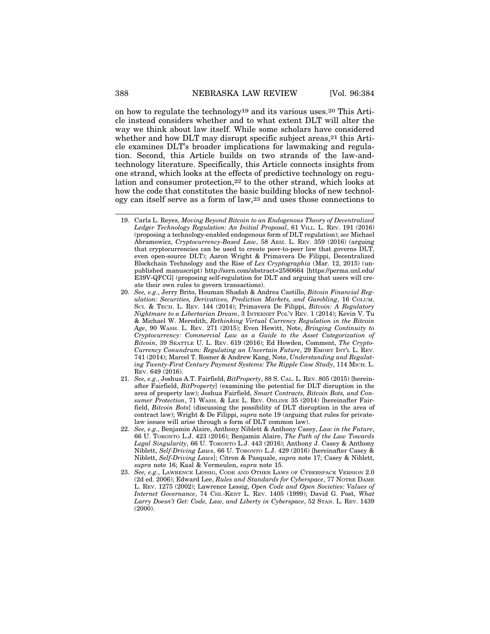on how to regulate the technology19 and its various uses.20 This Article instead considers whether and to what extent DLT will alter the way we think about law itself. While some scholars have considered whether and how DLT may disrupt specific subject areas,<sup>21</sup> this Article examines DLT's broader implications for lawmaking and regulation. Second, this Article builds on two strands of the law-andtechnology literature. Specifically, this Article connects insights from one strand, which looks at the effects of predictive technology on regulation and consumer protection,22 to the other strand, which looks at how the code that constitutes the basic building blocks of new technology can itself serve as a form of law,23 and uses those connections to

- 19. Carla L. Reyes, *Moving Beyond Bitcoin to an Endogenous Theory of Decentralized Ledger Technology Regulation: An Initial Proposal*, 61 VILL. L. REV. 191 (2016) (proposing a technology-enabled endogenous form of DLT regulation); *see* Michael Abramowicz, *Cryptocurrency-Based Law*, 58 ARIZ. L. REV. 359 (2016) (arguing that cryptocurrencies can be used to create peer-to-peer law that governs DLT, even open-source DLT); Aaron Wright & Primavera De Filippi, Decentralized Blockchain Technology and the Rise of *Lex Cryptographia* (Mar. 12, 2015) (unpublished manuscript) http://ssrn.com/abstract=2580664 [https://perma.unl.edu/ E39V-QFCG] (proposing self-regulation for DLT and arguing that users will create their own rules to govern transactions).
- 20. *See, e.g*., Jerry Brito, Houman Shadab & Andrea Castillo, *Bitcoin Financial Regulation: Securities, Derivatives, Prediction Markets, and Gambling*, 16 COLUM. SCI. & TECH. L. REV. 144 (2014); Primavera De Filippi, *Bitcoin: A Regulatory Nightmare to a Libertarian Dream*, 3 INTERNET POL'Y REV. 1 (2014); Kevin V. Tu & Michael W. Meredith, *Rethinking Virtual Currency Regulation in the Bitcoin Age*, 90 WASH. L. REV. 271 (2015); Even Hewitt, Note, *Bringing Continuity to Cryptocurrency: Commercial Law as a Guide to the Asset Categorization of Bitcoin*, 39 SEATTLE U. L. REV. 619 (2016); Ed Howden, Comment, *The Crypto-Currency Conundrum: Regulating an Uncertain Future*, 29 EMORY INT'L L. REV. 741 (2014); Marcel T. Rosner & Andrew Kang, Note, *Understanding and Regulating Twenty-First Century Payment Systems: The Ripple Case Study*, 114 MICH. L. REV. 649 (2016).
- 21. *See, e.g*., Joshua A.T. Fairfield, *BitProperty*, 88 S. CAL. L. REV. 805 (2015) [hereinafter Fairfield, *BitProperty*] (examining the potential for DLT disruption in the area of property law); Joshua Fairfield, *Smart Contracts, Bitcoin Bots, and Consumer Protection*, 71 WASH. & LEE L. REV. ONLINE 35 (2014) [hereinafter Fairfield, *Bitcoin Bots*] (discussing the possibility of DLT disruption in the area of contract law); Wright & De Filippi, *supra* note 19 (arguing that rules for privatelaw issues will arise through a form of DLT common law).
- 22. *See, e.g*., Benjamin Alaire, Anthony Niblett & Anthony Casey, *Law in the Future*, 66 U. TORONTO L.J. 423 (2016); Benjamin Alaire, *The Path of the Law Towards Legal Singularity*, 66 U. TORONTO L.J. 443 (2016); Anthony J. Casey & Anthony Niblett, *Self-Driving Laws*, 66 U. TORONTO L.J. 429 (2016) [hereinafter Casey & Niblett, *Self-Driving Laws*]; Citron & Pasquale, *supra* note 17; Casey & Niblett, *supra* note 16; Kaal & Vermeulen, *supra* note 15.
- 23. *See, e.g*., LAWRENCE LESSIG, CODE AND OTHER LAWS OF CYBERSPACE VERSION 2.0 (2d ed. 2006); Edward Lee, *Rules and Standards for Cyberspace*, 77 NOTRE DAME L. REV. 1275 (2002); Lawrence Lessig, *Open Code and Open Societies: Values of Internet Governance*, 74 CHI.-KENT L. REV. 1405 (1999); David G. Post, *What Larry Doesn't Get: Code, Law, and Liberty in Cyberspace*, 52 STAN. L. REV. 1439 (2000).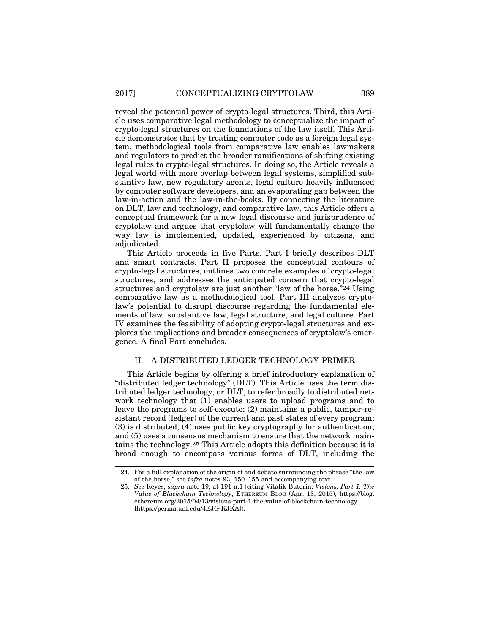reveal the potential power of crypto-legal structures. Third, this Article uses comparative legal methodology to conceptualize the impact of crypto-legal structures on the foundations of the law itself. This Article demonstrates that by treating computer code as a foreign legal system, methodological tools from comparative law enables lawmakers and regulators to predict the broader ramifications of shifting existing legal rules to crypto-legal structures. In doing so, the Article reveals a legal world with more overlap between legal systems, simplified substantive law, new regulatory agents, legal culture heavily influenced by computer software developers, and an evaporating gap between the law-in-action and the law-in-the-books. By connecting the literature on DLT, law and technology, and comparative law, this Article offers a conceptual framework for a new legal discourse and jurisprudence of cryptolaw and argues that cryptolaw will fundamentally change the way law is implemented, updated, experienced by citizens, and adjudicated.

This Article proceeds in five Parts. Part I briefly describes DLT and smart contracts. Part II proposes the conceptual contours of crypto-legal structures, outlines two concrete examples of crypto-legal structures, and addresses the anticipated concern that crypto-legal structures and cryptolaw are just another "law of the horse."24 Using comparative law as a methodological tool, Part III analyzes cryptolaw's potential to disrupt discourse regarding the fundamental elements of law: substantive law, legal structure, and legal culture. Part IV examines the feasibility of adopting crypto-legal structures and explores the implications and broader consequences of cryptolaw's emergence. A final Part concludes.

## II. A DISTRIBUTED LEDGER TECHNOLOGY PRIMER

This Article begins by offering a brief introductory explanation of "distributed ledger technology" (DLT). This Article uses the term distributed ledger technology, or DLT, to refer broadly to distributed network technology that (1) enables users to upload programs and to leave the programs to self-execute; (2) maintains a public, tamper-resistant record (ledger) of the current and past states of every program; (3) is distributed; (4) uses public key cryptography for authentication; and (5) uses a consensus mechanism to ensure that the network maintains the technology.25 This Article adopts this definition because it is broad enough to encompass various forms of DLT, including the

<sup>24.</sup> For a full explanation of the origin of and debate surrounding the phrase "the law of the horse," see *infra* notes 93, 150–155 and accompanying text.

<sup>25.</sup> *See* Reyes, *supra* note 19, at 191 n.1 (citing Vitalik Buterin, *Visions, Part 1: The Value of Blackchain Technology*, ETHEREUM BLOG (Apr. 13, 2015), https://blog. ethereum.org/2015/04/13/visions-part-1-the-value-of-blockchain-technology [https://perma.unl.edu/4EJG-KJKA]).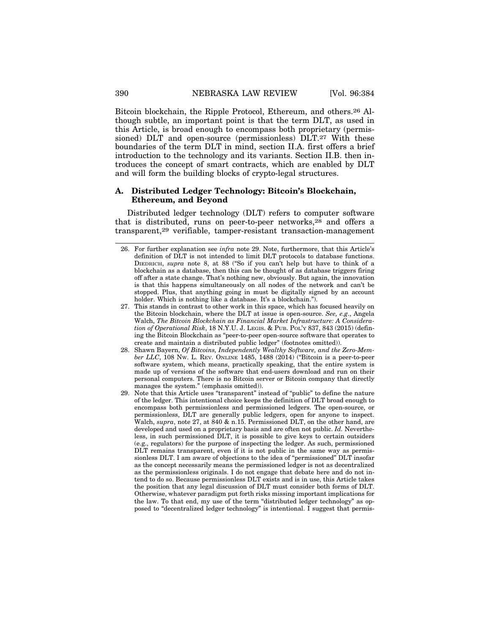Bitcoin blockchain, the Ripple Protocol, Ethereum, and others.26 Although subtle, an important point is that the term DLT, as used in this Article, is broad enough to encompass both proprietary (permissioned) DLT and open-source (permissionless) DLT.27 With these boundaries of the term DLT in mind, section II.A. first offers a brief introduction to the technology and its variants. Section II.B. then introduces the concept of smart contracts, which are enabled by DLT and will form the building blocks of crypto-legal structures.

## **A. Distributed Ledger Technology: Bitcoin's Blockchain, Ethereum, and Beyond**

Distributed ledger technology (DLT) refers to computer software that is distributed, runs on peer-to-peer networks, $28$  and offers a transparent,29 verifiable, tamper-resistant transaction-management

- 28. Shawn Bayern, *Of Bitcoins, Independently Wealthy Software, and the Zero-Member LLC*, 108 NW. L. REV. ONLINE 1485, 1488 (2014) ("Bitcoin is a peer-to-peer software system, which means, practically speaking, that the entire system is made up of versions of the software that end-users download and run on their personal computers. There is no Bitcoin server or Bitcoin company that directly manages the system." (emphasis omitted)).
- 29. Note that this Article uses "transparent" instead of "public" to define the nature of the ledger. This intentional choice keeps the definition of DLT broad enough to encompass both permissionless and permissioned ledgers. The open-source, or permissionless, DLT are generally public ledgers, open for anyone to inspect. Walch, *supra*, note 27, at 840 & n.15. Permissioned DLT, on the other hand, are developed and used on a proprietary basis and are often not public. *Id.* Nevertheless, in such permissioned DLT, it is possible to give keys to certain outsiders (e.g., regulators) for the purpose of inspecting the ledger. As such, permissioned DLT remains transparent, even if it is not public in the same way as permissionless DLT. I am aware of objections to the idea of "permissioned" DLT insofar as the concept necessarily means the permissioned ledger is not as decentralized as the permissionless originals. I do not engage that debate here and do not intend to do so. Because permissionless DLT exists and is in use, this Article takes the position that any legal discussion of DLT must consider both forms of DLT. Otherwise, whatever paradigm put forth risks missing important implications for the law. To that end, my use of the term "distributed ledger technology" as opposed to "decentralized ledger technology" is intentional. I suggest that permis-

<sup>26.</sup> For further explanation see *infra* note 29. Note, furthermore, that this Article's definition of DLT is not intended to limit DLT protocols to database functions. DIEDRICH, *supra* note 8, at 88 ("So if you can't help but have to think of a blockchain as a database, then this can be thought of as database triggers firing off after a state change. That's nothing new, obviously. But again, the innovation is that this happens simultaneously on all nodes of the network and can't be stopped. Plus, that anything going in must be digitally signed by an account holder. Which is nothing like a database. It's a blockchain.").

<sup>27.</sup> This stands in contrast to other work in this space, which has focused heavily on the Bitcoin blockchain, where the DLT at issue is open-source. *See, e.g*., Angela Walch, *The Bitcoin Blockchain as Financial Market Infrastructure: A Consideration of Operational Risk*, 18 N.Y.U. J. LEGIS. & PUB. POL'Y 837, 843 (2015) (defining the Bitcoin Blockchain as "peer-to-peer open-source software that operates to create and maintain a distributed public ledger" (footnotes omitted)).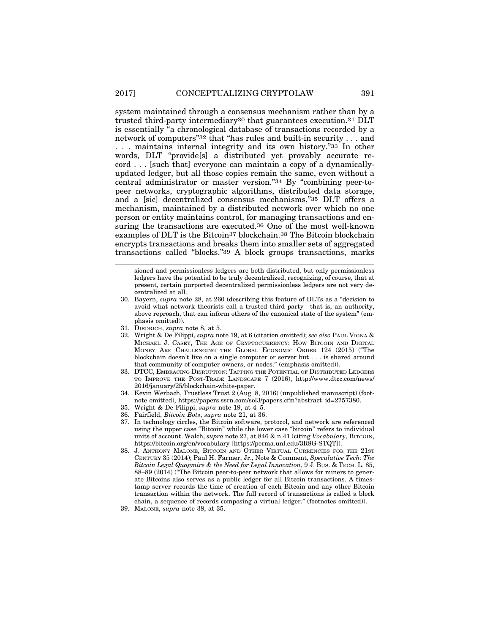system maintained through a consensus mechanism rather than by a trusted third-party intermediary30 that guarantees execution.31 DLT is essentially "a chronological database of transactions recorded by a network of computers"32 that "has rules and built-in security . . . and . . . maintains internal integrity and its own history."33 In other words, DLT "provide[s] a distributed yet provably accurate record . . . [such that] everyone can maintain a copy of a dynamicallyupdated ledger, but all those copies remain the same, even without a central administrator or master version."34 By "combining peer-topeer networks, cryptographic algorithms, distributed data storage, and a [sic] decentralized consensus mechanisms,"35 DLT offers a mechanism, maintained by a distributed network over which no one person or entity maintains control, for managing transactions and ensuring the transactions are executed.36 One of the most well-known examples of DLT is the Bitcoin<sup>37</sup> blockchain.<sup>38</sup> The Bitcoin blockchain encrypts transactions and breaks them into smaller sets of aggregated transactions called "blocks."39 A block groups transactions, marks

sioned and permissionless ledgers are both distributed, but only permissionless ledgers have the potential to be truly decentralized, recognizing, of course, that at present, certain purported decentralized permissionless ledgers are not very decentralized at all.

- 30. Bayern, *supra* note 28, at 260 (describing this feature of DLTs as a "decision to avoid what network theorists call a trusted third party—that is, an authority, above reproach, that can inform others of the canonical state of the system" (emphasis omitted)).
- 31. DIEDRICH, *supra* note 8, at 5.
- 32. Wright & De Filippi, *supra* note 19, at 6 (citation omitted); *see also* PAUL VIGNA & MICHAEL J. CASEY, THE AGE OF CRYPTOCURRENCY: HOW BITCOIN AND DIGITAL MONEY ARE CHALLENGING THE GLOBAL ECONOMIC ORDER 124 (2015) ("The blockchain doesn't live on a single computer or server but . . . is shared around that community of computer owners, or nodes." (emphasis omitted)).
- 33. DTCC, EMBRACING DISRUPTION: TAPPING THE POTENTIAL OF DISTRIBUTED LEDGERS TO IMPROVE THE POST-TRADE LANDSCAPE 7 (2016), http://www.dtcc.com/news/ 2016/january/25/blockchain-white-paper.
- 34. Kevin Werbach, Trustless Trust 2 (Aug. 8, 2016) (unpublished manuscript) (footnote omitted), https://papers.ssrn.com/sol3/papers.cfm?abstract\_id=2757380.
- 35. Wright & De Filippi, *supra* note 19, at 4–5.
- 36. Fairfield, *Bitcoin Bots*, *supra* note 21, at 36.
- 37. In technology circles, the Bitcoin software, protocol, and network are referenced using the upper case "Bitcoin" while the lower case "bitcoin" refers to individual units of account. Walch, *supra* note 27, at 846 & n.41 (citing *Vocabulary*, BITCOIN, https://bitcoin.org/en/vocabulary [https://perma.unl.edu/3R8G-STQT]).
- 38. J. ANTHONY MALONE, BITCOIN AND OTHER VIRTUAL CURRENCIES FOR THE 21ST CENTURY 35 (2014); Paul H. Farmer, Jr., Note & Comment, *Speculative Tech: The Bitcoin Legal Quagmire & the Need for Legal Innovation*, 9 J. BUS. & TECH. L. 85, 88–89 (2014) ("The Bitcoin peer-to-peer network that allows for miners to generate Bitcoins also serves as a public ledger for all Bitcoin transactions. A timestamp server records the time of creation of each Bitcoin and any other Bitcoin transaction within the network. The full record of transactions is called a block chain, a sequence of records composing a virtual ledger." (footnotes omitted)).
- 39. MALONE, *supra* note 38, at 35.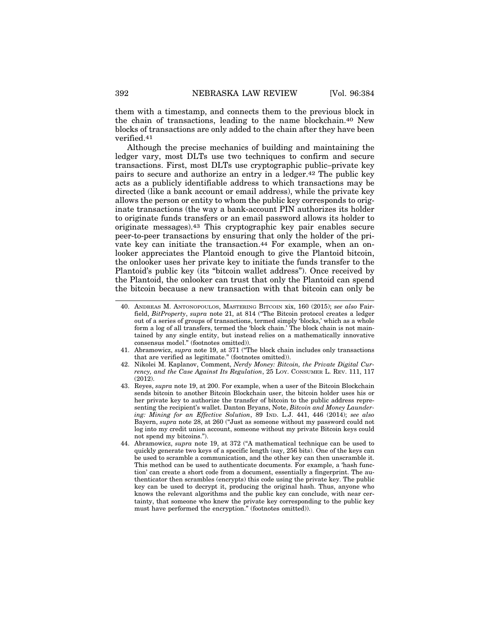them with a timestamp, and connects them to the previous block in the chain of transactions, leading to the name blockchain.40 New blocks of transactions are only added to the chain after they have been verified.41

Although the precise mechanics of building and maintaining the ledger vary, most DLTs use two techniques to confirm and secure transactions. First, most DLTs use cryptographic public–private key pairs to secure and authorize an entry in a ledger.42 The public key acts as a publicly identifiable address to which transactions may be directed (like a bank account or email address), while the private key allows the person or entity to whom the public key corresponds to originate transactions (the way a bank-account PIN authorizes its holder to originate funds transfers or an email password allows its holder to originate messages).43 This cryptographic key pair enables secure peer-to-peer transactions by ensuring that only the holder of the private key can initiate the transaction.<sup>44</sup> For example, when an onlooker appreciates the Plantoid enough to give the Plantoid bitcoin, the onlooker uses her private key to initiate the funds transfer to the Plantoid's public key (its "bitcoin wallet address"). Once received by the Plantoid, the onlooker can trust that only the Plantoid can spend the bitcoin because a new transaction with that bitcoin can only be

<sup>40.</sup> ANDREAS M. ANTONOPOULOS, MASTERING BITCOIN xix, 160 (2015); *see also* Fairfield, *BitProperty*, *supra* note 21, at 814 ("The Bitcoin protocol creates a ledger out of a series of groups of transactions, termed simply 'blocks,' which as a whole form a log of all transfers, termed the 'block chain.' The block chain is not maintained by any single entity, but instead relies on a mathematically innovative consensus model." (footnotes omitted)).

<sup>41.</sup> Abramowicz, *supra* note 19, at 371 ("The block chain includes only transactions that are verified as legitimate." (footnotes omitted)).

<sup>42.</sup> Nikolei M. Kaplanov, Comment, *Nerdy Money: Bitcoin, the Private Digital Currency, and the Case Against Its Regulation*, 25 LOY. CONSUMER L. REV. 111, 117  $(2012)$ 

<sup>43.</sup> Reyes, *supra* note 19, at 200. For example, when a user of the Bitcoin Blockchain sends bitcoin to another Bitcoin Blockchain user, the bitcoin holder uses his or her private key to authorize the transfer of bitcoin to the public address representing the recipient's wallet. Danton Bryans, Note, *Bitcoin and Money Laundering: Mining for an Effective Solution*, 89 IND. L.J. 441, 446 (2014); *see also* Bayern, *supra* note 28, at 260 ("Just as someone without my password could not log into my credit union account, someone without my private Bitcoin keys could not spend my bitcoins.").

<sup>44.</sup> Abramowicz, *supra* note 19, at 372 ("A mathematical technique can be used to quickly generate two keys of a specific length (say, 256 bits). One of the keys can be used to scramble a communication, and the other key can then unscramble it. This method can be used to authenticate documents. For example, a 'hash function' can create a short code from a document, essentially a fingerprint. The authenticator then scrambles (encrypts) this code using the private key. The public key can be used to decrypt it, producing the original hash. Thus, anyone who knows the relevant algorithms and the public key can conclude, with near certainty, that someone who knew the private key corresponding to the public key must have performed the encryption." (footnotes omitted)).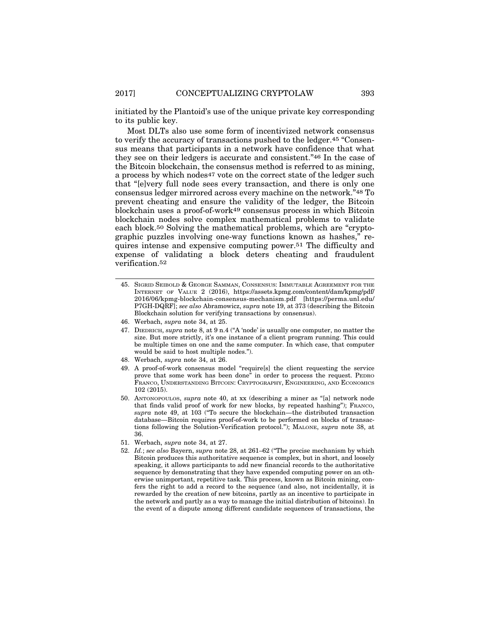initiated by the Plantoid's use of the unique private key corresponding to its public key.

Most DLTs also use some form of incentivized network consensus to verify the accuracy of transactions pushed to the ledger.45 "Consensus means that participants in a network have confidence that what they see on their ledgers is accurate and consistent."46 In the case of the Bitcoin blockchain, the consensus method is referred to as mining, a process by which nodes<sup>47</sup> vote on the correct state of the ledger such that "[e]very full node sees every transaction, and there is only one consensus ledger mirrored across every machine on the network."48 To prevent cheating and ensure the validity of the ledger, the Bitcoin blockchain uses a proof-of-work49 consensus process in which Bitcoin blockchain nodes solve complex mathematical problems to validate each block.50 Solving the mathematical problems, which are "cryptographic puzzles involving one-way functions known as hashes," requires intense and expensive computing power.51 The difficulty and expense of validating a block deters cheating and fraudulent verification.52

- 47. DIEDRICH, *supra* note 8, at 9 n.4 ("A 'node' is usually one computer, no matter the size. But more strictly, it's one instance of a client program running. This could be multiple times on one and the same computer. In which case, that computer would be said to host multiple nodes.").
- 48. Werbach, *supra* note 34, at 26.
- 49. A proof-of-work consensus model "require[s] the client requesting the service prove that some work has been done" in order to process the request. PEDRO FRANCO, UNDERSTANDING BITCOIN: CRYPTOGRAPHY, ENGINEERING, AND ECONOMICS 102 (2015).
- 50. ANTONOPOULOS, *supra* note 40, at xx (describing a miner as "[a] network node that finds valid proof of work for new blocks, by repeated hashing"); FRANCO, *supra* note 49, at 103 ("To secure the blockchain—the distributed transaction database—Bitcoin requires proof-of-work to be performed on blocks of transactions following the Solution-Verification protocol."); MALONE, *supra* note 38, at 36.
- 51. Werbach, *supra* note 34, at 27.
- 52. *Id.*; *see also* Bayern, *supra* note 28, at 261–62 ("The precise mechanism by which Bitcoin produces this authoritative sequence is complex, but in short, and loosely speaking, it allows participants to add new financial records to the authoritative sequence by demonstrating that they have expended computing power on an otherwise unimportant, repetitive task. This process, known as Bitcoin mining, confers the right to add a record to the sequence (and also, not incidentally, it is rewarded by the creation of new bitcoins, partly as an incentive to participate in the network and partly as a way to manage the initial distribution of bitcoins). In the event of a dispute among different candidate sequences of transactions, the

<sup>45.</sup> SIGRID SEIBOLD & GEORGE SAMMAN, CONSENSUS: IMMUTABLE AGREEMENT FOR THE INTERNET OF VALUE 2 (2016), https://assets.kpmg.com/content/dam/kpmg/pdf/ 2016/06/kpmg-blockchain-consensus-mechanism.pdf [https://perma.unl.edu/ P7GH-DQRF]; *see also* Abramowicz, *supra* note 19, at 373 (describing the Bitcoin Blockchain solution for verifying transactions by consensus).

<sup>46.</sup> Werbach, *supra* note 34, at 25.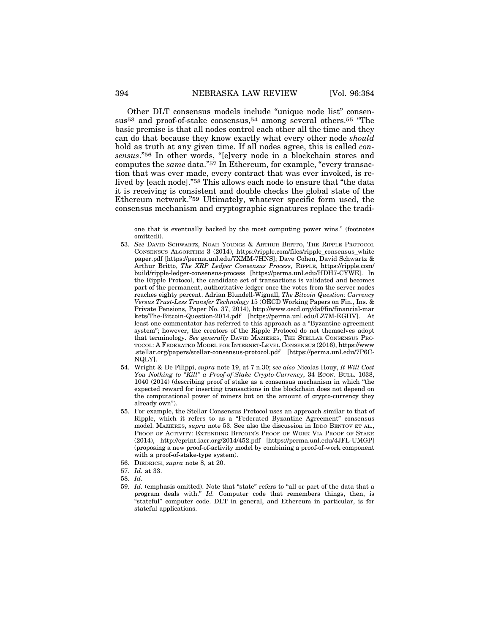Other DLT consensus models include "unique node list" consensus53 and proof-of-stake consensus,54 among several others.55 "The basic premise is that all nodes control each other all the time and they can do that because they know exactly what every other node *should* hold as truth at any given time. If all nodes agree, this is called *consensus*."56 In other words, "[e]very node in a blockchain stores and computes the *same* data."57 In Ethereum, for example, "every transaction that was ever made, every contract that was ever invoked, is relived by [each node]."58 This allows each node to ensure that "the data it is receiving is consistent and double checks the global state of the Ethereum network."59 Ultimately, whatever specific form used, the consensus mechanism and cryptographic signatures replace the tradi-

- 54. Wright & De Filippi, *supra* note 19, at 7 n.30; *see also* Nicolas Houy, *It Will Cost You Nothing to "Kill" a Proof-of-Stake Crypto-Currency*, 34 ECON. BULL. 1038, 1040 (2014) (describing proof of stake as a consensus mechanism in which "the expected reward for inserting transactions in the blockchain does not depend on the computational power of miners but on the amount of crypto-currency they already own").
- 55. For example, the Stellar Consensus Protocol uses an approach similar to that of Ripple, which it refers to as a "Federated Byzantine Agreement" consensus model. MAZIERES, *supra* note 53. See also the discussion in IDDO BENTOV ET AL., PROOF OF ACTIVITY: EXTENDING BITCOIN'S PROOF OF WORK VIA PROOF OF STAKE (2014), http://eprint.iacr.org/2014/452.pdf [https://perma.unl.edu/4JFL-UMGP] (proposing a new proof-of-activity model by combining a proof-of-work component with a proof-of-stake-type system).
- 56. DIEDRICH, *supra* note 8, at 20.
- 57. *Id.* at 33.
- 58. *Id.*
- 59. *Id.* (emphasis omitted). Note that "state" refers to "all or part of the data that a program deals with." *Id.* Computer code that remembers things, then, is "stateful" computer code. DLT in general, and Ethereum in particular, is for stateful applications.

one that is eventually backed by the most computing power wins." (footnotes omitted)).

<sup>53.</sup> *See* DAVID SCHWARTZ, NOAH YOUNGS & ARTHUR BRITTO, THE RIPPLE PROTOCOL CONSENSUS ALGORITHM 3 (2014), https://ripple.com/files/ripple\_consensus\_white paper.pdf [https://perma.unl.edu/7XMM-7HNS]; Dave Cohen, David Schwartz & Arthur Britto, *The XRP Ledger Consensus Process*, RIPPLE, https://ripple.com/ build/ripple-ledger-consensus-process [https://perma.unl.edu/HDH7-CYWE]. In the Ripple Protocol, the candidate set of transactions is validated and becomes part of the permanent, authoritative ledger once the votes from the server nodes reaches eighty percent. Adrian Blundell-Wignall, *The Bitcoin Question: Currency Versus Trust-Less Transfer Technology* 15 (OECD Working Papers on Fin., Ins. & Private Pensions, Paper No. 37, 2014), http://www.oecd.org/daf/fin/financial-mar kets/The-Bitcoin-Question-2014.pdf [https://perma.unl.edu/LZ7M-EGHV]. At least one commentator has referred to this approach as a "Byzantine agreement system"; however, the creators of the Ripple Protocol do not themselves adopt that terminology. See generally DAVID MAZIÈRES, THE STELLAR CONSENSUS PRO-TOCOL: A FEDERATED MODEL FOR INTERNET-LEVEL CONSENSUS (2016), https://www .stellar.org/papers/stellar-consensus-protocol.pdf [https://perma.unl.edu/7P6C-NQLY].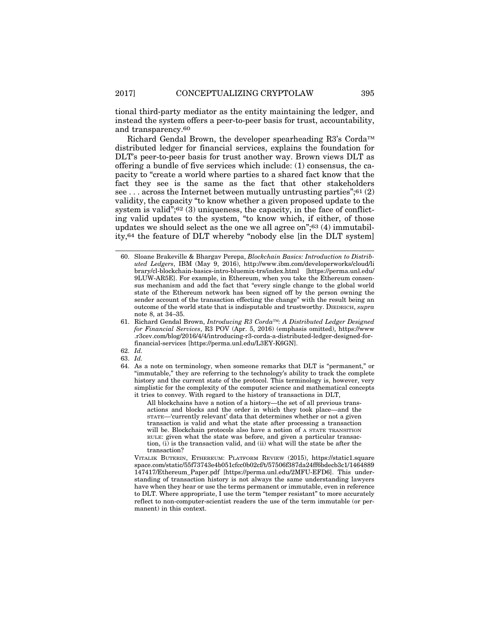tional third-party mediator as the entity maintaining the ledger, and instead the system offers a peer-to-peer basis for trust, accountability, and transparency.60

Richard Gendal Brown, the developer spearheading R3's Corda™ distributed ledger for financial services, explains the foundation for DLT's peer-to-peer basis for trust another way. Brown views DLT as offering a bundle of five services which include: (1) consensus, the capacity to "create a world where parties to a shared fact know that the fact they see is the same as the fact that other stakeholders see  $\ldots$  across the Internet between mutually untrusting parties"; 61 (2) validity, the capacity "to know whether a given proposed update to the system is valid";<sup>62</sup> (3) uniqueness, the capacity, in the face of conflicting valid updates to the system, "to know which, if either, of those updates we should select as the one we all agree on";63 (4) immutability,64 the feature of DLT whereby "nobody else [in the DLT system]

63. *Id.*

All blockchains have a notion of a history—the set of all previous transactions and blocks and the order in which they took place—and the STATE—'currently relevant' data that determines whether or not a given transaction is valid and what the state after processing a transaction will be. Blockchain protocols also have a notion of A STATE TRANSITION RULE: given what the state was before, and given a particular transaction, (i) is the transaction valid, and (ii) what will the state be after the transaction?

VITALIK BUTERIN, ETHEREUM: PLATFORM REVIEW (2015), https://static1.square space.com/static/55f73743e4b051cfcc0b02cf/t/57506f387da24ff6bdecb3c1/1464889 147417/Ethereum\_Paper.pdf [https://perma.unl.edu/2MFU-EFD6]. This understanding of transaction history is not always the same understanding lawyers have when they hear or use the terms permanent or immutable, even in reference to DLT. Where appropriate, I use the term "temper resistant" to more accurately reflect to non-computer-scientist readers the use of the term immutable (or permanent) in this context.

<sup>60.</sup> Sloane Brakeville & Bhargav Perepa, *Blockchain Basics: Introduction to Distributed Ledgers*, IBM (May 9, 2016), http://www.ibm.com/developerworks/cloud/li brary/cl-blockchain-basics-intro-bluemix-trs/index.html [https://perma.unl.edu/ 9LUW-AR5E]. For example, in Ethereum, when you take the Ethereum consensus mechanism and add the fact that "every single change to the global world state of the Ethereum network has been signed off by the person owning the sender account of the transaction effecting the change" with the result being an outcome of the world state that is indisputable and trustworthy. DIEDRICH, *supra* note 8, at 34–35.

<sup>61.</sup> Richard Gendal Brown, *Introducing R3 Corda*™*: A Distributed Ledger Designed for Financial Services*, R3 POV (Apr. 5, 2016) (emphasis omitted), https://www .r3cev.com/blog/2016/4/4/introducing-r3-corda-a-distributed-ledger-designed-forfinancial-services [https://perma.unl.edu/L3EY-K6GN].

<sup>62.</sup> *Id.*

<sup>64.</sup> As a note on terminology, when someone remarks that DLT is "permanent," or "immutable," they are referring to the technology's ability to track the complete history and the current state of the protocol. This terminology is, however, very simplistic for the complexity of the computer science and mathematical concepts it tries to convey. With regard to the history of transactions in DLT,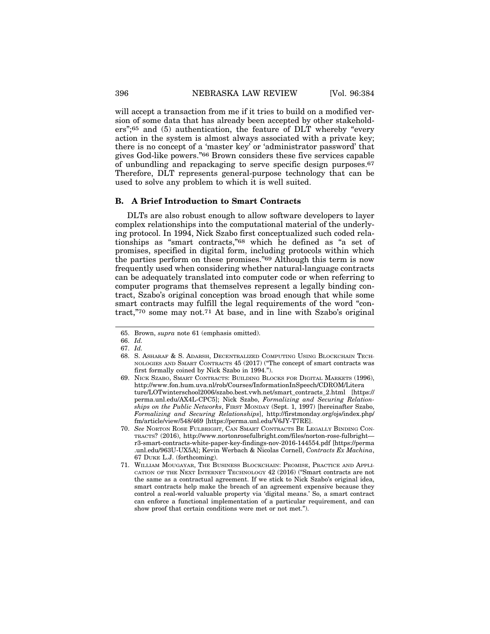will accept a transaction from me if it tries to build on a modified version of some data that has already been accepted by other stakeholders";65 and (5) authentication, the feature of DLT whereby "every action in the system is almost always associated with a private key; there is no concept of a 'master key' or 'administrator password' that gives God-like powers."66 Brown considers these five services capable of unbundling and repackaging to serve specific design purposes.67 Therefore, DLT represents general-purpose technology that can be used to solve any problem to which it is well suited.

#### **B. A Brief Introduction to Smart Contracts**

DLTs are also robust enough to allow software developers to layer complex relationships into the computational material of the underlying protocol. In 1994, Nick Szabo first conceptualized such coded relationships as "smart contracts,"68 which he defined as "a set of promises, specified in digital form, including protocols within which the parties perform on these promises."69 Although this term is now frequently used when considering whether natural-language contracts can be adequately translated into computer code or when referring to computer programs that themselves represent a legally binding contract, Szabo's original conception was broad enough that while some smart contracts may fulfill the legal requirements of the word "contract,"70 some may not.71 At base, and in line with Szabo's original

<sup>65.</sup> Brown, *supra* note 61 (emphasis omitted).

<sup>66.</sup> *Id.*

<sup>67.</sup> *Id.*

<sup>68.</sup> S. ASHARAF & S. ADARSH, DECENTRALIZED COMPUTING USING BLOCKCHAIN TECH-NOLOGIES AND SMART CONTRACTS 45 (2017) ("The concept of smart contracts was first formally coined by Nick Szabo in 1994.").

<sup>69.</sup> NICK SZABO, SMART CONTRACTS: BUILDING BLOCKS FOR DIGITAL MARKETS (1996), http://www.fon.hum.uva.nl/rob/Courses/InformationInSpeech/CDROM/Litera ture/LOTwinterschool2006/szabo.best.vwh.net/smart\_contracts\_2.html [https:// perma.unl.edu/AX4L-CPC5]; Nick Szabo, *Formalizing and Securing Relationships on the Public Networks*, FIRST MONDAY (Sept. 1, 1997) [hereinafter Szabo, *Formalizing and Securing Relationships*], http://firstmonday.org/ojs/index.php/ fm/article/view/548/469 [https://perma.unl.edu/V6JY-T7RE].

<sup>70.</sup> *See* NORTON ROSE FULBRIGHT, CAN SMART CONTRACTS BE LEGALLY BINDING CON-TRACTS? (2016), http://www.nortonrosefulbright.com/files/norton-rose-fulbright r3-smart-contracts-white-paper-key-findings-nov-2016-144554.pdf [https://perma .unl.edu/963U-UX5A]; Kevin Werbach & Nicolas Cornell, *Contracts Ex Machina*, 67 DUKE L.J. (forthcoming).

<sup>71.</sup> WILLIAM MOUGAYAR, THE BUSINESS BLOCKCHAIN: PROMISE, PRACTICE AND APPLI-CATION OF THE NEXT INTERNET TECHNOLOGY 42 (2016) ("Smart contracts are not the same as a contractual agreement. If we stick to Nick Szabo's original idea, smart contracts help make the breach of an agreement expensive because they control a real-world valuable property via 'digital means.' So, a smart contract can enforce a functional implementation of a particular requirement, and can show proof that certain conditions were met or not met.").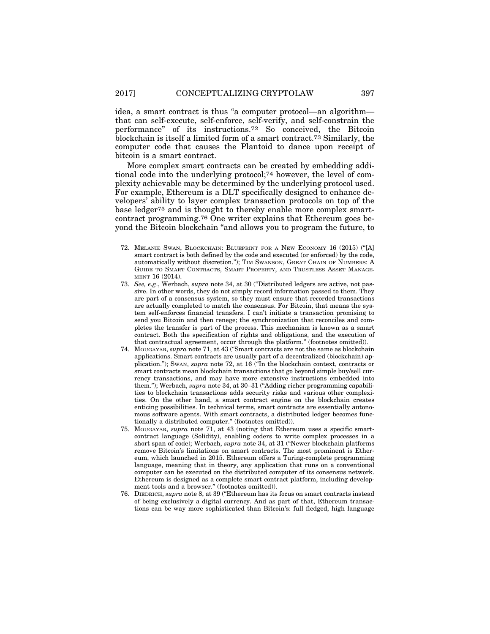idea, a smart contract is thus "a computer protocol—an algorithm that can self-execute, self-enforce, self-verify, and self-constrain the performance" of its instructions.72 So conceived, the Bitcoin blockchain is itself a limited form of a smart contract.73 Similarly, the computer code that causes the Plantoid to dance upon receipt of bitcoin is a smart contract.

More complex smart contracts can be created by embedding additional code into the underlying protocol;74 however, the level of complexity achievable may be determined by the underlying protocol used. For example, Ethereum is a DLT specifically designed to enhance developers' ability to layer complex transaction protocols on top of the base ledger75 and is thought to thereby enable more complex smartcontract programming.76 One writer explains that Ethereum goes beyond the Bitcoin blockchain "and allows you to program the future, to

- 73. *See, e.g*., Werbach, *supra* note 34, at 30 ("Distributed ledgers are active, not passive. In other words, they do not simply record information passed to them. They are part of a consensus system, so they must ensure that recorded transactions are actually completed to match the consensus. For Bitcoin, that means the system self-enforces financial transfers. I can't initiate a transaction promising to send you Bitcoin and then renege; the synchronization that reconciles and completes the transfer is part of the process. This mechanism is known as a smart contract. Both the specification of rights and obligations, and the execution of that contractual agreement, occur through the platform." (footnotes omitted)).
- 74. MOUGAYAR, *supra* note 71, at 43 ("Smart contracts are not the same as blockchain applications. Smart contracts are usually part of a decentralized (blockchain) application."); SWAN, *supra* note 72, at 16 ("In the blockchain context, contracts or smart contracts mean blockchain transactions that go beyond simple buy/sell currency transactions, and may have more extensive instructions embedded into them."); Werbach, *supra* note 34, at 30–31 ("Adding richer programming capabilities to blockchain transactions adds security risks and various other complexities. On the other hand, a smart contract engine on the blockchain creates enticing possibilities. In technical terms, smart contracts are essentially autonomous software agents. With smart contracts, a distributed ledger becomes functionally a distributed computer." (footnotes omitted)).
- 75. MOUGAYAR, *supra* note 71, at 43 (noting that Ethereum uses a specific smartcontract language (Solidity), enabling coders to write complex processes in a short span of code); Werbach, *supra* note 34, at 31 ("Newer blockchain platforms remove Bitcoin's limitations on smart contracts. The most prominent is Ethereum, which launched in 2015. Ethereum offers a Turing-complete programming language, meaning that in theory, any application that runs on a conventional computer can be executed on the distributed computer of its consensus network. Ethereum is designed as a complete smart contract platform, including development tools and a browser." (footnotes omitted)).
- 76. DIEDRICH, *supra* note 8, at 39 ("Ethereum has its focus on smart contracts instead of being exclusively a digital currency. And as part of that, Ethereum transactions can be way more sophisticated than Bitcoin's: full fledged, high language

<sup>72.</sup> MELANIE SWAN, BLOCKCHAIN: BLUEPRINT FOR A NEW ECONOMY 16 (2015) ("[A] smart contract is both defined by the code and executed (or enforced) by the code, automatically without discretion."); TIM SWANSON, GREAT CHAIN OF NUMBERS: A GUIDE TO SMART CONTRACTS, SMART PROPERTY, AND TRUSTLESS ASSET MANAGE-MENT 16 (2014).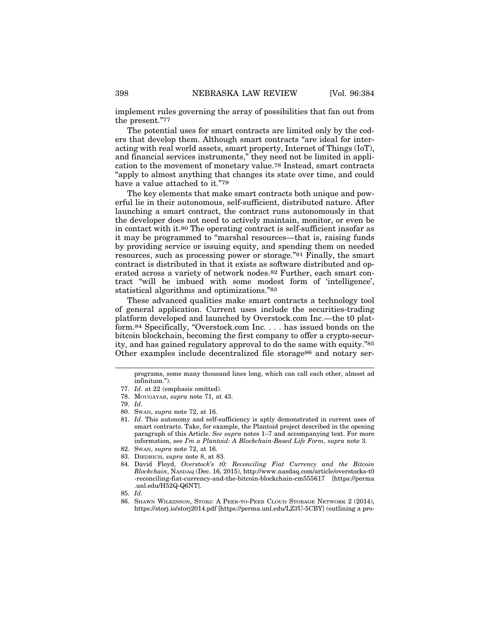implement rules governing the array of possibilities that fan out from the present."77

The potential uses for smart contracts are limited only by the coders that develop them. Although smart contracts "are ideal for interacting with real world assets, smart property, Internet of Things (IoT), and financial services instruments," they need not be limited in application to the movement of monetary value.78 Instead, smart contracts "apply to almost anything that changes its state over time, and could have a value attached to it."79

The key elements that make smart contracts both unique and powerful lie in their autonomous, self-sufficient, distributed nature. After launching a smart contract, the contract runs autonomously in that the developer does not need to actively maintain, monitor, or even be in contact with it.80 The operating contract is self-sufficient insofar as it may be programmed to "marshal resources—that is, raising funds by providing service or issuing equity, and spending them on needed resources, such as processing power or storage."81 Finally, the smart contract is distributed in that it exists as software distributed and operated across a variety of network nodes.82 Further, each smart contract "will be imbued with some modest form of 'intelligence', statistical algorithms and optimizations."83

These advanced qualities make smart contracts a technology tool of general application. Current uses include the securities-trading platform developed and launched by Overstock.com Inc.—the t0 platform.84 Specifically, "Overstock.com Inc. . . . has issued bonds on the bitcoin blockchain, becoming the first company to offer a crypto-security, and has gained regulatory approval to do the same with equity."85 Other examples include decentralized file storage<sup>86</sup> and notary ser-

programs, some many thousand lines long, which can call each other, almost ad infinitum.").

<sup>77.</sup> *Id.* at 22 (emphasis omitted).

<sup>78.</sup> MOUGAYAR, *supra* note 71, at 43.

<sup>79.</sup> *Id*.

<sup>80.</sup> SWAN, *supra* note 72, at 16.

<sup>81.</sup> *Id.* This autonomy and self-sufficiency is aptly demonstrated in current uses of smart contracts. Take, for example, the Plantoid project described in the opening paragraph of this Article. *See supra* notes 1–7 and accompanying text. For more information, see *I'm a Plantoid: A Blockchain-Based Life Form*, *supra* note 3.

<sup>82.</sup> SWAN, *supra* note 72, at 16.

<sup>83.</sup> DIEDRICH, *supra* note 8, at 83.

<sup>84.</sup> David Floyd, *Overstock's t0: Reconciling Fiat Currency and the Bitcoin Blockchain*, NASDAQ (Dec. 16, 2015), http://www.nasdaq.com/article/overstocks-t0 -reconciling-fiat-currency-and-the-bitcoin-blockchain-cm555617 [https://perma .unl.edu/H52Q-Q6NT].

<sup>85.</sup> *Id.*

<sup>86.</sup> SHAWN WILKINSON, STORJ: A PEER-TO-PEER CLOUD STORAGE NETWORK 2 (2014), https://storj.io/storj2014.pdf [https://perma.unl.edu/LZ3U-5CBY] (outlining a pro-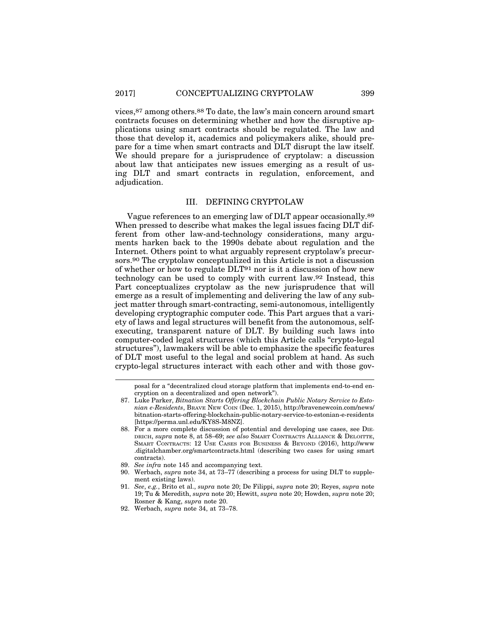vices,87 among others.88 To date, the law's main concern around smart contracts focuses on determining whether and how the disruptive applications using smart contracts should be regulated. The law and those that develop it, academics and policymakers alike, should prepare for a time when smart contracts and DLT disrupt the law itself. We should prepare for a jurisprudence of cryptolaw: a discussion about law that anticipates new issues emerging as a result of using DLT and smart contracts in regulation, enforcement, and adjudication.

#### III. DEFINING CRYPTOLAW

Vague references to an emerging law of DLT appear occasionally.89 When pressed to describe what makes the legal issues facing DLT different from other law-and-technology considerations, many arguments harken back to the 1990s debate about regulation and the Internet. Others point to what arguably represent cryptolaw's precursors.90 The cryptolaw conceptualized in this Article is not a discussion of whether or how to regulate DLT91 nor is it a discussion of how new technology can be used to comply with current law.92 Instead, this Part conceptualizes cryptolaw as the new jurisprudence that will emerge as a result of implementing and delivering the law of any subject matter through smart-contracting, semi-autonomous, intelligently developing cryptographic computer code. This Part argues that a variety of laws and legal structures will benefit from the autonomous, selfexecuting, transparent nature of DLT. By building such laws into computer-coded legal structures (which this Article calls "crypto-legal structures"), lawmakers will be able to emphasize the specific features of DLT most useful to the legal and social problem at hand. As such crypto-legal structures interact with each other and with those gov-

posal for a "decentralized cloud storage platform that implements end-to-end encryption on a decentralized and open network").

<sup>87.</sup> Luke Parker, *Bitnation Starts Offering Blockchain Public Notary Service to Estonian e-Residents*, BRAVE NEW COIN (Dec. 1, 2015), http://bravenewcoin.com/news/ bitnation-starts-offering-blockchain-public-notary-service-to-estonian-e-residents [https://perma.unl.edu/KY8S-M8NZ].

<sup>88.</sup> For a more complete discussion of potential and developing use cases, see DIE-DRICH, *supra* note 8, at 58–69; *see also* SMART CONTRACTS ALLIANCE & DELOITTE, SMART CONTRACTS: 12 USE CASES FOR BUSINESS & BEYOND (2016), http://www .digitalchamber.org/smartcontracts.html (describing two cases for using smart contracts).

<sup>89.</sup> *See infra* note 145 and accompanying text.

<sup>90.</sup> Werbach, *supra* note 34, at 73–77 (describing a process for using DLT to supplement existing laws).

<sup>91.</sup> *See*, *e.g.*, Brito et al., *supra* note 20; De Filippi, *supra* note 20; Reyes, *supra* note 19; Tu & Meredith, *supra* note 20; Hewitt, *supra* note 20; Howden, *supra* note 20; Rosner & Kang, *supra* note 20.

<sup>92.</sup> Werbach, *supra* note 34, at 73–78.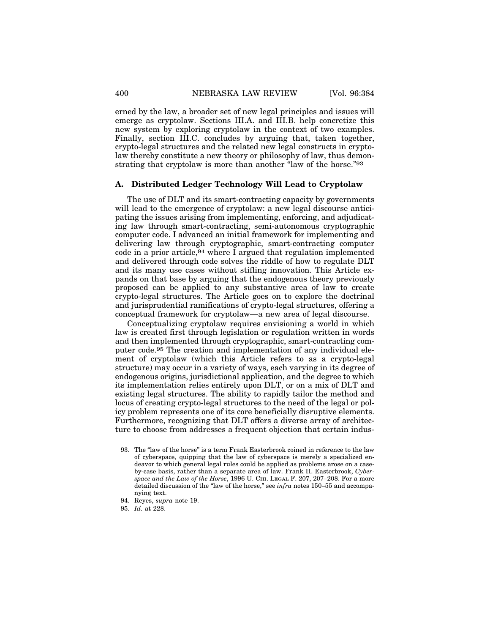erned by the law, a broader set of new legal principles and issues will emerge as cryptolaw. Sections III.A. and III.B. help concretize this new system by exploring cryptolaw in the context of two examples. Finally, section III.C. concludes by arguing that, taken together, crypto-legal structures and the related new legal constructs in cryptolaw thereby constitute a new theory or philosophy of law, thus demonstrating that cryptolaw is more than another "law of the horse."93

## **A. Distributed Ledger Technology Will Lead to Cryptolaw**

The use of DLT and its smart-contracting capacity by governments will lead to the emergence of cryptolaw: a new legal discourse anticipating the issues arising from implementing, enforcing, and adjudicating law through smart-contracting, semi-autonomous cryptographic computer code. I advanced an initial framework for implementing and delivering law through cryptographic, smart-contracting computer code in a prior article,94 where I argued that regulation implemented and delivered through code solves the riddle of how to regulate DLT and its many use cases without stifling innovation. This Article expands on that base by arguing that the endogenous theory previously proposed can be applied to any substantive area of law to create crypto-legal structures. The Article goes on to explore the doctrinal and jurisprudential ramifications of crypto-legal structures, offering a conceptual framework for cryptolaw—a new area of legal discourse.

Conceptualizing cryptolaw requires envisioning a world in which law is created first through legislation or regulation written in words and then implemented through cryptographic, smart-contracting computer code.95 The creation and implementation of any individual element of cryptolaw (which this Article refers to as a crypto-legal structure) may occur in a variety of ways, each varying in its degree of endogenous origins, jurisdictional application, and the degree to which its implementation relies entirely upon DLT, or on a mix of DLT and existing legal structures. The ability to rapidly tailor the method and locus of creating crypto-legal structures to the need of the legal or policy problem represents one of its core beneficially disruptive elements. Furthermore, recognizing that DLT offers a diverse array of architecture to choose from addresses a frequent objection that certain indus-

<sup>93.</sup> The "law of the horse" is a term Frank Easterbrook coined in reference to the law of cyberspace, quipping that the law of cyberspace is merely a specialized endeavor to which general legal rules could be applied as problems arose on a caseby-case basis, rather than a separate area of law. Frank H. Easterbrook, *Cyberspace and the Law of the Horse*, 1996 U. CHI. LEGAL F. 207, 207–208. For a more detailed discussion of the "law of the horse," see *infra* notes 150–55 and accompanying text.

<sup>94.</sup> Reyes, *supra* note 19.

<sup>95.</sup> *Id.* at 228.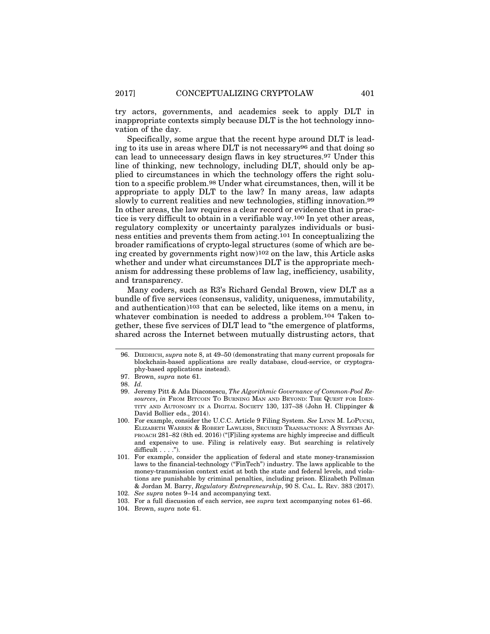try actors, governments, and academics seek to apply DLT in inappropriate contexts simply because DLT is the hot technology innovation of the day.

Specifically, some argue that the recent hype around DLT is leading to its use in areas where DLT is not necessary96 and that doing so can lead to unnecessary design flaws in key structures.97 Under this line of thinking, new technology, including DLT, should only be applied to circumstances in which the technology offers the right solution to a specific problem.98 Under what circumstances, then, will it be appropriate to apply DLT to the law? In many areas, law adapts slowly to current realities and new technologies, stifling innovation.99 In other areas, the law requires a clear record or evidence that in practice is very difficult to obtain in a verifiable way.100 In yet other areas, regulatory complexity or uncertainty paralyzes individuals or business entities and prevents them from acting.101 In conceptualizing the broader ramifications of crypto-legal structures (some of which are being created by governments right now)102 on the law, this Article asks whether and under what circumstances DLT is the appropriate mechanism for addressing these problems of law lag, inefficiency, usability, and transparency.

Many coders, such as R3's Richard Gendal Brown, view DLT as a bundle of five services (consensus, validity, uniqueness, immutability, and authentication)103 that can be selected, like items on a menu, in whatever combination is needed to address a problem.104 Taken together, these five services of DLT lead to "the emergence of platforms, shared across the Internet between mutually distrusting actors, that

<sup>96.</sup> DIEDRICH, *supra* note 8, at 49–50 (demonstrating that many current proposals for blockchain-based applications are really database, cloud-service, or cryptography-based applications instead).

<sup>97.</sup> Brown, *supra* note 61.

<sup>98.</sup> *Id.*

<sup>99.</sup> Jeremy Pitt & Ada Diaconescu, *The Algorithmic Governance of Common-Pool Resources*, *in* FROM BITCOIN TO BURNING MAN AND BEYOND: THE QUEST FOR IDEN-TITY AND AUTONOMY IN A DIGITAL SOCIETY 130, 137–38 (John H. Clippinger & David Bollier eds., 2014).

<sup>100.</sup> For example, consider the U.C.C. Article 9 Filing System. *See* LYNN M. LOPUCKI, ELIZABETH WARREN & ROBERT LAWLESS, SECURED TRANSACTIONS: A SYSTEMS AP-PROACH 281–82 (8th ed. 2016) ("[F]iling systems are highly imprecise and difficult and expensive to use. Filing is relatively easy. But searching is relatively difficult  $\dots$ .").

<sup>101.</sup> For example, consider the application of federal and state money-transmission laws to the financial-technology ("FinTech") industry. The laws applicable to the money-transmission context exist at both the state and federal levels, and violations are punishable by criminal penalties, including prison. Elizabeth Pollman & Jordan M. Barry, *Regulatory Entrepreneurship*, 90 S. CAL. L. REV. 383 (2017). 102. *See supra* notes 9–14 and accompanying text.

<sup>103.</sup> For a full discussion of each service, see *supra* text accompanying notes 61–66.

<sup>104.</sup> Brown, *supra* note 61.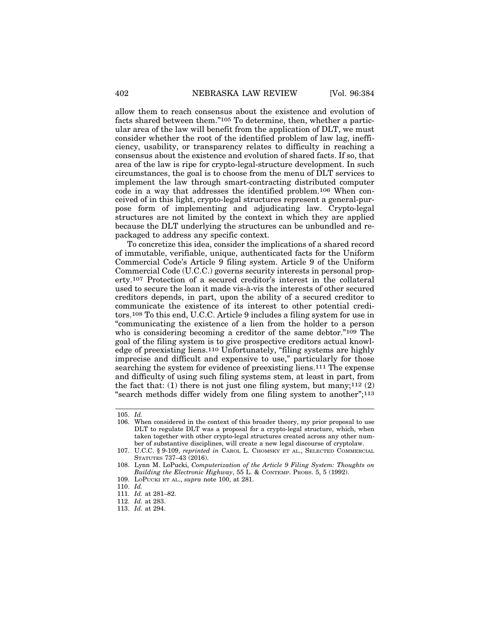allow them to reach consensus about the existence and evolution of facts shared between them."105 To determine, then, whether a particular area of the law will benefit from the application of DLT, we must consider whether the root of the identified problem of law lag, inefficiency, usability, or transparency relates to difficulty in reaching a consensus about the existence and evolution of shared facts. If so, that area of the law is ripe for crypto-legal-structure development. In such circumstances, the goal is to choose from the menu of DLT services to implement the law through smart-contracting distributed computer code in a way that addresses the identified problem.106 When conceived of in this light, crypto-legal structures represent a general-purpose form of implementing and adjudicating law. Crypto-legal structures are not limited by the context in which they are applied because the DLT underlying the structures can be unbundled and repackaged to address any specific context.

To concretize this idea, consider the implications of a shared record of immutable, verifiable, unique, authenticated facts for the Uniform Commercial Code's Article 9 filing system. Article 9 of the Uniform Commercial Code (U.C.C.) governs security interests in personal property.107 Protection of a secured creditor's interest in the collateral used to secure the loan it made vis-à-vis the interests of other secured creditors depends, in part, upon the ability of a secured creditor to communicate the existence of its interest to other potential creditors.108 To this end, U.C.C. Article 9 includes a filing system for use in "communicating the existence of a lien from the holder to a person who is considering becoming a creditor of the same debtor."109 The goal of the filing system is to give prospective creditors actual knowledge of preexisting liens.110 Unfortunately, "filing systems are highly imprecise and difficult and expensive to use," particularly for those searching the system for evidence of preexisting liens.111 The expense and difficulty of using such filing systems stem, at least in part, from the fact that: (1) there is not just one filing system, but many;<sup>112</sup>  $(2)$ "search methods differ widely from one filing system to another";113

110. *Id.*

<sup>105.</sup> *Id.*

<sup>106.</sup> When considered in the context of this broader theory, my prior proposal to use DLT to regulate DLT was a proposal for a crypto-legal structure, which, when taken together with other crypto-legal structures created across any other number of substantive disciplines, will create a new legal discourse of cryptolaw.

<sup>107.</sup> U.C.C. § 9-109, *reprinted in* CAROL L. CHOMSKY ET AL., SELECTED COMMERCIAL STATUTES 737–43 (2016).

<sup>108.</sup> Lynn M. LoPucki, *Computerization of the Article 9 Filing System: Thoughts on Building the Electronic Highway*, 55 L. & CONTEMP. PROBS. 5, 5 (1992).

<sup>109.</sup> LOPUCKI ET AL., *supra* note 100, at 281.

<sup>111.</sup> *Id.* at 281–82.

<sup>112.</sup> *Id.* at 283.

<sup>113.</sup> *Id.* at 294.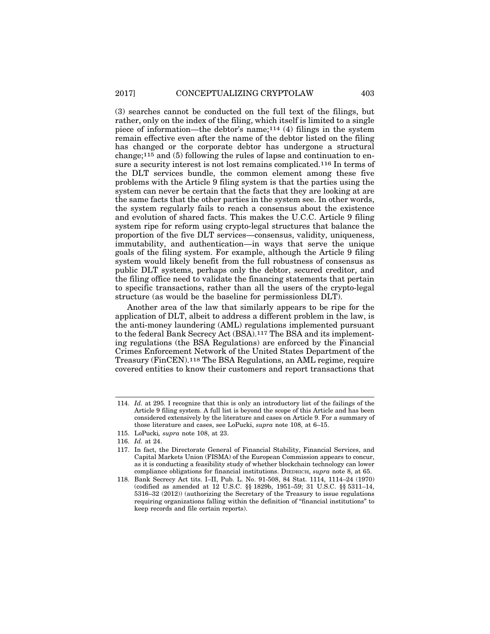(3) searches cannot be conducted on the full text of the filings, but rather, only on the index of the filing, which itself is limited to a single piece of information—the debtor's name;114 (4) filings in the system remain effective even after the name of the debtor listed on the filing has changed or the corporate debtor has undergone a structural change;115 and (5) following the rules of lapse and continuation to ensure a security interest is not lost remains complicated.116 In terms of the DLT services bundle, the common element among these five problems with the Article 9 filing system is that the parties using the system can never be certain that the facts that they are looking at are the same facts that the other parties in the system see. In other words, the system regularly fails to reach a consensus about the existence and evolution of shared facts. This makes the U.C.C. Article 9 filing system ripe for reform using crypto-legal structures that balance the proportion of the five DLT services—consensus, validity, uniqueness, immutability, and authentication—in ways that serve the unique goals of the filing system. For example, although the Article 9 filing system would likely benefit from the full robustness of consensus as public DLT systems, perhaps only the debtor, secured creditor, and the filing office need to validate the financing statements that pertain to specific transactions, rather than all the users of the crypto-legal structure (as would be the baseline for permissionless DLT).

Another area of the law that similarly appears to be ripe for the application of DLT, albeit to address a different problem in the law, is the anti-money laundering (AML) regulations implemented pursuant to the federal Bank Secrecy Act (BSA).117 The BSA and its implementing regulations (the BSA Regulations) are enforced by the Financial Crimes Enforcement Network of the United States Department of the Treasury (FinCEN).118 The BSA Regulations, an AML regime, require covered entities to know their customers and report transactions that

<sup>114.</sup> *Id.* at 295. I recognize that this is only an introductory list of the failings of the Article 9 filing system. A full list is beyond the scope of this Article and has been considered extensively by the literature and cases on Article 9. For a summary of those literature and cases, see LoPucki, *supra* note 108, at 6–15.

<sup>115.</sup> LoPucki*, supra* note 108, at 23.

<sup>116.</sup> *Id.* at 24.

<sup>117.</sup> In fact, the Directorate General of Financial Stability, Financial Services, and Capital Markets Union (FISMA) of the European Commission appears to concur, as it is conducting a feasibility study of whether blockchain technology can lower compliance obligations for financial institutions. DIEDRICH, *supra* note 8, at 65.

<sup>118.</sup> Bank Secrecy Act tits. I–II, Pub. L. No. 91-508, 84 Stat. 1114, 1114–24 (1970) (codified as amended at 12 U.S.C. §§ 1829b, 1951–59; 31 U.S.C. §§ 5311–14, 5316–32 (2012)) (authorizing the Secretary of the Treasury to issue regulations requiring organizations falling within the definition of "financial institutions" to keep records and file certain reports).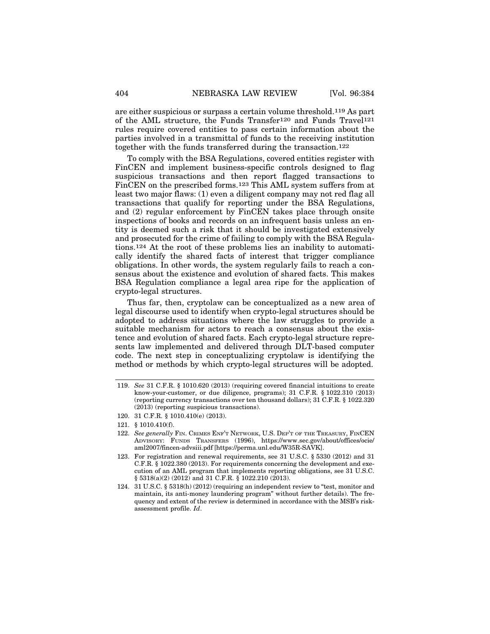are either suspicious or surpass a certain volume threshold.119 As part of the AML structure, the Funds Transfer120 and Funds Travel121 rules require covered entities to pass certain information about the parties involved in a transmittal of funds to the receiving institution together with the funds transferred during the transaction.122

To comply with the BSA Regulations, covered entities register with FinCEN and implement business-specific controls designed to flag suspicious transactions and then report flagged transactions to FinCEN on the prescribed forms.123 This AML system suffers from at least two major flaws: (1) even a diligent company may not red flag all transactions that qualify for reporting under the BSA Regulations, and (2) regular enforcement by FinCEN takes place through onsite inspections of books and records on an infrequent basis unless an entity is deemed such a risk that it should be investigated extensively and prosecuted for the crime of failing to comply with the BSA Regulations.124 At the root of these problems lies an inability to automatically identify the shared facts of interest that trigger compliance obligations. In other words, the system regularly fails to reach a consensus about the existence and evolution of shared facts. This makes BSA Regulation compliance a legal area ripe for the application of crypto-legal structures.

Thus far, then, cryptolaw can be conceptualized as a new area of legal discourse used to identify when crypto-legal structures should be adopted to address situations where the law struggles to provide a suitable mechanism for actors to reach a consensus about the existence and evolution of shared facts. Each crypto-legal structure represents law implemented and delivered through DLT-based computer code. The next step in conceptualizing cryptolaw is identifying the method or methods by which crypto-legal structures will be adopted.

<sup>119.</sup> *See* 31 C.F.R. § 1010.620 (2013) (requiring covered financial intuitions to create know-your-customer, or due diligence, programs); 31 C.F.R. § 1022.310 (2013) (reporting currency transactions over ten thousand dollars); 31 C.F.R. § 1022.320 (2013) (reporting suspicious transactions).

<sup>120. 31</sup> C.F.R. § 1010.410(e) (2013).

<sup>121. § 1010.410(</sup>f).

<sup>122.</sup> *See generally* FIN. CRIMES ENF'T NETWORK, U.S. DEP'T OF THE TREASURY, FINCEN ADVISORY: FUNDS TRANSFERS (1996), https://www.sec.gov/about/offices/ocie/ aml2007/fincen-advsiii.pdf [https://perma.unl.edu/W35R-SAVK].

<sup>123.</sup> For registration and renewal requirements, see 31 U.S.C. § 5330 (2012) and 31 C.F.R. § 1022.380 (2013). For requirements concerning the development and execution of an AML program that implements reporting obligations, see 31 U.S.C. § 5318(a)(2) (2012) and 31 C.F.R. § 1022.210 (2013).

<sup>124. 31</sup> U.S.C. § 5318(h) (2012) (requiring an independent review to "test, monitor and maintain, its anti-money laundering program" without further details). The frequency and extent of the review is determined in accordance with the MSB's riskassessment profile. *Id*.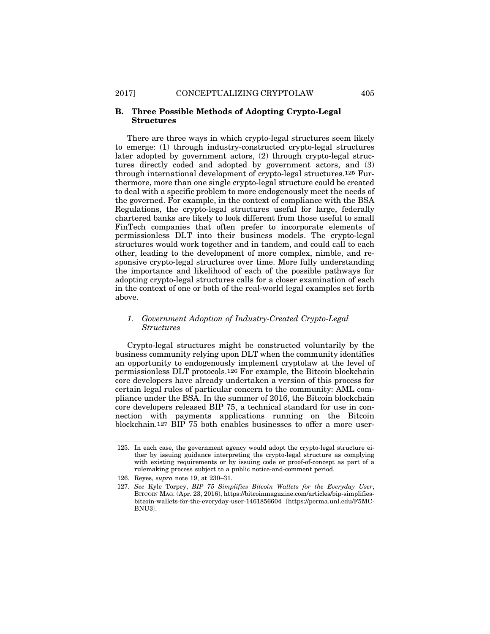## **B. Three Possible Methods of Adopting Crypto-Legal Structures**

There are three ways in which crypto-legal structures seem likely to emerge: (1) through industry-constructed crypto-legal structures later adopted by government actors, (2) through crypto-legal structures directly coded and adopted by government actors, and (3) through international development of crypto-legal structures.125 Furthermore, more than one single crypto-legal structure could be created to deal with a specific problem to more endogenously meet the needs of the governed. For example, in the context of compliance with the BSA Regulations, the crypto-legal structures useful for large, federally chartered banks are likely to look different from those useful to small FinTech companies that often prefer to incorporate elements of permissionless DLT into their business models. The crypto-legal structures would work together and in tandem, and could call to each other, leading to the development of more complex, nimble, and responsive crypto-legal structures over time. More fully understanding the importance and likelihood of each of the possible pathways for adopting crypto-legal structures calls for a closer examination of each in the context of one or both of the real-world legal examples set forth above.

## *1. Government Adoption of Industry-Created Crypto-Legal Structures*

Crypto-legal structures might be constructed voluntarily by the business community relying upon DLT when the community identifies an opportunity to endogenously implement cryptolaw at the level of permissionless DLT protocols.126 For example, the Bitcoin blockchain core developers have already undertaken a version of this process for certain legal rules of particular concern to the community: AML compliance under the BSA. In the summer of 2016, the Bitcoin blockchain core developers released BIP 75, a technical standard for use in connection with payments applications running on the Bitcoin blockchain.127 BIP 75 both enables businesses to offer a more user-

<sup>125.</sup> In each case, the government agency would adopt the crypto-legal structure either by issuing guidance interpreting the crypto-legal structure as complying with existing requirements or by issuing code or proof-of-concept as part of a rulemaking process subject to a public notice-and-comment period.

<sup>126.</sup> Reyes, *supra* note 19, at 230–31.

<sup>127.</sup> *See* Kyle Torpey, *BIP 75 Simplifies Bitcoin Wallets for the Everyday User*, BITCOIN MAG. (Apr. 23, 2016), https://bitcoinmagazine.com/articles/bip-simplifiesbitcoin-wallets-for-the-everyday-user-1461856604 [https://perma.unl.edu/F5MC-BNU3].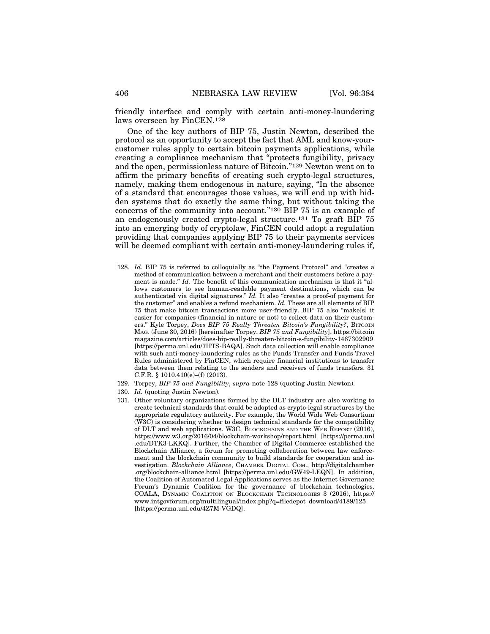friendly interface and comply with certain anti-money-laundering laws overseen by FinCEN.128

One of the key authors of BIP 75, Justin Newton, described the protocol as an opportunity to accept the fact that AML and know-yourcustomer rules apply to certain bitcoin payments applications, while creating a compliance mechanism that "protects fungibility, privacy and the open, permissionless nature of Bitcoin."129 Newton went on to affirm the primary benefits of creating such crypto-legal structures, namely, making them endogenous in nature, saying, "In the absence of a standard that encourages those values, we will end up with hidden systems that do exactly the same thing, but without taking the concerns of the community into account."130 BIP 75 is an example of an endogenously created crypto-legal structure.131 To graft BIP 75 into an emerging body of cryptolaw, FinCEN could adopt a regulation providing that companies applying BIP 75 to their payments services will be deemed compliant with certain anti-money-laundering rules if,

- 129. Torpey, *BIP 75 and Fungibility*, *supra* note 128 (quoting Justin Newton).
- 130. *Id.* (quoting Justin Newton).

<sup>128.</sup> *Id.* BIP 75 is referred to colloquially as "the Payment Protocol" and "creates a method of communication between a merchant and their customers before a payment is made." *Id.* The benefit of this communication mechanism is that it "allows customers to see human-readable payment destinations, which can be authenticated via digital signatures." *Id.* It also "creates a proof-of payment for the customer" and enables a refund mechanism. *Id.* These are all elements of BIP 75 that make bitcoin transactions more user-friendly. BIP 75 also "make[s] it easier for companies (financial in nature or not) to collect data on their customers." Kyle Torpey, *Does BIP 75 Really Threaten Bitcoin's Fungibility?*, BITCOIN MAG. (June 30, 2016) [hereinafter Torpey, *BIP 75 and Fungibility*], https://bitcoin magazine.com/articles/does-bip-really-threaten-bitcoin-s-fungibility-1467302909 [https://perma.unl.edu/7HTS-BAQA]. Such data collection will enable compliance with such anti-money-laundering rules as the Funds Transfer and Funds Travel Rules administered by FinCEN, which require financial institutions to transfer data between them relating to the senders and receivers of funds transfers. 31 C.F.R.  $§ 1010.410(e)–(f) (2013).$ 

<sup>131.</sup> Other voluntary organizations formed by the DLT industry are also working to create technical standards that could be adopted as crypto-legal structures by the appropriate regulatory authority. For example, the World Wide Web Consortium (W3C) is considering whether to design technical standards for the compatibility of DLT and web applications. W3C, BLOCKCHAINS AND THE WEB REPORT (2016), https://www.w3.org/2016/04/blockchain-workshop/report.html [https://perma.unl .edu/DTK3-LKKQ]. Further, the Chamber of Digital Commerce established the Blockchain Alliance, a forum for promoting collaboration between law enforcement and the blockchain community to build standards for cooperation and investigation. *Blockchain Alliance*, CHAMBER DIGITAL COM., http://digitalchamber .org/blockchain-alliance.html [https://perma.unl.edu/GW49-LEQN]. In addition, the Coalition of Automated Legal Applications serves as the Internet Governance Forum's Dynamic Coalition for the governance of blockchain technologies. COALA, DYNAMIC COALITION ON BLOCKCHAIN TECHNOLOGIES 3 (2016), https:// www.intgovforum.org/multilingual/index.php?q=filedepot\_download/4189/125 [https://perma.unl.edu/4Z7M-VGDQ].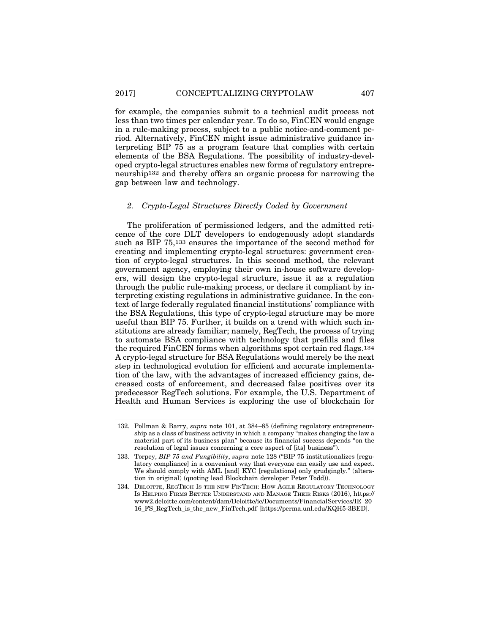for example, the companies submit to a technical audit process not less than two times per calendar year. To do so, FinCEN would engage in a rule-making process, subject to a public notice-and-comment period. Alternatively, FinCEN might issue administrative guidance interpreting BIP 75 as a program feature that complies with certain elements of the BSA Regulations. The possibility of industry-developed crypto-legal structures enables new forms of regulatory entrepreneurship132 and thereby offers an organic process for narrowing the gap between law and technology.

## *2. Crypto-Legal Structures Directly Coded by Government*

The proliferation of permissioned ledgers, and the admitted reticence of the core DLT developers to endogenously adopt standards such as BIP 75,133 ensures the importance of the second method for creating and implementing crypto-legal structures: government creation of crypto-legal structures. In this second method, the relevant government agency, employing their own in-house software developers, will design the crypto-legal structure, issue it as a regulation through the public rule-making process, or declare it compliant by interpreting existing regulations in administrative guidance. In the context of large federally regulated financial institutions' compliance with the BSA Regulations, this type of crypto-legal structure may be more useful than BIP 75. Further, it builds on a trend with which such institutions are already familiar; namely, RegTech, the process of trying to automate BSA compliance with technology that prefills and files the required FinCEN forms when algorithms spot certain red flags.134 A crypto-legal structure for BSA Regulations would merely be the next step in technological evolution for efficient and accurate implementation of the law, with the advantages of increased efficiency gains, decreased costs of enforcement, and decreased false positives over its predecessor RegTech solutions. For example, the U.S. Department of Health and Human Services is exploring the use of blockchain for

<sup>132.</sup> Pollman & Barry, *supra* note 101, at 384–85 (defining regulatory entrepreneurship as a class of business activity in which a company "makes changing the law a material part of its business plan" because its financial success depends "on the resolution of legal issues concerning a core aspect of [its] business<sup>"</sup>).

<sup>133.</sup> Torpey, *BIP 75 and Fungibility*, *supra* note 128 ("BIP 75 institutionalizes [regulatory compliance] in a convenient way that everyone can easily use and expect. We should comply with AML [and] KYC [regulations] only grudgingly." (alteration in original) (quoting lead Blockchain developer Peter Todd)).

<sup>134.</sup> DELOITTE, REGTECH IS THE NEW FINTECH: HOW AGILE REGULATORY TECHNOLOGY IS HELPING FIRMS BETTER UNDERSTAND AND MANAGE THEIR RISKS (2016), https:// www2.deloitte.com/content/dam/Deloitte/ie/Documents/FinancialServices/IE\_20 16\_FS\_RegTech\_is\_the\_new\_FinTech.pdf [https://perma.unl.edu/KQH5-3BED].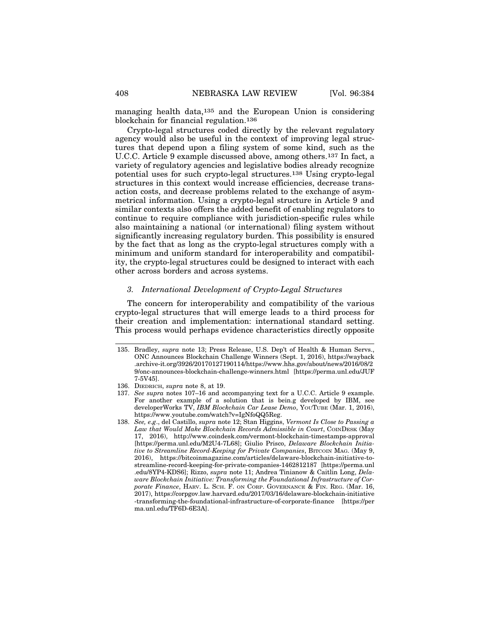managing health data,135 and the European Union is considering blockchain for financial regulation.136

Crypto-legal structures coded directly by the relevant regulatory agency would also be useful in the context of improving legal structures that depend upon a filing system of some kind, such as the U.C.C. Article 9 example discussed above, among others.137 In fact, a variety of regulatory agencies and legislative bodies already recognize potential uses for such crypto-legal structures.138 Using crypto-legal structures in this context would increase efficiencies, decrease transaction costs, and decrease problems related to the exchange of asymmetrical information. Using a crypto-legal structure in Article 9 and similar contexts also offers the added benefit of enabling regulators to continue to require compliance with jurisdiction-specific rules while also maintaining a national (or international) filing system without significantly increasing regulatory burden. This possibility is ensured by the fact that as long as the crypto-legal structures comply with a minimum and uniform standard for interoperability and compatibility, the crypto-legal structures could be designed to interact with each other across borders and across systems.

#### *3. International Development of Crypto-Legal Structures*

The concern for interoperability and compatibility of the various crypto-legal structures that will emerge leads to a third process for their creation and implementation: international standard setting. This process would perhaps evidence characteristics directly opposite

- 137. *See supra* notes 107–16 and accompanying text for a U.C.C. Article 9 example. For another example of a solution that is bein.g developed by IBM, see developerWorks TV, *IBM Blockchain Car Lease Demo*, YOUTUBE (Mar. 1, 2016), https://www.youtube.com/watch?v=IgNfoQQ5Reg.
- 138. *See, e.g*., del Castillo, *supra* note 12; Stan Higgins, *Vermont Is Close to Passing a* Law that Would Make Blockchain Records Admissible in Court, COINDESK (May 17, 2016), http://www.coindesk.com/vermont-blockchain-timestamps-approval [https://perma.unl.edu/M2U4-7L68]; Giulio Prisco, *Delaware Blockchain Initiative to Streamline Record-Keeping for Private Companies*, BITCOIN MAG. (May 9, 2016), https://bitcoinmagazine.com/articles/delaware-blockchain-initiative-tostreamline-record-keeping-for-private-companies-1462812187 [https://perma.unl .edu/8YP4-KDS6]; Rizzo, *supra* note 11; Andrea Tinianow & Caitlin Long, *Delaware Blockchain Initiative: Transforming the Foundational Infrastructure of Corporate Finance*, HARV. L. SCH. F. ON CORP. GOVERNANCE & FIN. REG. (Mar. 16, 2017), https://corpgov.law.harvard.edu/2017/03/16/delaware-blockchain-initiative -transforming-the-foundational-infrastructure-of-corporate-finance [https://per ma.unl.edu/TF6D-6E3A].

<sup>135.</sup> Bradley, *supra* note 13; Press Release, U.S. Dep't of Health & Human Servs., ONC Announces Blockchain Challenge Winners (Sept. 1, 2016), https://wayback .archive-it.org/3926/20170127190114/https://www.hhs.gov/about/news/2016/08/2 9/onc-announces-blockchain-challenge-winners.html [https://perma.unl.edu/JUF 7-5V45].

<sup>136.</sup> DIEDRICH, *supra* note 8, at 19.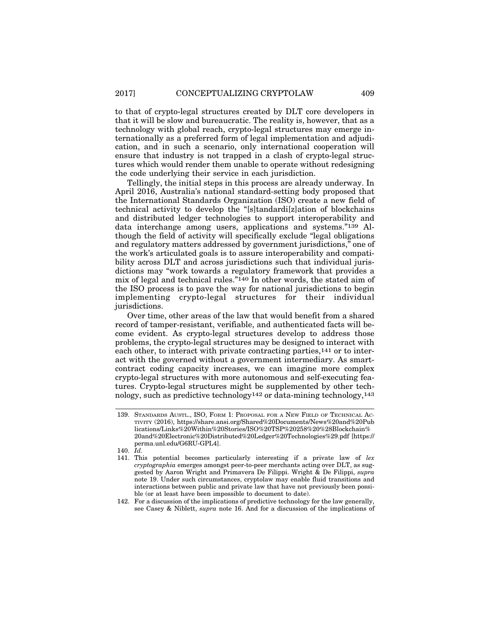to that of crypto-legal structures created by DLT core developers in that it will be slow and bureaucratic. The reality is, however, that as a technology with global reach, crypto-legal structures may emerge internationally as a preferred form of legal implementation and adjudication, and in such a scenario, only international cooperation will ensure that industry is not trapped in a clash of crypto-legal structures which would render them unable to operate without redesigning the code underlying their service in each jurisdiction.

Tellingly, the initial steps in this process are already underway. In April 2016, Australia's national standard-setting body proposed that the International Standards Organization (ISO) create a new field of technical activity to develop the "[s]tandardi[z]ation of blockchains and distributed ledger technologies to support interoperability and data interchange among users, applications and systems."139 Although the field of activity will specifically exclude "legal obligations and regulatory matters addressed by government jurisdictions," one of the work's articulated goals is to assure interoperability and compatibility across DLT and across jurisdictions such that individual jurisdictions may "work towards a regulatory framework that provides a mix of legal and technical rules."140 In other words, the stated aim of the ISO process is to pave the way for national jurisdictions to begin implementing crypto-legal structures for their individual jurisdictions.

Over time, other areas of the law that would benefit from a shared record of tamper-resistant, verifiable, and authenticated facts will become evident. As crypto-legal structures develop to address those problems, the crypto-legal structures may be designed to interact with each other, to interact with private contracting parties,141 or to interact with the governed without a government intermediary. As smartcontract coding capacity increases, we can imagine more complex crypto-legal structures with more autonomous and self-executing features. Crypto-legal structures might be supplemented by other technology, such as predictive technology142 or data-mining technology,143

<sup>139.</sup> STANDARDS AUSTL., ISO, FORM 1: PROPOSAL FOR A NEW FIELD OF TECHNICAL AC-TIVITY (2016), https://share.ansi.org/Shared%20Documents/News%20and%20Pub lications/Links%20Within%20Stories/ISO%20TSP%20258%20%28Blockchain% 20and%20Electronic%20Distributed%20Ledger%20Technologies%29.pdf [https:// perma.unl.edu/G6RU-GPL4].

<sup>140.</sup> *Id.*

<sup>141.</sup> This potential becomes particularly interesting if a private law of *lex cryptographia* emerges amongst peer-to-peer merchants acting over DLT, as suggested by Aaron Wright and Primavera De Filippi. Wright & De Filippi, *supra* note 19. Under such circumstances, cryptolaw may enable fluid transitions and interactions between public and private law that have not previously been possible (or at least have been impossible to document to date).

<sup>142.</sup> For a discussion of the implications of predictive technology for the law generally, see Casey & Niblett, *supra* note 16. And for a discussion of the implications of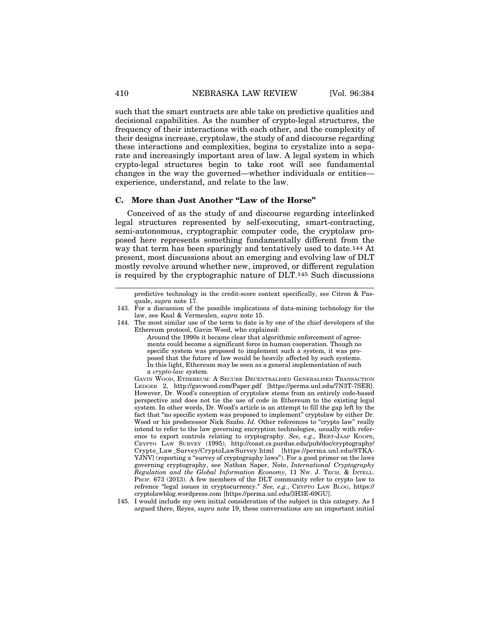such that the smart contracts are able take on predictive qualities and decisional capabilities. As the number of crypto-legal structures, the frequency of their interactions with each other, and the complexity of their designs increase, cryptolaw, the study of and discourse regarding these interactions and complexities, begins to crystalize into a separate and increasingly important area of law. A legal system in which crypto-legal structures begin to take root will see fundamental changes in the way the governed—whether individuals or entities experience, understand, and relate to the law.

## **C. More than Just Another "Law of the Horse"**

Conceived of as the study of and discourse regarding interlinked legal structures represented by self-executing, smart-contracting, semi-autonomous, cryptographic computer code, the cryptolaw proposed here represents something fundamentally different from the way that term has been sparingly and tentatively used to date.144 At present, most discussions about an emerging and evolving law of DLT mostly revolve around whether new, improved, or different regulation is required by the cryptographic nature of DLT.145 Such discussions

predictive technology in the credit-score context specifically, see Citron & Pasquale, *supra* note 17.

<sup>143.</sup> For a discussion of the possible implications of data-mining technology for the law, see Kaal & Vermeulen, *supra* note 15.

<sup>144.</sup> The most similar use of the term to date is by one of the chief developers of the Ethereum protocol, Gavin Wood, who explained:

Around the 1990s it became clear that algorithmic enforcement of agreements could become a significant force in human cooperation. Though no specific system was proposed to implement such a system, it was proposed that the future of law would be heavily affected by such systems. In this light, Ethereum may be seen as a general implementation of such a *crypto-law* system.

GAVIN WOOD, ETHEREUM: A SECURE DECENTRALISED GENERALISED TRANSACTION LEDGER 2, http://gavwood.com/Paper.pdf [https://perma.unl.edu/7N3T-7SER]. However, Dr. Wood's conception of cryptolaw stems from an entirely code-based perspective and does not tie the use of code in Ethereum to the existing legal system. In other words, Dr. Wood's article is an attempt to fill the gap left by the fact that "no specific system was proposed to implement" cryptolaw by either Dr. Wood or his predecessor Nick Szabo. *Id.* Other references to "crypto law" really intend to refer to the law governing encryption technologies, usually with reference to export controls relating to cryptography. *See, e.g*., BERT-JAAP KOOPS, CRYPTO LAW SURVEY (1995), http://coast.cs.purdue.edu/pub/doc/cryptography/ Crypto\_Law\_Survey/CryptoLawSurvey.html [https://perma.unl.edu/8TKA-YJNV] (reporting a "survey of cryptography laws"). For a good primer on the laws governing cryptography, see Nathan Saper, Note, *International Cryptography Regulation and the Global Information Economy*, 11 NW. J. TECH. & INTELL. PROP. 673 (2013). A few members of the DLT community refer to crypto law to refrence "legal issues in cryptocurrency." *See, e.g*., CRYPTO LAW BLOG, https:// cryptolawblog.wordpress.com [https://perma.unl.edu/3H3E-69GU].

<sup>145.</sup> I would include my own initial consideration of the subject in this category. As I argued there, Reyes, *supra* note 19, these conversations are an important initial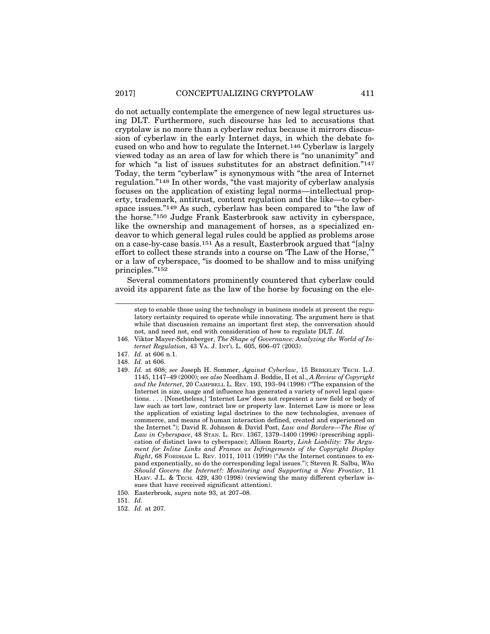do not actually contemplate the emergence of new legal structures using DLT. Furthermore, such discourse has led to accusations that cryptolaw is no more than a cyberlaw redux because it mirrors discussion of cyberlaw in the early Internet days, in which the debate focused on who and how to regulate the Internet.146 Cyberlaw is largely viewed today as an area of law for which there is "no unanimity" and for which "a list of issues substitutes for an abstract definition."147 Today, the term "cyberlaw" is synonymous with "the area of Internet regulation."148 In other words, "the vast majority of cyberlaw analysis focuses on the application of existing legal norms—intellectual property, trademark, antitrust, content regulation and the like—to cyberspace issues."149 As such, cyberlaw has been compared to "the law of the horse."150 Judge Frank Easterbrook saw activity in cyberspace, like the ownership and management of horses, as a specialized endeavor to which general legal rules could be applied as problems arose on a case-by-case basis.151 As a result, Easterbrook argued that "[a]ny effort to collect these strands into a course on 'The Law of the Horse,'" or a law of cyberspace, "is doomed to be shallow and to miss unifying principles."152

Several commentators prominently countered that cyberlaw could avoid its apparent fate as the law of the horse by focusing on the ele-

- 148. *Id.* at 606.
- 149. *Id.* at 608; *see* Joseph H. Sommer, *Against Cyberlaw*, 15 BERKELEY TECH. L.J. 1145, 1147–49 (2000); *see also* Needham J. Boddie, II et al., *A Review of Copyright and the Internet*, 20 CAMPBELL L. REV. 193, 193–94 (1998) ("The expansion of the Internet in size, usage and influence has generated a variety of novel legal questions. . . . [Nonetheless,] 'Internet Law' does not represent a new field or body of law such as tort law, contract law or property law. Internet Law is more or less the application of existing legal doctrines to the new technologies, avenues of commerce, and means of human interaction defined, created and experienced on the Internet."); David R. Johnson & David Post, *Law and Borders—The Rise of Law in Cyberspace*, 48 STAN. L. REV. 1367, 1379–1400 (1996) (prescribing application of distinct laws to cyberspace); Allison Roarty, *Link Liability: The Argument for Inline Links and Frames as Infringements of the Copyright Display Right*, 68 FORDHAM L. REV. 1011, 1011 (1999) ("As the Internet continues to expand exponentially, so do the corresponding legal issues."); Steven R. Salbu, *Who Should Govern the Internet?: Monitoring and Supporting a New Frontier*, 11 HARV. J.L. & TECH. 429, 430 (1998) (reviewing the many different cyberlaw issues that have received significant attention).
- 150. Easterbrook, *supra* note 93, at 207–08.
- 151. *Id.*
- 152. *Id.* at 207.

step to enable those using the technology in business models at present the regulatory certainty required to operate while innovating. The argument here is that while that discussion remains an important first step, the conversation should not, and need not, end with consideration of how to regulate DLT. *Id.*

<sup>146.</sup> Viktor Mayer-Schönberger, The Shape of Governance: Analyzing the World of In*ternet Regulation*, 43 VA. J. INT'L L. 605, 606–07 (2003).

<sup>147.</sup> *Id.* at 606 n.1.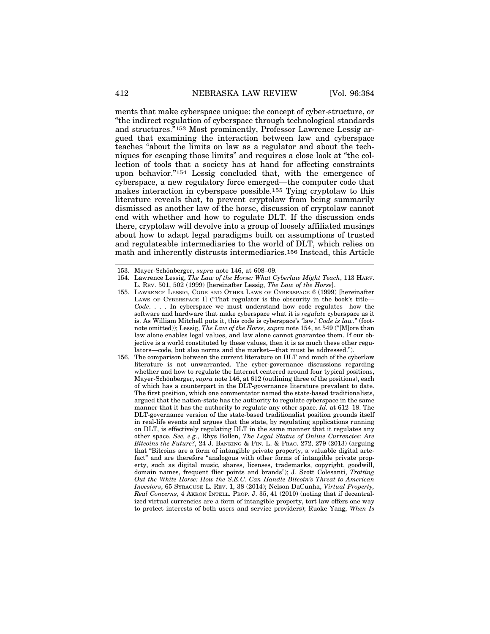ments that make cyberspace unique: the concept of cyber-structure, or "the indirect regulation of cyberspace through technological standards and structures."153 Most prominently, Professor Lawrence Lessig argued that examining the interaction between law and cyberspace teaches "about the limits on law as a regulator and about the techniques for escaping those limits" and requires a close look at "the collection of tools that a society has at hand for affecting constraints upon behavior."154 Lessig concluded that, with the emergence of cyberspace, a new regulatory force emerged—the computer code that makes interaction in cyberspace possible.155 Tying cryptolaw to this literature reveals that, to prevent cryptolaw from being summarily dismissed as another law of the horse, discussion of cryptolaw cannot end with whether and how to regulate DLT. If the discussion ends there, cryptolaw will devolve into a group of loosely affiliated musings about how to adapt legal paradigms built on assumptions of trusted and regulateable intermediaries to the world of DLT, which relies on math and inherently distrusts intermediaries.156 Instead, this Article

<sup>153.</sup> Mayer-Schönberger, *supra* note 146, at 608–09.

<sup>154.</sup> Lawrence Lessig, *The Law of the Horse: What Cyberlaw Might Teach*, 113 HARV. L. REV. 501, 502 (1999) [hereinafter Lessig, *The Law of the Horse*].

<sup>155.</sup> LAWRENCE LESSIG, CODE AND OTHER LAWS OF CYBERSPACE 6 (1999) [hereinafter LAWS OF CYBERSPACE I] ("That regulator is the obscurity in the book's title— *Code*. . . . In cyberspace we must understand how code regulates—how the software and hardware that make cyberspace what it is *regulate* cyberspace as it is. As William Mitchell puts it, this code is cyberspace's 'law.' *Code is law.*" (footnote omitted)); Lessig, *The Law of the Horse*, *supra* note 154, at 549 ("[M]ore than law alone enables legal values, and law alone cannot guarantee them. If our objective is a world constituted by these values, then it is as much these other regulators—code, but also norms and the market—that must be addressed.").

<sup>156.</sup> The comparison between the current literature on DLT and much of the cyberlaw literature is not unwarranted. The cyber-governance discussions regarding whether and how to regulate the Internet centered around four typical positions, Mayer-Schönberger, *supra* note 146, at 612 (outlining three of the positions), each of which has a counterpart in the DLT-governance literature prevalent to date. The first position, which one commentator named the state-based traditionalists, argued that the nation-state has the authority to regulate cyberspace in the same manner that it has the authority to regulate any other space. *Id.* at 612–18. The DLT-governance version of the state-based traditionalist position grounds itself in real-life events and argues that the state, by regulating applications running on DLT, is effectively regulating DLT in the same manner that it regulates any other space. *See, e.g.*, Rhys Bollen, *The Legal Status of Online Currencies: Are Bitcoins the Future?*, 24 J. BANKING & FIN. L. & PRAC. 272, 279 (2013) (arguing that "Bitcoins are a form of intangible private property, a valuable digital artefact" and are therefore "analogous with other forms of intangible private property, such as digital music, shares, licenses, trademarks, copyright, goodwill, domain names, frequent flier points and brands"); J. Scott Colesanti, *Trotting Out the White Horse: How the S.E.C. Can Handle Bitcoin's Threat to American Investors*, 65 SYRACUSE L. REV. 1, 38 (2014); Nelson DaCunha, *Virtual Property, Real Concerns*, 4 AKRON INTELL. PROP. J. 35, 41 (2010) (noting that if decentralized virtual currencies are a form of intangible property, tort law offers one way to protect interests of both users and service providers); Ruoke Yang, *When Is*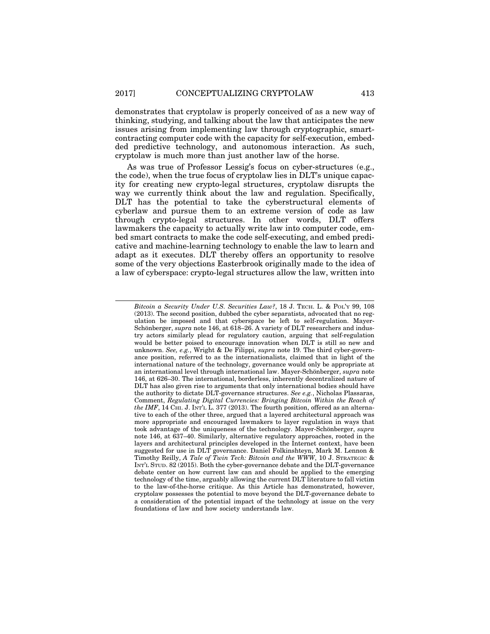demonstrates that cryptolaw is properly conceived of as a new way of thinking, studying, and talking about the law that anticipates the new issues arising from implementing law through cryptographic, smartcontracting computer code with the capacity for self-execution, embedded predictive technology, and autonomous interaction. As such, cryptolaw is much more than just another law of the horse.

As was true of Professor Lessig's focus on cyber-structures (e.g., the code), when the true focus of cryptolaw lies in DLT's unique capacity for creating new crypto-legal structures, cryptolaw disrupts the way we currently think about the law and regulation. Specifically, DLT has the potential to take the cyberstructural elements of cyberlaw and pursue them to an extreme version of code as law through crypto-legal structures. In other words, DLT offers lawmakers the capacity to actually write law into computer code, embed smart contracts to make the code self-executing, and embed predicative and machine-learning technology to enable the law to learn and adapt as it executes. DLT thereby offers an opportunity to resolve some of the very objections Easterbrook originally made to the idea of a law of cyberspace: crypto-legal structures allow the law, written into

*Bitcoin a Security Under U.S. Securities Law?*, 18 J. TECH. L. & POL'Y 99, 108 (2013). The second position, dubbed the cyber separatists, advocated that no regulation be imposed and that cyberspace be left to self-regulation. Mayer-Schönberger, *supra* note 146, at 618–26. A variety of DLT researchers and industry actors similarly plead for regulatory caution, arguing that self-regulation would be better poised to encourage innovation when DLT is still so new and unknown. *See, e.g.*, Wright & De Filippi, *supra* note 19. The third cyber-governance position, referred to as the internationalists, claimed that in light of the international nature of the technology, governance would only be appropriate at an international level through international law. Mayer-Schönberger, *supra* note 146, at 626–30. The international, borderless, inherently decentralized nature of DLT has also given rise to arguments that only international bodies should have the authority to dictate DLT-governance structures. *See e.g.*, Nicholas Plassaras, Comment, *Regulating Digital Currencies: Bringing Bitcoin Within the Reach of the IMF*, 14 CHI. J. INT'L L. 377 (2013). The fourth position, offered as an alternative to each of the other three, argued that a layered architectural approach was more appropriate and encouraged lawmakers to layer regulation in ways that took advantage of the uniqueness of the technology. Mayer-Schönberger, *supra* note 146, at 637–40. Similarly, alternative regulatory approaches, rooted in the layers and architectural principles developed in the Internet context, have been suggested for use in DLT governance. Daniel Folkinshteyn, Mark M. Lennon & Timothy Reilly, *A Tale of Twin Tech: Bitcoin and the WWW*, 10 J. STRATEGIC & INT'L STUD. 82 (2015). Both the cyber-governance debate and the DLT-governance debate center on how current law can and should be applied to the emerging technology of the time, arguably allowing the current DLT literature to fall victim to the law-of-the-horse critique. As this Article has demonstrated, however, cryptolaw possesses the potential to move beyond the DLT-governance debate to a consideration of the potential impact of the technology at issue on the very foundations of law and how society understands law.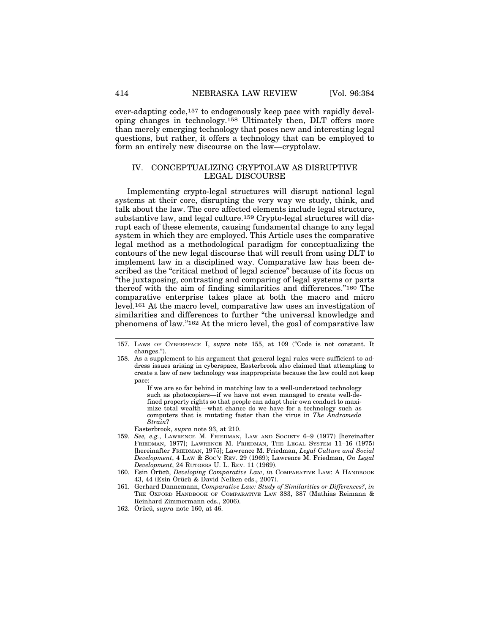ever-adapting code,157 to endogenously keep pace with rapidly developing changes in technology.158 Ultimately then, DLT offers more than merely emerging technology that poses new and interesting legal questions, but rather, it offers a technology that can be employed to form an entirely new discourse on the law—cryptolaw.

## IV. CONCEPTUALIZING CRYPTOLAW AS DISRUPTIVE LEGAL DISCOURSE

Implementing crypto-legal structures will disrupt national legal systems at their core, disrupting the very way we study, think, and talk about the law. The core affected elements include legal structure, substantive law, and legal culture.159 Crypto-legal structures will disrupt each of these elements, causing fundamental change to any legal system in which they are employed. This Article uses the comparative legal method as a methodological paradigm for conceptualizing the contours of the new legal discourse that will result from using DLT to implement law in a disciplined way. Comparative law has been described as the "critical method of legal science" because of its focus on "the juxtaposing, contrasting and comparing of legal systems or parts thereof with the aim of finding similarities and differences."160 The comparative enterprise takes place at both the macro and micro level.161 At the macro level, comparative law uses an investigation of similarities and differences to further "the universal knowledge and phenomena of law."162 At the micro level, the goal of comparative law

If we are so far behind in matching law to a well-understood technology such as photocopiers—if we have not even managed to create well-defined property rights so that people can adapt their own conduct to maximize total wealth—what chance do we have for a technology such as computers that is mutating faster than the virus in *The Andromeda Strain*?

Easterbrook, *supra* note 93, at 210.

- 159. *See, e.g.*, LAWRENCE M. FRIEDMAN, LAW AND SOCIETY 6–9 (1977) [hereinafter FRIEDMAN, 1977]; LAWRENCE M. FRIEDMAN, THE LEGAL SYSTEM 11-16 (1975) [hereinafter FRIEDMAN, 1975]; Lawrence M. Friedman, *Legal Culture and Social Development*, 4 LAW & SOC'Y REV. 29 (1969); Lawrence M. Friedman, *On Legal Development*, 24 RUTGERS U. L. REV. 11 (1969).
- 160. Esin Örücü, *Developing Comparative Law*, *in* COMPARATIVE LAW: A HANDBOOK 43, 44 (Esin Örücü & David Nelken eds., 2007).
- 161. Gerhard Dannemann, *Comparative Law: Study of Similarities or Differences?*, *in* THE OXFORD HANDBOOK OF COMPARATIVE LAW 383, 387 (Mathias Reimann & Reinhard Zimmermann eds., 2006).
- 162. Örücü, *supra* note 160, at 46.

<sup>157.</sup> LAWS OF CYBERSPACE I, *supra* note 155, at 109 ("Code is not constant. It changes.").

<sup>158.</sup> As a supplement to his argument that general legal rules were sufficient to address issues arising in cyberspace, Easterbrook also claimed that attempting to create a law of new technology was inappropriate because the law could not keep pace: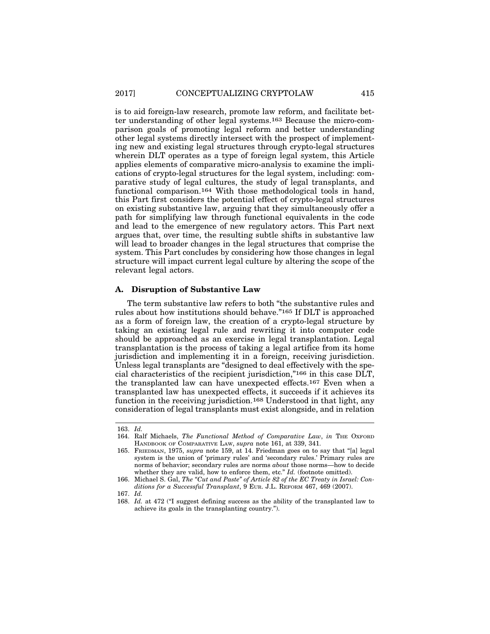is to aid foreign-law research, promote law reform, and facilitate better understanding of other legal systems.163 Because the micro-comparison goals of promoting legal reform and better understanding other legal systems directly intersect with the prospect of implementing new and existing legal structures through crypto-legal structures wherein DLT operates as a type of foreign legal system, this Article applies elements of comparative micro-analysis to examine the implications of crypto-legal structures for the legal system, including: comparative study of legal cultures, the study of legal transplants, and functional comparison.164 With those methodological tools in hand, this Part first considers the potential effect of crypto-legal structures on existing substantive law, arguing that they simultaneously offer a path for simplifying law through functional equivalents in the code and lead to the emergence of new regulatory actors. This Part next argues that, over time, the resulting subtle shifts in substantive law will lead to broader changes in the legal structures that comprise the system. This Part concludes by considering how those changes in legal structure will impact current legal culture by altering the scope of the relevant legal actors.

#### **A. Disruption of Substantive Law**

The term substantive law refers to both "the substantive rules and rules about how institutions should behave."165 If DLT is approached as a form of foreign law, the creation of a crypto-legal structure by taking an existing legal rule and rewriting it into computer code should be approached as an exercise in legal transplantation. Legal transplantation is the process of taking a legal artifice from its home jurisdiction and implementing it in a foreign, receiving jurisdiction. Unless legal transplants are "designed to deal effectively with the special characteristics of the recipient jurisdiction,"166 in this case DLT, the transplanted law can have unexpected effects.167 Even when a transplanted law has unexpected effects, it succeeds if it achieves its function in the receiving jurisdiction.168 Understood in that light, any consideration of legal transplants must exist alongside, and in relation

<sup>163.</sup> *Id.*

<sup>164.</sup> Ralf Michaels, *The Functional Method of Comparative Law*, *in* THE OXFORD HANDBOOK OF COMPARATIVE LAW, *supra* note 161, at 339, 341.

<sup>165.</sup> FRIEDMAN, 1975, *supra* note 159, at 14. Friedman goes on to say that "[a] legal system is the union of 'primary rules' and 'secondary rules.' Primary rules are norms of behavior; secondary rules are norms *about* those norms—how to decide whether they are valid, how to enforce them, etc." *Id.* (footnote omitted).

<sup>166.</sup> Michael S. Gal, *The "Cut and Paste" of Article 82 of the EC Treaty in Israel: Con*ditions for a Successful Transplant, 9 EUR. J.L. REFORM 467, 469 (2007).

<sup>167.</sup> *Id.*

<sup>168.</sup> *Id.* at 472 ("I suggest defining success as the ability of the transplanted law to achieve its goals in the transplanting country.").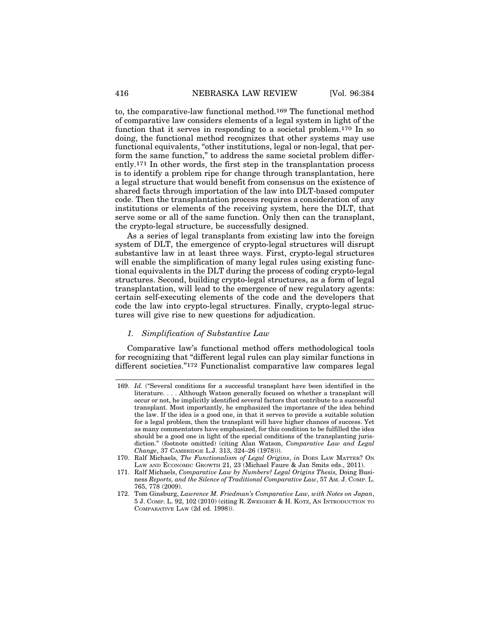to, the comparative-law functional method.169 The functional method of comparative law considers elements of a legal system in light of the function that it serves in responding to a societal problem.170 In so doing, the functional method recognizes that other systems may use functional equivalents, "other institutions, legal or non-legal, that perform the same function," to address the same societal problem differently.171 In other words, the first step in the transplantation process is to identify a problem ripe for change through transplantation, here a legal structure that would benefit from consensus on the existence of shared facts through importation of the law into DLT-based computer code. Then the transplantation process requires a consideration of any institutions or elements of the receiving system, here the DLT, that serve some or all of the same function. Only then can the transplant, the crypto-legal structure, be successfully designed.

As a series of legal transplants from existing law into the foreign system of DLT, the emergence of crypto-legal structures will disrupt substantive law in at least three ways. First, crypto-legal structures will enable the simplification of many legal rules using existing functional equivalents in the DLT during the process of coding crypto-legal structures. Second, building crypto-legal structures, as a form of legal transplantation, will lead to the emergence of new regulatory agents: certain self-executing elements of the code and the developers that code the law into crypto-legal structures. Finally, crypto-legal structures will give rise to new questions for adjudication.

#### *1. Simplification of Substantive Law*

Comparative law's functional method offers methodological tools for recognizing that "different legal rules can play similar functions in different societies."172 Functionalist comparative law compares legal

<sup>169.</sup> *Id.* ("Several conditions for a successful transplant have been identified in the literature. . . . Although Watson generally focused on whether a transplant will occur or not, he implicitly identified several factors that contribute to a successful transplant. Most importantly, he emphasized the importance of the idea behind the law. If the idea is a good one, in that it serves to provide a suitable solution for a legal problem, then the transplant will have higher chances of success. Yet as many commentators have emphasized, for this condition to be fulfilled the idea should be a good one in light of the special conditions of the transplanting jurisdiction." (footnote omitted) (citing Alan Watson, *Comparative Law and Legal Change*, 37 CAMBRIDGE L.J. 313, 324–26 (1978))).

<sup>170.</sup> Ralf Michaels, *The Functionalism of Legal Origins*, *in* DOES LAW MATTER? ON LAW AND ECONOMIC GROWTH 21, 23 (Michael Faure & Jan Smits eds., 2011).

<sup>171.</sup> Ralf Michaels, *Comparative Law by Numbers? Legal Origins Thesis,* Doing Business *Reports, and the Silence of Traditional Comparative Law*, 57 AM. J. COMP. L. 765, 778 (2009).

<sup>172.</sup> Tom Ginsburg, *Lawrence M. Friedman's Comparative Law, with Notes on Japan*, 5 J. COMP. L. 92, 102 (2010) (citing R. ZWEIGERT & H. KOTZ, AN INTRODUCTION TO COMPARATIVE LAW (2d ed. 1998)).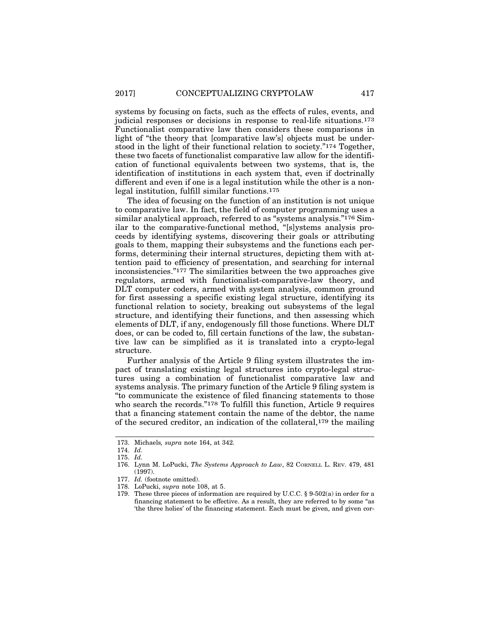systems by focusing on facts, such as the effects of rules, events, and judicial responses or decisions in response to real-life situations.173 Functionalist comparative law then considers these comparisons in light of "the theory that [comparative law's] objects must be understood in the light of their functional relation to society."174 Together, these two facets of functionalist comparative law allow for the identification of functional equivalents between two systems, that is, the identification of institutions in each system that, even if doctrinally different and even if one is a legal institution while the other is a nonlegal institution, fulfill similar functions.175

The idea of focusing on the function of an institution is not unique to comparative law. In fact, the field of computer programming uses a similar analytical approach, referred to as "systems analysis."<sup>176</sup> Similar to the comparative-functional method, "[s]ystems analysis proceeds by identifying systems, discovering their goals or attributing goals to them, mapping their subsystems and the functions each performs, determining their internal structures, depicting them with attention paid to efficiency of presentation, and searching for internal inconsistencies."177 The similarities between the two approaches give regulators, armed with functionalist-comparative-law theory, and DLT computer coders, armed with system analysis, common ground for first assessing a specific existing legal structure, identifying its functional relation to society, breaking out subsystems of the legal structure, and identifying their functions, and then assessing which elements of DLT, if any, endogenously fill those functions. Where DLT does, or can be coded to, fill certain functions of the law, the substantive law can be simplified as it is translated into a crypto-legal structure.

Further analysis of the Article 9 filing system illustrates the impact of translating existing legal structures into crypto-legal structures using a combination of functionalist comparative law and systems analysis. The primary function of the Article 9 filing system is "to communicate the existence of filed financing statements to those who search the records."<sup>178</sup> To fulfill this function, Article 9 requires that a financing statement contain the name of the debtor, the name of the secured creditor, an indication of the collateral,179 the mailing

<sup>173.</sup> Michaels*, supra* note 164, at 342.

<sup>174.</sup> *Id.*

<sup>175.</sup> *Id.*

<sup>176.</sup> Lynn M. LoPucki, *The Systems Approach to Law*, 82 CORNELL L. REV. 479, 481  $(1997)$ .

<sup>177.</sup> *Id.* (footnote omitted).

<sup>178.</sup> LoPucki, *supra* note 108, at 5.

<sup>179.</sup> These three pieces of information are required by U.C.C. § 9-502(a) in order for a financing statement to be effective. As a result, they are referred to by some "as 'the three holies' of the financing statement. Each must be given, and given cor-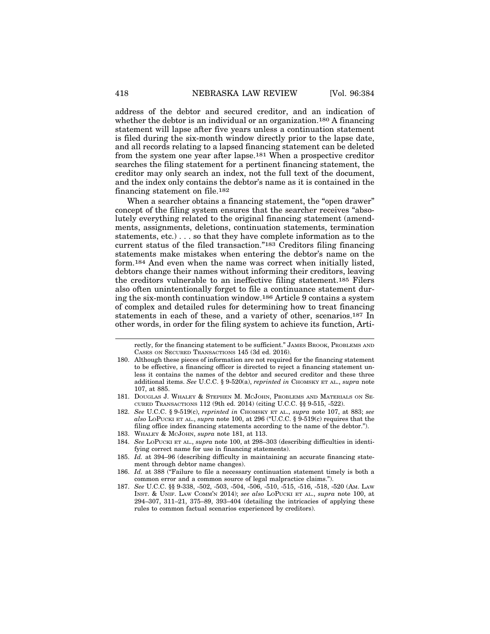address of the debtor and secured creditor, and an indication of whether the debtor is an individual or an organization.<sup>180</sup> A financing statement will lapse after five years unless a continuation statement is filed during the six-month window directly prior to the lapse date, and all records relating to a lapsed financing statement can be deleted from the system one year after lapse.181 When a prospective creditor searches the filing statement for a pertinent financing statement, the creditor may only search an index, not the full text of the document, and the index only contains the debtor's name as it is contained in the financing statement on file.182

When a searcher obtains a financing statement, the "open drawer" concept of the filing system ensures that the searcher receives "absolutely everything related to the original financing statement (amendments, assignments, deletions, continuation statements, termination statements, etc.) . . . so that they have complete information as to the current status of the filed transaction."183 Creditors filing financing statements make mistakes when entering the debtor's name on the form.184 And even when the name was correct when initially listed, debtors change their names without informing their creditors, leaving the creditors vulnerable to an ineffective filing statement.185 Filers also often unintentionally forget to file a continuance statement during the six-month continuation window.186 Article 9 contains a system of complex and detailed rules for determining how to treat financing statements in each of these, and a variety of other, scenarios.187 In other words, in order for the filing system to achieve its function, Arti-

183. WHALEY & MCJOHN, *supra* note 181, at 113.

rectly, for the financing statement to be sufficient." JAMES BROOK, PROBLEMS AND CASES ON SECURED TRANSACTIONS 145 (3d ed. 2016).

<sup>180.</sup> Although these pieces of information are not required for the financing statement to be effective, a financing officer is directed to reject a financing statement unless it contains the names of the debtor and secured creditor and these three additional items. See U.C.C. § 9-520(a), *reprinted in* CHOMSKY ET AL., *supra* note 107, at 885.

<sup>181.</sup> DOUGLAS J. WHALEY & STEPHEN M. MCJOHN, PROBLEMS AND MATERIALS ON SE-CURED TRANSACTIONS 112 (9th ed. 2014) (citing U.C.C. §§ 9-515, -522).

<sup>182.</sup> *See* U.C.C. § 9-519(c), *reprinted in* CHOMSKY ET AL., *supra* note 107, at 883; *see also* LOPUCKI ET AL., *supra* note 100, at 296 ("U.C.C. § 9-519(c) requires that the filing office index financing statements according to the name of the debtor.").

<sup>184.</sup> *See* LOPUCKI ET AL., *supra* note 100, at 298–303 (describing difficulties in identifying correct name for use in financing statements).

<sup>185.</sup> *Id.* at 394–96 (describing difficulty in maintaining an accurate financing statement through debtor name changes).

<sup>186.</sup> *Id.* at 388 ("Failure to file a necessary continuation statement timely is both a common error and a common source of legal malpractice claims.").

<sup>187.</sup> *See* U.C.C. §§ 9-338, -502, -503, -504, -506, -510, -515, -516, -518, -520 (AM. LAW INST. & UNIF. LAW COMM'N 2014); *see also* LOPUCKI ET AL., *supra* note 100, at  $294-307$ ,  $311-21$ ,  $375-89$ ,  $393-404$  (detailing the intricacies of applying these rules to common factual scenarios experienced by creditors).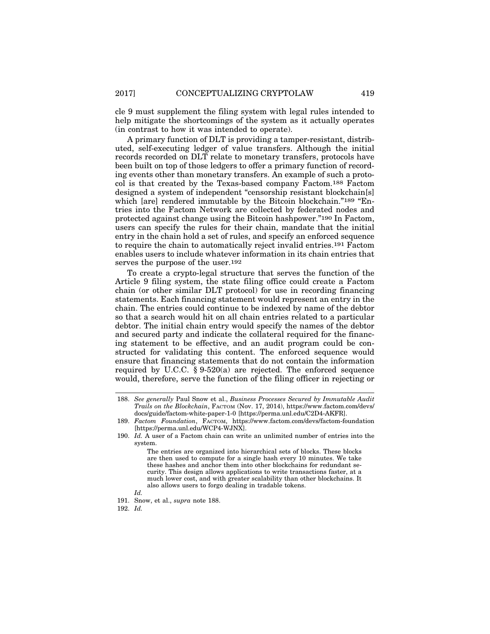cle 9 must supplement the filing system with legal rules intended to help mitigate the shortcomings of the system as it actually operates (in contrast to how it was intended to operate).

A primary function of DLT is providing a tamper-resistant, distributed, self-executing ledger of value transfers. Although the initial records recorded on DLT relate to monetary transfers, protocols have been built on top of those ledgers to offer a primary function of recording events other than monetary transfers. An example of such a protocol is that created by the Texas-based company Factom.188 Factom designed a system of independent "censorship resistant blockchain[s] which [are] rendered immutable by the Bitcoin blockchain."<sup>189</sup> "Entries into the Factom Network are collected by federated nodes and protected against change using the Bitcoin hashpower."190 In Factom, users can specify the rules for their chain, mandate that the initial entry in the chain hold a set of rules, and specify an enforced sequence to require the chain to automatically reject invalid entries.191 Factom enables users to include whatever information in its chain entries that serves the purpose of the user.192

To create a crypto-legal structure that serves the function of the Article 9 filing system, the state filing office could create a Factom chain (or other similar DLT protocol) for use in recording financing statements. Each financing statement would represent an entry in the chain. The entries could continue to be indexed by name of the debtor so that a search would hit on all chain entries related to a particular debtor. The initial chain entry would specify the names of the debtor and secured party and indicate the collateral required for the financing statement to be effective, and an audit program could be constructed for validating this content. The enforced sequence would ensure that financing statements that do not contain the information required by U.C.C.  $\S 9-520(a)$  are rejected. The enforced sequence would, therefore, serve the function of the filing officer in rejecting or

<sup>188.</sup> *See generally* Paul Snow et al., *Business Processes Secured by Immutable Audit Trails on the Blockchain*, FACTOM (Nov. 17, 2014), https://www.factom.com/devs/ docs/guide/factom-white-paper-1-0 [https://perma.unl.edu/C2D4-AKFR].

<sup>189.</sup> *Factom Foundation*, FACTOM, https://www.factom.com/devs/factom-foundation [https://perma.unl.edu/WCP4-WJNX].

<sup>190.</sup> *Id.* A user of a Factom chain can write an unlimited number of entries into the system.

The entries are organized into hierarchical sets of blocks. These blocks are then used to compute for a single hash every 10 minutes. We take these hashes and anchor them into other blockchains for redundant security. This design allows applications to write transactions faster, at a much lower cost, and with greater scalability than other blockchains. It also allows users to forgo dealing in tradable tokens.

*Id.*

<sup>191.</sup> Snow, et al., *supra* note 188.

<sup>192.</sup> *Id.*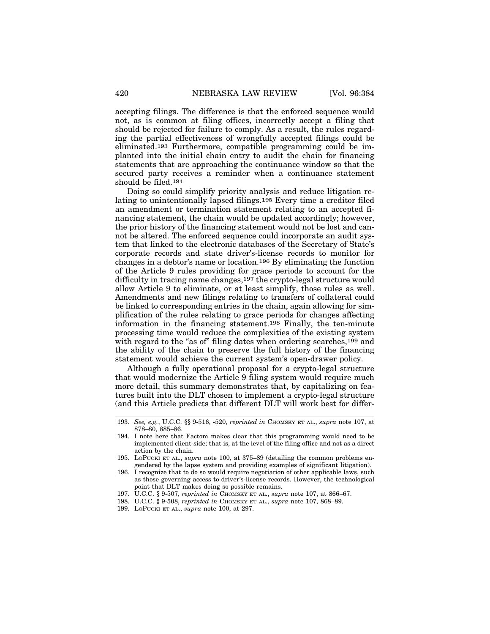accepting filings. The difference is that the enforced sequence would not, as is common at filing offices, incorrectly accept a filing that should be rejected for failure to comply. As a result, the rules regarding the partial effectiveness of wrongfully accepted filings could be eliminated.193 Furthermore, compatible programming could be implanted into the initial chain entry to audit the chain for financing statements that are approaching the continuance window so that the secured party receives a reminder when a continuance statement should be filed.194

Doing so could simplify priority analysis and reduce litigation relating to unintentionally lapsed filings.195 Every time a creditor filed an amendment or termination statement relating to an accepted financing statement, the chain would be updated accordingly; however, the prior history of the financing statement would not be lost and cannot be altered. The enforced sequence could incorporate an audit system that linked to the electronic databases of the Secretary of State's corporate records and state driver's-license records to monitor for changes in a debtor's name or location.196 By eliminating the function of the Article 9 rules providing for grace periods to account for the difficulty in tracing name changes,197 the crypto-legal structure would allow Article 9 to eliminate, or at least simplify, those rules as well. Amendments and new filings relating to transfers of collateral could be linked to corresponding entries in the chain, again allowing for simplification of the rules relating to grace periods for changes affecting information in the financing statement.198 Finally, the ten-minute processing time would reduce the complexities of the existing system with regard to the "as of" filing dates when ordering searches,<sup>199</sup> and the ability of the chain to preserve the full history of the financing statement would achieve the current system's open-drawer policy.

Although a fully operational proposal for a crypto-legal structure that would modernize the Article 9 filing system would require much more detail, this summary demonstrates that, by capitalizing on features built into the DLT chosen to implement a crypto-legal structure (and this Article predicts that different DLT will work best for differ-

<sup>193.</sup> *See, e.g.*, U.C.C. §§ 9-516, -520, *reprinted in* CHOMSKY ET AL., *supra* note 107, at 878–80, 885–86.

<sup>194.</sup> I note here that Factom makes clear that this programming would need to be implemented client-side; that is, at the level of the filing office and not as a direct action by the chain.

<sup>195.</sup> LOPUCKI ET AL., *supra* note 100, at 375–89 (detailing the common problems engendered by the lapse system and providing examples of significant litigation).

<sup>196.</sup> I recognize that to do so would require negotiation of other applicable laws, such as those governing access to driver's-license records. However, the technological point that DLT makes doing so possible remains.

<sup>197.</sup> U.C.C. § 9-507, *reprinted in* CHOMSKY ET AL., *supra* note 107, at 866–67.

<sup>198.</sup> U.C.C. § 9-508, *reprinted in* CHOMSKY ET AL., *supra* note 107, 868–89.

<sup>199.</sup> LOPUCKI ET AL., *supra* note 100, at 297.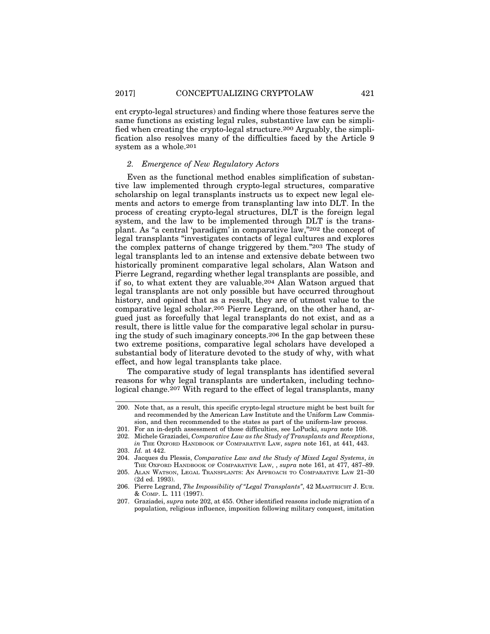ent crypto-legal structures) and finding where those features serve the same functions as existing legal rules, substantive law can be simplified when creating the crypto-legal structure.200 Arguably, the simplification also resolves many of the difficulties faced by the Article 9 system as a whole.201

#### *2. Emergence of New Regulatory Actors*

Even as the functional method enables simplification of substantive law implemented through crypto-legal structures, comparative scholarship on legal transplants instructs us to expect new legal elements and actors to emerge from transplanting law into DLT. In the process of creating crypto-legal structures, DLT is the foreign legal system, and the law to be implemented through DLT is the transplant. As "a central 'paradigm' in comparative law,"202 the concept of legal transplants "investigates contacts of legal cultures and explores the complex patterns of change triggered by them."203 The study of legal transplants led to an intense and extensive debate between two historically prominent comparative legal scholars, Alan Watson and Pierre Legrand, regarding whether legal transplants are possible, and if so, to what extent they are valuable.204 Alan Watson argued that legal transplants are not only possible but have occurred throughout history, and opined that as a result, they are of utmost value to the comparative legal scholar.205 Pierre Legrand, on the other hand, argued just as forcefully that legal transplants do not exist, and as a result, there is little value for the comparative legal scholar in pursuing the study of such imaginary concepts.206 In the gap between these two extreme positions, comparative legal scholars have developed a substantial body of literature devoted to the study of why, with what effect, and how legal transplants take place.

The comparative study of legal transplants has identified several reasons for why legal transplants are undertaken, including technological change.207 With regard to the effect of legal transplants, many

<sup>200.</sup> Note that, as a result, this specific crypto-legal structure might be best built for and recommended by the American Law Institute and the Uniform Law Commission, and then recommended to the states as part of the uniform-law process.

<sup>201.</sup> For an in-depth assessment of those difficulties, see LoPucki, *supra* note 108.

<sup>202.</sup> Michele Graziadei, *Comparative Law as the Study of Transplants and Receptions*, *in* THE OXFORD HANDBOOK OF COMPARATIVE LAW, *supra* note 161, at 441, 443. 203. *Id.* at 442.

<sup>204.</sup> Jacques du Plessis, *Comparative Law and the Study of Mixed Legal Systems*, *in* THE OXFORD HANDBOOK OF COMPARATIVE LAW, , *supra* note 161, at 477, 487–89.

<sup>205.</sup> ALAN WATSON, LEGAL TRANSPLANTS: AN APPROACH TO COMPARATIVE LAW 21–30 (2d ed. 1993).

<sup>206.</sup> Pierre Legrand, *The Impossibility of "Legal Transplants"*, 42 MAASTRICHT J. EUR. & COMP. L. 111 (1997).

<sup>207.</sup> Graziadei, *supra* note 202, at 455. Other identified reasons include migration of a population, religious influence, imposition following military conquest, imitation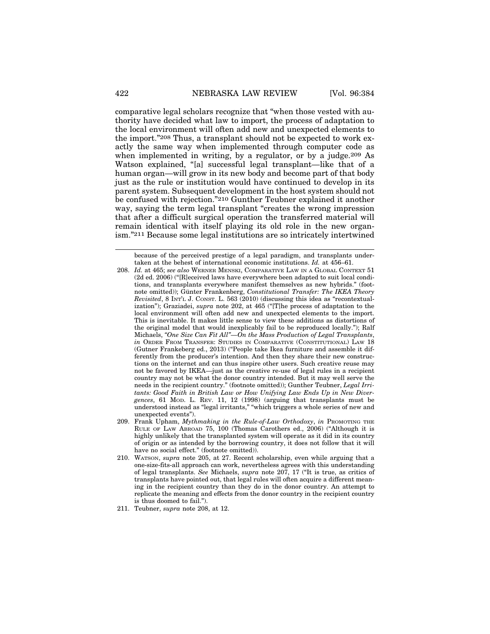comparative legal scholars recognize that "when those vested with authority have decided what law to import, the process of adaptation to the local environment will often add new and unexpected elements to the import."208 Thus, a transplant should not be expected to work exactly the same way when implemented through computer code as when implemented in writing, by a regulator, or by a judge.<sup>209</sup> As Watson explained, "[a] successful legal transplant—like that of a human organ—will grow in its new body and become part of that body just as the rule or institution would have continued to develop in its parent system. Subsequent development in the host system should not be confused with rejection."210 Gunther Teubner explained it another way, saying the term legal transplant "creates the wrong impression that after a difficult surgical operation the transferred material will remain identical with itself playing its old role in the new organism."211 Because some legal institutions are so intricately intertwined

because of the perceived prestige of a legal paradigm, and transplants undertaken at the behest of international economic institutions. *Id.* at 456–61.

<sup>208.</sup> *Id.* at 465; *see also* WERNER MENSKI, COMPARATIVE LAW IN A GLOBAL CONTEXT 51 (2d ed. 2006) ("[R]eceived laws have everywhere been adapted to suit local conditions, and transplants everywhere manifest themselves as new hybrids." (footnote omitted)); Günter Frankenberg, *Constitutional Transfer: The IKEA Theory Revisited*, 8 INT'L J. CONST. L. 563 (2010) (discussing this idea as "recontextualization"); Graziadei, *supra* note 202, at 465 ("[T]he process of adaptation to the local environment will often add new and unexpected elements to the import. This is inevitable. It makes little sense to view these additions as distortions of the original model that would inexplicably fail to be reproduced locally."); Ralf Michaels, *"One Size Can Fit All"—On the Mass Production of Legal Transplants*, *in* ORDER FROM TRANSFER: STUDIES IN COMPARATIVE (CONSTITUTIONAL) LAW 18 (Gutner Frankeberg ed., 2013) ("People take Ikea furniture and assemble it differently from the producer's intention. And then they share their new constructions on the internet and can thus inspire other users. Such creative reuse may not be favored by IKEA—just as the creative re-use of legal rules in a recipient country may not be what the donor country intended. But it may well serve the needs in the recipient country." (footnote omitted)); Gunther Teubner, *Legal Irritants: Good Faith in British Law or How Unifying Law Ends Up in New Divergences*, 61 MOD. L. REV. 11, 12 (1998) (arguing that transplants must be understood instead as "legal irritants," "which triggers a whole series of new and unexpected events").

<sup>209.</sup> Frank Upham, *Mythmaking in the Rule-of-Law Orthodoxy*, *in* PROMOTING THE RULE OF LAW ABROAD 75, 100 (Thomas Carothers ed., 2006) ("Although it is highly unlikely that the transplanted system will operate as it did in its country of origin or as intended by the borrowing country, it does not follow that it will have no social effect." (footnote omitted)).

<sup>210.</sup> WATSON, *supra* note 205, at 27. Recent scholarship, even while arguing that a one-size-fits-all approach can work, nevertheless agrees with this understanding of legal transplants. *See* Michaels, *supra* note 207, 17 ("It is true, as critics of transplants have pointed out, that legal rules will often acquire a different meaning in the recipient country than they do in the donor country. An attempt to replicate the meaning and effects from the donor country in the recipient country is thus doomed to fail.").

<sup>211.</sup> Teubner, *supra* note 208, at 12.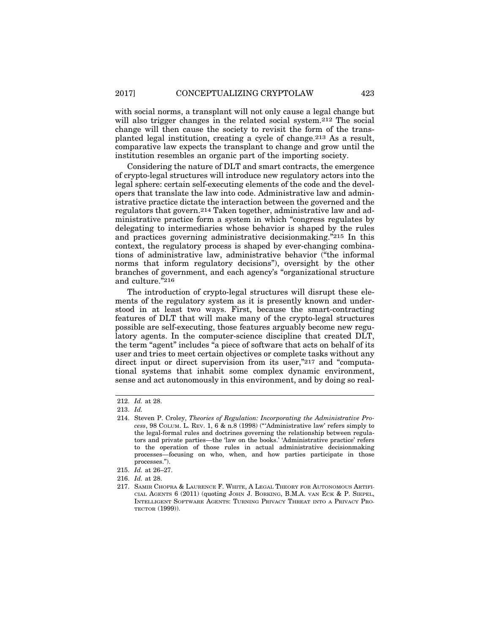with social norms, a transplant will not only cause a legal change but will also trigger changes in the related social system.<sup>212</sup> The social change will then cause the society to revisit the form of the transplanted legal institution, creating a cycle of change.213 As a result, comparative law expects the transplant to change and grow until the institution resembles an organic part of the importing society.

Considering the nature of DLT and smart contracts, the emergence of crypto-legal structures will introduce new regulatory actors into the legal sphere: certain self-executing elements of the code and the developers that translate the law into code. Administrative law and administrative practice dictate the interaction between the governed and the regulators that govern.214 Taken together, administrative law and administrative practice form a system in which "congress regulates by delegating to intermediaries whose behavior is shaped by the rules and practices governing administrative decisionmaking."215 In this context, the regulatory process is shaped by ever-changing combinations of administrative law, administrative behavior ("the informal norms that inform regulatory decisions"), oversight by the other branches of government, and each agency's "organizational structure and culture."216

The introduction of crypto-legal structures will disrupt these elements of the regulatory system as it is presently known and understood in at least two ways. First, because the smart-contracting features of DLT that will make many of the crypto-legal structures possible are self-executing, those features arguably become new regulatory agents. In the computer-science discipline that created DLT, the term "agent" includes "a piece of software that acts on behalf of its user and tries to meet certain objectives or complete tasks without any direct input or direct supervision from its user,"217 and "computational systems that inhabit some complex dynamic environment, sense and act autonomously in this environment, and by doing so real-

<sup>212.</sup> *Id.* at 28.

<sup>213.</sup> *Id.*

<sup>214.</sup> Steven P. Croley, *Theories of Regulation: Incorporating the Administrative Process*, 98 COLUM. L. REV. 1, 6 & n.8 (1998) ("'Administrative law' refers simply to the legal-formal rules and doctrines governing the relationship between regulators and private parties—the 'law on the books.' 'Administrative practice' refers to the operation of those rules in actual administrative decisionmaking processes—focusing on who, when, and how parties participate in those processes.").

<sup>215.</sup> *Id.* at 26–27.

<sup>216.</sup> *Id.* at 28.

<sup>217.</sup> SAMIR CHOPRA & LAURENCE F. WHITE, A LEGAL THEORY FOR AUTONOMOUS ARTIFI-CIAL AGENTS 6 (2011) (quoting JOHN J. BORKING, B.M.A. VAN ECK & P. SIEPEL, INTELLIGENT SOFTWARE AGENTS: TURNING PRIVACY THREAT INTO A PRIVACY PRO-TECTOR (1999)).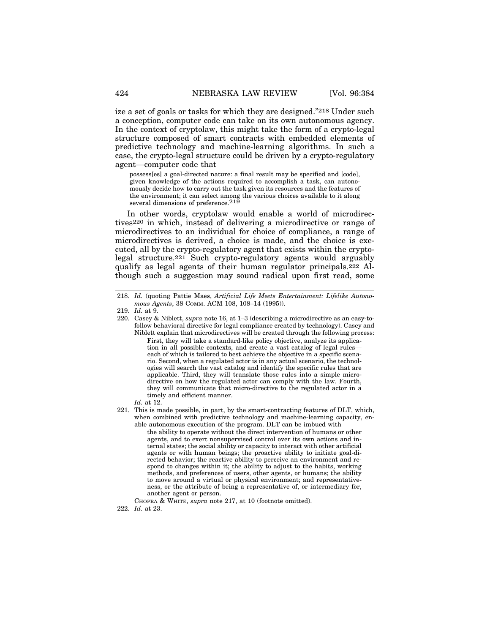ize a set of goals or tasks for which they are designed."218 Under such a conception, computer code can take on its own autonomous agency. In the context of cryptolaw, this might take the form of a crypto-legal structure composed of smart contracts with embedded elements of predictive technology and machine-learning algorithms. In such a case, the crypto-legal structure could be driven by a crypto-regulatory agent—computer code that

possess[es] a goal-directed nature: a final result may be specified and [code], given knowledge of the actions required to accomplish a task, can autonomously decide how to carry out the task given its resources and the features of the environment; it can select among the various choices available to it along several dimensions of preference.<sup>219</sup>

In other words, cryptolaw would enable a world of microdirectives220 in which, instead of delivering a microdirective or range of microdirectives to an individual for choice of compliance, a range of microdirectives is derived, a choice is made, and the choice is executed, all by the crypto-regulatory agent that exists within the cryptolegal structure.221 Such crypto-regulatory agents would arguably qualify as legal agents of their human regulator principals.222 Although such a suggestion may sound radical upon first read, some

#### *Id.* at 12.

- 221. This is made possible, in part, by the smart-contracting features of DLT, which, when combined with predictive technology and machine-learning capacity, enable autonomous execution of the program. DLT can be imbued with
	- the ability to operate without the direct intervention of humans or other agents, and to exert nonsupervised control over its own actions and internal states; the social ability or capacity to interact with other artificial agents or with human beings; the proactive ability to initiate goal-directed behavior; the reactive ability to perceive an environment and respond to changes within it; the ability to adjust to the habits, working methods, and preferences of users, other agents, or humans; the ability to move around a virtual or physical environment; and representativeness, or the attribute of being a representative of, or intermediary for, another agent or person.

CHOPRA & WHITE, *supra* note 217, at 10 (footnote omitted).

<sup>218.</sup> *Id.* (quoting Pattie Maes, *Artificial Life Meets Entertainment: Lifelike Autonomous Agents*, 38 COMM. ACM 108, 108–14 (1995)).

<sup>219.</sup> *Id.* at 9.

<sup>220.</sup> Casey & Niblett, *supra* note 16, at 1–3 (describing a microdirective as an easy-tofollow behavioral directive for legal compliance created by technology). Casey and Niblett explain that microdirectives will be created through the following process: First, they will take a standard-like policy objective, analyze its application in all possible contexts, and create a vast catalog of legal rules each of which is tailored to best achieve the objective in a specific scenario. Second, when a regulated actor is in any actual scenario, the technologies will search the vast catalog and identify the specific rules that are applicable. Third, they will translate those rules into a simple microdirective on how the regulated actor can comply with the law. Fourth, they will communicate that micro-directive to the regulated actor in a timely and efficient manner.

<sup>222.</sup> *Id.* at 23.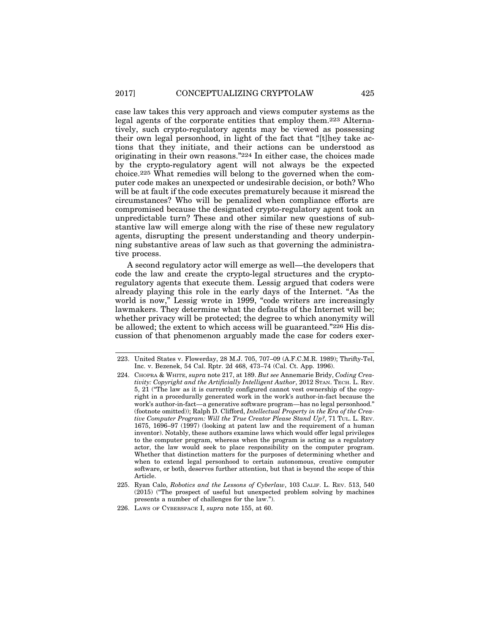case law takes this very approach and views computer systems as the legal agents of the corporate entities that employ them.223 Alternatively, such crypto-regulatory agents may be viewed as possessing their own legal personhood, in light of the fact that "[t]hey take actions that they initiate, and their actions can be understood as originating in their own reasons."224 In either case, the choices made by the crypto-regulatory agent will not always be the expected choice.225 What remedies will belong to the governed when the computer code makes an unexpected or undesirable decision, or both? Who will be at fault if the code executes prematurely because it misread the circumstances? Who will be penalized when compliance efforts are compromised because the designated crypto-regulatory agent took an unpredictable turn? These and other similar new questions of substantive law will emerge along with the rise of these new regulatory agents, disrupting the present understanding and theory underpinning substantive areas of law such as that governing the administrative process.

A second regulatory actor will emerge as well—the developers that code the law and create the crypto-legal structures and the cryptoregulatory agents that execute them. Lessig argued that coders were already playing this role in the early days of the Internet. "As the world is now," Lessig wrote in 1999, "code writers are increasingly lawmakers. They determine what the defaults of the Internet will be; whether privacy will be protected; the degree to which anonymity will be allowed; the extent to which access will be guaranteed."226 His discussion of that phenomenon arguably made the case for coders exer-

<sup>223.</sup> United States v. Flowerday, 28 M.J. 705, 707–09 (A.F.C.M.R. 1989); Thrifty-Tel, Inc. v. Bezenek, 54 Cal. Rptr. 2d 468, 473–74 (Cal. Ct. App. 1996).

<sup>224.</sup> CHOPRA & WHITE, *supra* note 217, at 189. *But see* Annemarie Bridy, *Coding Creativity: Copyright and the Artificially Intelligent Author*, 2012 STAN. TECH. L. REV. 5, 21 ("The law as it is currently configured cannot vest ownership of the copyright in a procedurally generated work in the work's author-in-fact because the work's author-in-fact—a generative software program—has no legal personhood." (footnote omitted)); Ralph D. Clifford, *Intellectual Property in the Era of the Creative Computer Program: Will the True Creator Please Stand Up?*, 71 TUL. L. REV. 1675, 1696–97 (1997) (looking at patent law and the requirement of a human inventor). Notably, these authors examine laws which would offer legal privileges to the computer program, whereas when the program is acting as a regulatory actor, the law would seek to place responsibility on the computer program. Whether that distinction matters for the purposes of determining whether and when to extend legal personhood to certain autonomous, creative computer software, or both, deserves further attention, but that is beyond the scope of this Article.

<sup>225.</sup> Ryan Calo, *Robotics and the Lessons of Cyberlaw*, 103 CALIF. L. REV. 513, 540 (2015) ("The prospect of useful but unexpected problem solving by machines presents a number of challenges for the law.").

<sup>226.</sup> LAWS OF CYBERSPACE I, *supra* note 155, at 60.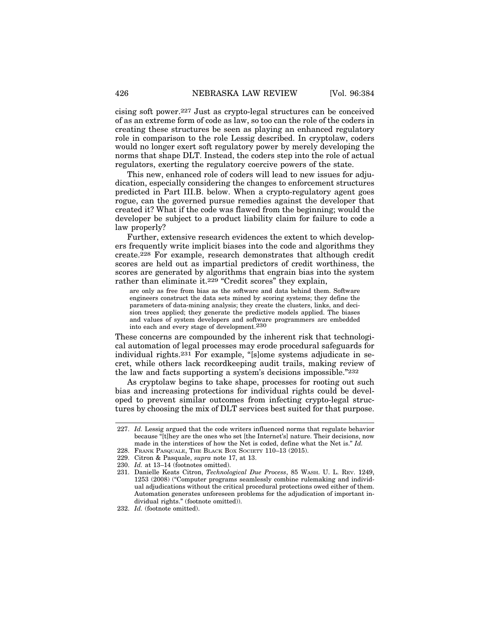cising soft power.227 Just as crypto-legal structures can be conceived of as an extreme form of code as law, so too can the role of the coders in creating these structures be seen as playing an enhanced regulatory role in comparison to the role Lessig described. In cryptolaw, coders would no longer exert soft regulatory power by merely developing the norms that shape DLT. Instead, the coders step into the role of actual regulators, exerting the regulatory coercive powers of the state.

This new, enhanced role of coders will lead to new issues for adjudication, especially considering the changes to enforcement structures predicted in Part III.B. below. When a crypto-regulatory agent goes rogue, can the governed pursue remedies against the developer that created it? What if the code was flawed from the beginning; would the developer be subject to a product liability claim for failure to code a law properly?

Further, extensive research evidences the extent to which developers frequently write implicit biases into the code and algorithms they create.228 For example, research demonstrates that although credit scores are held out as impartial predictors of credit worthiness, the scores are generated by algorithms that engrain bias into the system rather than eliminate it.<sup>229</sup> "Credit scores" they explain,

are only as free from bias as the software and data behind them. Software engineers construct the data sets mined by scoring systems; they define the parameters of data-mining analysis; they create the clusters, links, and decision trees applied; they generate the predictive models applied. The biases and values of system developers and software programmers are embedded into each and every stage of development.230

These concerns are compounded by the inherent risk that technological automation of legal processes may erode procedural safeguards for individual rights.231 For example, "[s]ome systems adjudicate in secret, while others lack recordkeeping audit trails, making review of the law and facts supporting a system's decisions impossible."232

As cryptolaw begins to take shape, processes for rooting out such bias and increasing protections for individual rights could be developed to prevent similar outcomes from infecting crypto-legal structures by choosing the mix of DLT services best suited for that purpose.

<sup>227.</sup> *Id.* Lessig argued that the code writers influenced norms that regulate behavior because "[t]hey are the ones who set [the Internet's] nature. Their decisions, now made in the interstices of how the Net is coded, define what the Net is." *Id.*

<sup>228.</sup> FRANK PASQUALE, THE BLACK BOX SOCIETY 110–13 (2015).

<sup>229.</sup> Citron & Pasquale, *supra* note 17, at 13.

<sup>230.</sup> *Id.* at 13–14 (footnotes omitted).

<sup>231.</sup> Danielle Keats Citron, *Technological Due Process*, 85 WASH. U. L. REV. 1249, 1253 (2008) ("Computer programs seamlessly combine rulemaking and individual adjudications without the critical procedural protections owed either of them. Automation generates unforeseen problems for the adjudication of important individual rights." (footnote omitted)).

<sup>232.</sup> *Id.* (footnote omitted).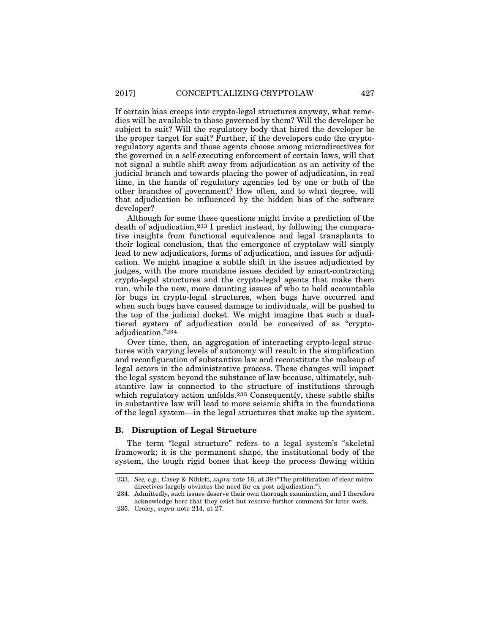If certain bias creeps into crypto-legal structures anyway, what remedies will be available to those governed by them? Will the developer be subject to suit? Will the regulatory body that hired the developer be the proper target for suit? Further, if the developers code the cryptoregulatory agents and those agents choose among microdirectives for the governed in a self-executing enforcement of certain laws, will that not signal a subtle shift away from adjudication as an activity of the judicial branch and towards placing the power of adjudication, in real time, in the hands of regulatory agencies led by one or both of the other branches of government? How often, and to what degree, will that adjudication be influenced by the hidden bias of the software developer?

Although for some these questions might invite a prediction of the death of adjudication,233 I predict instead, by following the comparative insights from functional equivalence and legal transplants to their logical conclusion, that the emergence of cryptolaw will simply lead to new adjudicators, forms of adjudication, and issues for adjudication. We might imagine a subtle shift in the issues adjudicated by judges, with the more mundane issues decided by smart-contracting crypto-legal structures and the crypto-legal agents that make them run, while the new, more daunting issues of who to hold accountable for bugs in crypto-legal structures, when bugs have occurred and when such bugs have caused damage to individuals, will be pushed to the top of the judicial docket. We might imagine that such a dualtiered system of adjudication could be conceived of as "cryptoadjudication."234

Over time, then, an aggregation of interacting crypto-legal structures with varying levels of autonomy will result in the simplification and reconfiguration of substantive law and reconstitute the makeup of legal actors in the administrative process. These changes will impact the legal system beyond the substance of law because, ultimately, substantive law is connected to the structure of institutions through which regulatory action unfolds.<sup>235</sup> Consequently, these subtle shifts in substantive law will lead to more seismic shifts in the foundations of the legal system—in the legal structures that make up the system.

## **B. Disruption of Legal Structure**

The term "legal structure" refers to a legal system's "skeletal framework; it is the permanent shape, the institutional body of the system, the tough rigid bones that keep the process flowing within

<sup>233.</sup> *See, e.g.*, Casey & Niblett, *supra* note 16, at 39 ("The proliferation of clear microdirectives largely obviates the need for ex post adjudication.").

<sup>234.</sup> Admittedly, such issues deserve their own thorough examination, and I therefore acknowledge here that they exist but reserve further comment for later work.

<sup>235.</sup> Croley, *supra* note 214, at 27.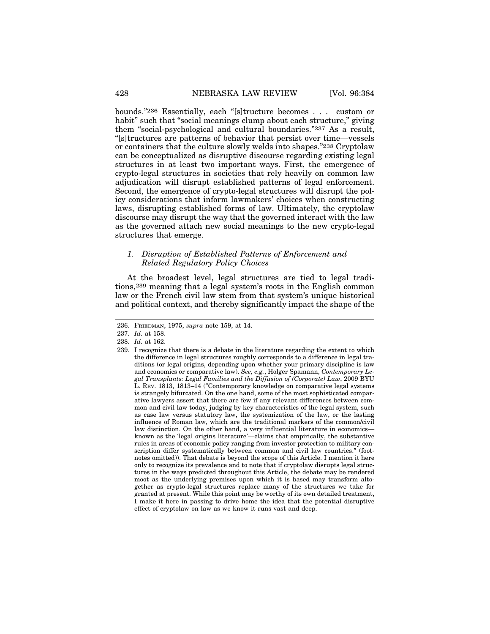bounds."236 Essentially, each "[s]tructure becomes . . . custom or habit" such that "social meanings clump about each structure," giving them "social-psychological and cultural boundaries."237 As a result, "[s]tructures are patterns of behavior that persist over time—vessels or containers that the culture slowly welds into shapes."238 Cryptolaw can be conceptualized as disruptive discourse regarding existing legal structures in at least two important ways. First, the emergence of crypto-legal structures in societies that rely heavily on common law adjudication will disrupt established patterns of legal enforcement. Second, the emergence of crypto-legal structures will disrupt the policy considerations that inform lawmakers' choices when constructing laws, disrupting established forms of law. Ultimately, the cryptolaw discourse may disrupt the way that the governed interact with the law as the governed attach new social meanings to the new crypto-legal structures that emerge.

#### *1. Disruption of Established Patterns of Enforcement and Related Regulatory Policy Choices*

At the broadest level, legal structures are tied to legal traditions,239 meaning that a legal system's roots in the English common law or the French civil law stem from that system's unique historical and political context, and thereby significantly impact the shape of the

<sup>236.</sup> FRIEDMAN, 1975, *supra* note 159, at 14.

<sup>237.</sup> *Id.* at 158.

<sup>238.</sup> *Id.* at 162.

<sup>239.</sup> I recognize that there is a debate in the literature regarding the extent to which the difference in legal structures roughly corresponds to a difference in legal traditions (or legal origins, depending upon whether your primary discipline is law and economics or comparative law). *See, e.g.*, Holger Spamann, *Contemporary Legal Transplants: Legal Families and the Diffusion of (Corporate) Law*, 2009 BYU L. REV. 1813, 1813–14 ("Contemporary knowledge on comparative legal systems is strangely bifurcated. On the one hand, some of the most sophisticated comparative lawyers assert that there are few if any relevant differences between common and civil law today, judging by key characteristics of the legal system, such as case law versus statutory law, the systemization of the law, or the lasting influence of Roman law, which are the traditional markers of the common/civil law distinction. On the other hand, a very influential literature in economics known as the 'legal origins literature'—claims that empirically, the substantive rules in areas of economic policy ranging from investor protection to military conscription differ systematically between common and civil law countries." (footnotes omitted)). That debate is beyond the scope of this Article. I mention it here only to recognize its prevalence and to note that if cryptolaw disrupts legal structures in the ways predicted throughout this Article, the debate may be rendered moot as the underlying premises upon which it is based may transform altogether as crypto-legal structures replace many of the structures we take for granted at present. While this point may be worthy of its own detailed treatment,  $\overline{I}$  make it here in passing to drive home the idea that the potential disruptive effect of cryptolaw on law as we know it runs vast and deep.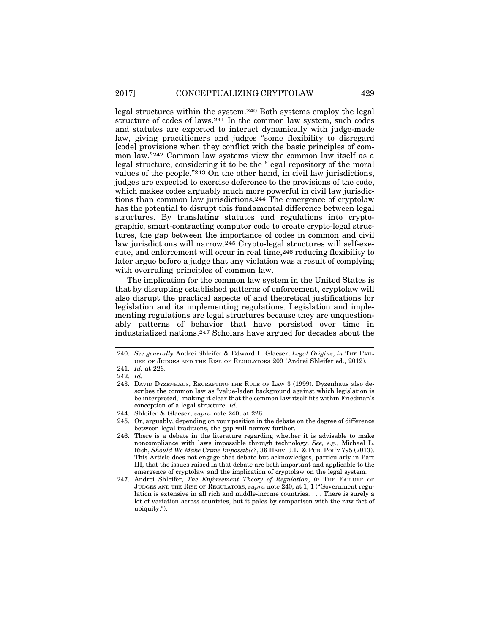legal structures within the system.240 Both systems employ the legal structure of codes of laws.241 In the common law system, such codes and statutes are expected to interact dynamically with judge-made law, giving practitioners and judges "some flexibility to disregard [code] provisions when they conflict with the basic principles of common law."242 Common law systems view the common law itself as a legal structure, considering it to be the "legal repository of the moral values of the people."243 On the other hand, in civil law jurisdictions, judges are expected to exercise deference to the provisions of the code, which makes codes arguably much more powerful in civil law jurisdictions than common law jurisdictions.244 The emergence of cryptolaw has the potential to disrupt this fundamental difference between legal structures. By translating statutes and regulations into cryptographic, smart-contracting computer code to create crypto-legal structures, the gap between the importance of codes in common and civil law jurisdictions will narrow.245 Crypto-legal structures will self-execute, and enforcement will occur in real time,246 reducing flexibility to later argue before a judge that any violation was a result of complying with overruling principles of common law.

The implication for the common law system in the United States is that by disrupting established patterns of enforcement, cryptolaw will also disrupt the practical aspects of and theoretical justifications for legislation and its implementing regulations. Legislation and implementing regulations are legal structures because they are unquestionably patterns of behavior that have persisted over time in industrialized nations.247 Scholars have argued for decades about the

<sup>240.</sup> *See generally* Andrei Shleifer & Edward L. Glaeser, *Legal Origins*, *in* THE FAIL-URE OF JUDGES AND THE RISE OF REGULATORS 209 (Andrei Shleifer ed., 2012).

<sup>241.</sup> *Id.* at 226.

<sup>242.</sup> *Id.*

<sup>243.</sup> DAVID DYZENHAUS, RECRAFTING THE RULE OF LAW 3 (1999). Dyzenhaus also describes the common law as "value-laden background against which legislation is be interpreted," making it clear that the common law itself fits within Friedman's conception of a legal structure. *Id.*

<sup>244.</sup> Shleifer & Glaeser, *supra* note 240, at 226.

<sup>245.</sup> Or, arguably, depending on your position in the debate on the degree of difference between legal traditions, the gap will narrow further.

<sup>246.</sup> There is a debate in the literature regarding whether it is advisable to make noncompliance with laws impossible through technology. *See, e.g.*, Michael L. Rich, *Should We Make Crime Impossible?*, 36 HARV. J.L. & PUB. POL'Y 795 (2013). This Article does not engage that debate but acknowledges, particularly in Part III, that the issues raised in that debate are both important and applicable to the emergence of cryptolaw and the implication of cryptolaw on the legal system.

<sup>247.</sup> Andrei Shleifer, *The Enforcement Theory of Regulation*, *in* THE FAILURE OF JUDGES AND THE RISE OF REGULATORS, *supra* note 240, at 1, 1 ("Government regulation is extensive in all rich and middle-income countries. . . . There is surely a lot of variation across countries, but it pales by comparison with the raw fact of ubiquity.").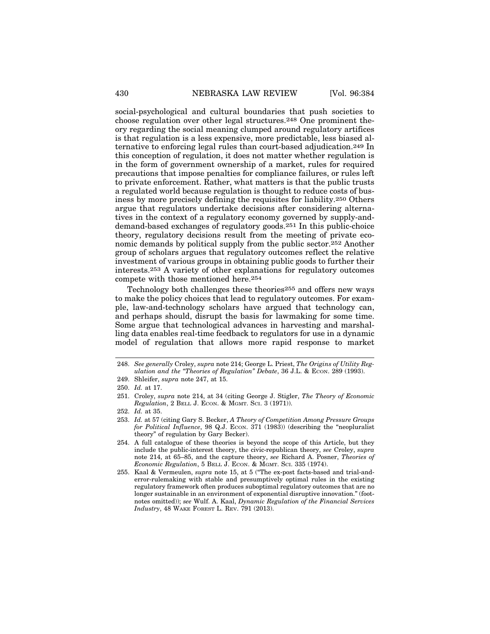social-psychological and cultural boundaries that push societies to choose regulation over other legal structures.248 One prominent theory regarding the social meaning clumped around regulatory artifices is that regulation is a less expensive, more predictable, less biased alternative to enforcing legal rules than court-based adjudication.249 In this conception of regulation, it does not matter whether regulation is in the form of government ownership of a market, rules for required precautions that impose penalties for compliance failures, or rules left to private enforcement. Rather, what matters is that the public trusts a regulated world because regulation is thought to reduce costs of business by more precisely defining the requisites for liability.250 Others argue that regulators undertake decisions after considering alternatives in the context of a regulatory economy governed by supply-anddemand-based exchanges of regulatory goods.251 In this public-choice theory, regulatory decisions result from the meeting of private economic demands by political supply from the public sector.252 Another group of scholars argues that regulatory outcomes reflect the relative investment of various groups in obtaining public goods to further their interests.253 A variety of other explanations for regulatory outcomes compete with those mentioned here.254

Technology both challenges these theories255 and offers new ways to make the policy choices that lead to regulatory outcomes. For example, law-and-technology scholars have argued that technology can, and perhaps should, disrupt the basis for lawmaking for some time. Some argue that technological advances in harvesting and marshalling data enables real-time feedback to regulators for use in a dynamic model of regulation that allows more rapid response to market

249. Shleifer, *supra* note 247, at 15.

<sup>248.</sup> *See generally* Croley, *supra* note 214; George L. Priest, *The Origins of Utility Regulation and the "Theories of Regulation" Debate*, 36 J.L. & ECON. 289 (1993).

<sup>250.</sup> *Id.* at 17.

<sup>251.</sup> Croley, *supra* note 214, at 34 (citing George J. Stigler, *The Theory of Economic Regulation*, 2 BELL J. ECON. & MGMT. SCI. 3 (1971)).

<sup>252.</sup> *Id.* at 35.

<sup>253.</sup> *Id.* at 57 (citing Gary S. Becker, *A Theory of Competition Among Pressure Groups for Political Influence*, 98 Q.J. ECON. 371 (1983)) (describing the "neopluralist theory" of regulation by Gary Becker).

<sup>254.</sup> A full catalogue of these theories is beyond the scope of this Article, but they include the public-interest theory, the civic-republican theory, *see* Croley, *supra* note 214, at 65–85, and the capture theory, *see* Richard A. Posner, *Theories of Economic Regulation*, 5 BELL J. ECON. & MGMT. SCI. 335 (1974).

<sup>255.</sup> Kaal & Vermeulen, *supra* note 15, at 5 ("The ex-post facts-based and trial-anderror-rulemaking with stable and presumptively optimal rules in the existing regulatory framework often produces suboptimal regulatory outcomes that are no longer sustainable in an environment of exponential disruptive innovation." (footnotes omitted)); *see* Wulf. A. Kaal, *Dynamic Regulation of the Financial Services Industry*, 48 WAKE FOREST L. REV. 791 (2013).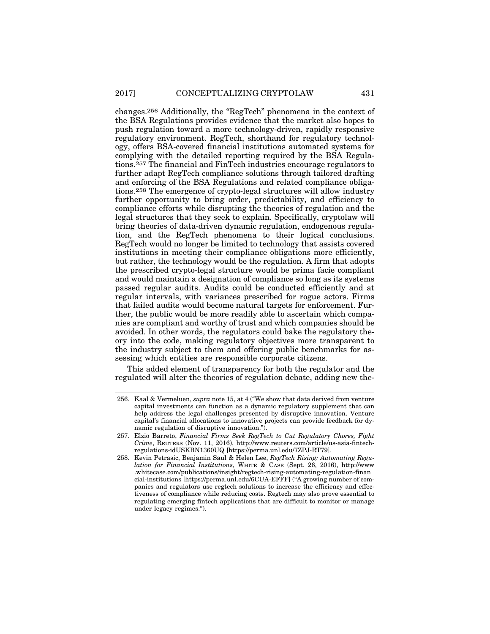changes.256 Additionally, the "RegTech" phenomena in the context of the BSA Regulations provides evidence that the market also hopes to push regulation toward a more technology-driven, rapidly responsive regulatory environment. RegTech, shorthand for regulatory technology, offers BSA-covered financial institutions automated systems for complying with the detailed reporting required by the BSA Regulations.257 The financial and FinTech industries encourage regulators to further adapt RegTech compliance solutions through tailored drafting and enforcing of the BSA Regulations and related compliance obligations.258 The emergence of crypto-legal structures will allow industry further opportunity to bring order, predictability, and efficiency to compliance efforts while disrupting the theories of regulation and the legal structures that they seek to explain. Specifically, cryptolaw will bring theories of data-driven dynamic regulation, endogenous regulation, and the RegTech phenomena to their logical conclusions. RegTech would no longer be limited to technology that assists covered institutions in meeting their compliance obligations more efficiently, but rather, the technology would be the regulation. A firm that adopts the prescribed crypto-legal structure would be prima facie compliant and would maintain a designation of compliance so long as its systems passed regular audits. Audits could be conducted efficiently and at regular intervals, with variances prescribed for rogue actors. Firms that failed audits would become natural targets for enforcement. Further, the public would be more readily able to ascertain which companies are compliant and worthy of trust and which companies should be avoided. In other words, the regulators could bake the regulatory theory into the code, making regulatory objectives more transparent to the industry subject to them and offering public benchmarks for assessing which entities are responsible corporate citizens.

This added element of transparency for both the regulator and the regulated will alter the theories of regulation debate, adding new the-

<sup>256.</sup> Kaal & Vermeluen, *supra* note 15, at 4 ("We show that data derived from venture capital investments can function as a dynamic regulatory supplement that can help address the legal challenges presented by disruptive innovation. Venture capital's financial allocations to innovative projects can provide feedback for dynamic regulation of disruptive innovation.").

<sup>257.</sup> Elzio Barreto, *Financial Firms Seek RegTech to Cut Regulatory Chores, Fight Crime*, REUTERS (Nov. 11, 2016), http://www.reuters.com/article/us-asia-fintechregulations-idUSKBN1360UQ [https://perma.unl.edu/7ZPJ-RT79].

<sup>258.</sup> Kevin Petrasic, Benjamin Saul & Helen Lee, *RegTech Rising: Automating Regulation for Financial Institutions*, WHITE & CASE (Sept. 26, 2016), http://www .whitecase.com/publications/insight/regtech-rising-automating-regulation-finan cial-institutions [https://perma.unl.edu/6CUA-EFFF] ("A growing number of companies and regulators use regtech solutions to increase the efficiency and effectiveness of compliance while reducing costs. Regtech may also prove essential to regulating emerging fintech applications that are difficult to monitor or manage under legacy regimes.").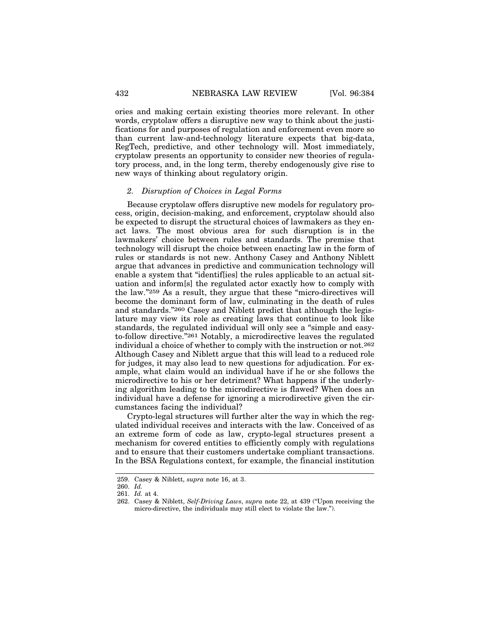ories and making certain existing theories more relevant. In other words, cryptolaw offers a disruptive new way to think about the justifications for and purposes of regulation and enforcement even more so than current law-and-technology literature expects that big-data, RegTech, predictive, and other technology will. Most immediately, cryptolaw presents an opportunity to consider new theories of regulatory process, and, in the long term, thereby endogenously give rise to new ways of thinking about regulatory origin.

## *2. Disruption of Choices in Legal Forms*

Because cryptolaw offers disruptive new models for regulatory process, origin, decision-making, and enforcement, cryptolaw should also be expected to disrupt the structural choices of lawmakers as they enact laws. The most obvious area for such disruption is in the lawmakers' choice between rules and standards. The premise that technology will disrupt the choice between enacting law in the form of rules or standards is not new. Anthony Casey and Anthony Niblett argue that advances in predictive and communication technology will enable a system that "identif[ies] the rules applicable to an actual situation and inform[s] the regulated actor exactly how to comply with the law."259 As a result, they argue that these "micro-directives will become the dominant form of law, culminating in the death of rules and standards."260 Casey and Niblett predict that although the legislature may view its role as creating laws that continue to look like standards, the regulated individual will only see a "simple and easyto-follow directive."261 Notably, a microdirective leaves the regulated individual a choice of whether to comply with the instruction or not.262 Although Casey and Niblett argue that this will lead to a reduced role for judges, it may also lead to new questions for adjudication. For example, what claim would an individual have if he or she follows the microdirective to his or her detriment? What happens if the underlying algorithm leading to the microdirective is flawed? When does an individual have a defense for ignoring a microdirective given the circumstances facing the individual?

Crypto-legal structures will further alter the way in which the regulated individual receives and interacts with the law. Conceived of as an extreme form of code as law, crypto-legal structures present a mechanism for covered entities to efficiently comply with regulations and to ensure that their customers undertake compliant transactions. In the BSA Regulations context, for example, the financial institution

<sup>259.</sup> Casey & Niblett, *supra* note 16, at 3.

<sup>260.</sup> *Id.*

<sup>261.</sup> *Id.* at 4.

<sup>262.</sup> Casey & Niblett, *Self-Driving Laws*, *supra* note 22, at 439 ("Upon receiving the micro-directive, the individuals may still elect to violate the law.").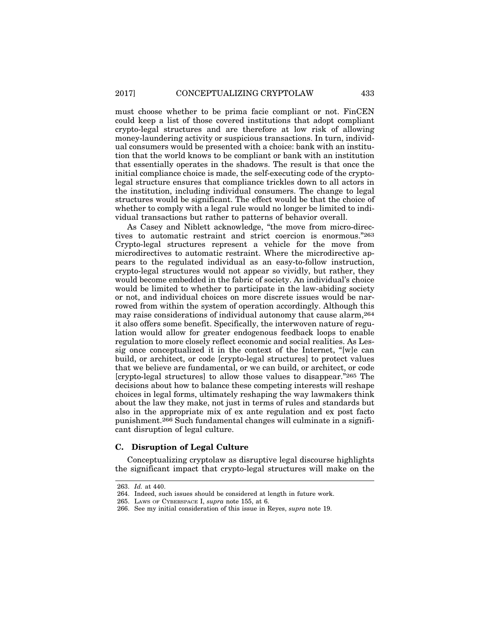must choose whether to be prima facie compliant or not. FinCEN could keep a list of those covered institutions that adopt compliant crypto-legal structures and are therefore at low risk of allowing money-laundering activity or suspicious transactions. In turn, individual consumers would be presented with a choice: bank with an institution that the world knows to be compliant or bank with an institution that essentially operates in the shadows. The result is that once the initial compliance choice is made, the self-executing code of the cryptolegal structure ensures that compliance trickles down to all actors in the institution, including individual consumers. The change to legal structures would be significant. The effect would be that the choice of whether to comply with a legal rule would no longer be limited to individual transactions but rather to patterns of behavior overall.

As Casey and Niblett acknowledge, "the move from micro-directives to automatic restraint and strict coercion is enormous."263 Crypto-legal structures represent a vehicle for the move from microdirectives to automatic restraint. Where the microdirective appears to the regulated individual as an easy-to-follow instruction, crypto-legal structures would not appear so vividly, but rather, they would become embedded in the fabric of society. An individual's choice would be limited to whether to participate in the law-abiding society or not, and individual choices on more discrete issues would be narrowed from within the system of operation accordingly. Although this may raise considerations of individual autonomy that cause alarm,264 it also offers some benefit. Specifically, the interwoven nature of regulation would allow for greater endogenous feedback loops to enable regulation to more closely reflect economic and social realities. As Lessig once conceptualized it in the context of the Internet, "[w]e can build, or architect, or code [crypto-legal structures] to protect values that we believe are fundamental, or we can build, or architect, or code [crypto-legal structures] to allow those values to disappear."265 The decisions about how to balance these competing interests will reshape choices in legal forms, ultimately reshaping the way lawmakers think about the law they make, not just in terms of rules and standards but also in the appropriate mix of ex ante regulation and ex post facto punishment.266 Such fundamental changes will culminate in a significant disruption of legal culture.

### **C. Disruption of Legal Culture**

Conceptualizing cryptolaw as disruptive legal discourse highlights the significant impact that crypto-legal structures will make on the

<sup>263.</sup> *Id.* at 440.

<sup>264.</sup> Indeed, such issues should be considered at length in future work.

<sup>265.</sup> LAWS OF CYBERSPACE I, *supra* note 155, at 6.

<sup>266.</sup> See my initial consideration of this issue in Reyes, *supra* note 19.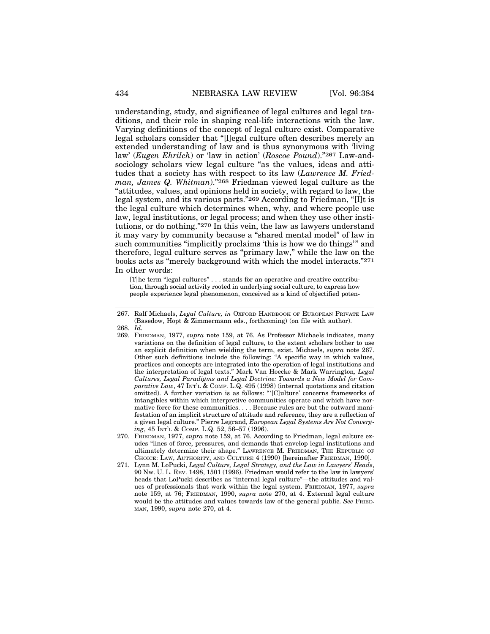understanding, study, and significance of legal cultures and legal traditions, and their role in shaping real-life interactions with the law. Varying definitions of the concept of legal culture exist. Comparative legal scholars consider that "[l]egal culture often describes merely an extended understanding of law and is thus synonymous with 'living law' (*Eugen Ehrilch*) or 'law in action' (*Roscoe Pound*)."267 Law-andsociology scholars view legal culture "as the values, ideas and attitudes that a society has with respect to its law (*Lawrence M. Friedman, James Q. Whitman*)."268 Friedman viewed legal culture as the "attitudes, values, and opinions held in society, with regard to law, the legal system, and its various parts."269 According to Friedman, "[I]t is the legal culture which determines when, why, and where people use law, legal institutions, or legal process; and when they use other institutions, or do nothing."270 In this vein, the law as lawyers understand it may vary by community because a "shared mental model" of law in such communities "implicitly proclaims 'this is how we do things'" and therefore, legal culture serves as "primary law," while the law on the books acts as "merely background with which the model interacts."271 In other words:

[T]he term "legal cultures" . . . stands for an operative and creative contribution, through social activity rooted in underlying social culture, to express how people experience legal phenomenon, conceived as a kind of objectified poten-

- 269. FRIEDMAN, 1977, *supra* note 159, at 76. As Professor Michaels indicates, many variations on the definition of legal culture, to the extent scholars bother to use an explicit definition when wielding the term, exist. Michaels, *supra* note 267. Other such definitions include the following: "A specific way in which values, practices and concepts are integrated into the operation of legal institutions and the interpretation of legal texts." Mark Van Hoecke & Mark Warrington*, Legal Cultures, Legal Paradigms and Legal Doctrine: Towards a New Model for Com*parative Law, 47 INT'L & COMP. L.Q. 495 (1998) (internal quotations and citation omitted). A further variation is as follows: "'[C]ulture' concerns frameworks of intangibles within which interpretive communities operate and which have normative force for these communities. . . . Because rules are but the outward manifestation of an implicit structure of attitude and reference, they are a reflection of a given legal culture." Pierre Legrand, *European Legal Systems Are Not Converging*, 45 INT'L & COMP. L.Q. 52, 56–57 (1996).
- 270. FRIEDMAN, 1977, *supra* note 159, at 76. According to Friedman, legal culture exudes "lines of force, pressures, and demands that envelop legal institutions and ultimately determine their shape." LAWRENCE M. FRIEDMAN, THE REPUBLIC OF CHOICE: LAW, AUTHORITY, AND CULTURE 4 (1990) [hereinafter FRIEDMAN, 1990].
- 271. Lynn M. LoPucki, *Legal Culture, Legal Strategy, and the Law in Lawyers' Heads*, 90 NW. U. L. REV. 1498, 1501 (1996). Friedman would refer to the law in lawyers' heads that LoPucki describes as "internal legal culture"—the attitudes and values of professionals that work within the legal system. FRIEDMAN, 1977, *supra* note 159, at 76; FRIEDMAN, 1990, *supra* note 270, at 4. External legal culture would be the attitudes and values towards law of the general public. *See* FRIED-MAN, 1990, *supra* note 270, at 4.

<sup>267.</sup> Ralf Michaels, *Legal Culture, in* OXFORD HANDBOOK OF EUROPEAN PRIVATE LAW (Basedow, Hopt & Zimmermann eds., forthcoming) (on file with author).

<sup>268.</sup> *Id.*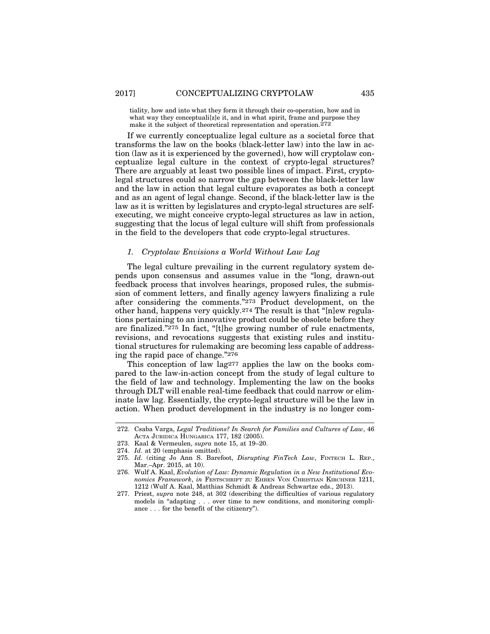tiality, how and into what they form it through their co-operation, how and in what way they conceptuali[z]e it, and in what spirit, frame and purpose they make it the subject of theoretical representation and operation.272

If we currently conceptualize legal culture as a societal force that transforms the law on the books (black-letter law) into the law in action (law as it is experienced by the governed), how will cryptolaw conceptualize legal culture in the context of crypto-legal structures? There are arguably at least two possible lines of impact. First, cryptolegal structures could so narrow the gap between the black-letter law and the law in action that legal culture evaporates as both a concept and as an agent of legal change. Second, if the black-letter law is the law as it is written by legislatures and crypto-legal structures are selfexecuting, we might conceive crypto-legal structures as law in action, suggesting that the locus of legal culture will shift from professionals in the field to the developers that code crypto-legal structures.

## *1. Cryptolaw Envisions a World Without Law Lag*

The legal culture prevailing in the current regulatory system depends upon consensus and assumes value in the "long, drawn-out feedback process that involves hearings, proposed rules, the submission of comment letters, and finally agency lawyers finalizing a rule after considering the comments."273 Product development, on the other hand, happens very quickly.274 The result is that "[n]ew regulations pertaining to an innovative product could be obsolete before they are finalized."275 In fact, "[t]he growing number of rule enactments, revisions, and revocations suggests that existing rules and institutional structures for rulemaking are becoming less capable of addressing the rapid pace of change."276

This conception of law lag<sup>277</sup> applies the law on the books compared to the law-in-action concept from the study of legal culture to the field of law and technology. Implementing the law on the books through DLT will enable real-time feedback that could narrow or eliminate law lag. Essentially, the crypto-legal structure will be the law in action. When product development in the industry is no longer com-

275. *Id.* (citing Jo Ann S. Barefoot, *Disrupting FinTech Law*, FINTECH L. REP., Mar.–Apr. 2015, at 10).

<sup>272.</sup> Csaba Varga, *Legal Traditions? In Search for Families and Cultures of Law*, 46 ACTA JURIDICA HUNGARICA 177, 182 (2005).

<sup>273.</sup> Kaal & Vermeulen, *supra* note 15, at 19–20.

<sup>274.</sup> *Id.* at 20 (emphasis omitted).

<sup>276.</sup> Wulf A. Kaal, *Evolution of Law: Dynamic Regulation in a New Institutional Economics Framework*, *in* FESTSCHRIFT ZU EHREN VON CHRISTIAN KIRCHNER 1211, 1212 (Wulf A. Kaal, Matthias Schmidt & Andreas Schwartze eds., 2013).

<sup>277.</sup> Priest, *supra* note 248, at 302 (describing the difficulties of various regulatory models in "adapting . . . over time to new conditions, and monitoring compliance . . . for the benefit of the citizenry").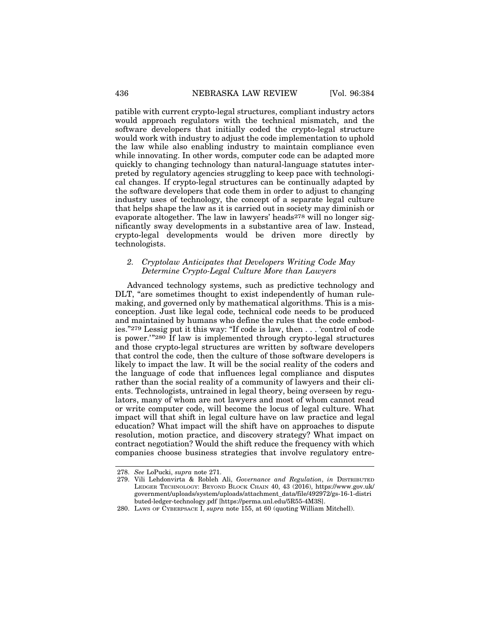patible with current crypto-legal structures, compliant industry actors would approach regulators with the technical mismatch, and the software developers that initially coded the crypto-legal structure would work with industry to adjust the code implementation to uphold the law while also enabling industry to maintain compliance even while innovating. In other words, computer code can be adapted more quickly to changing technology than natural-language statutes interpreted by regulatory agencies struggling to keep pace with technological changes. If crypto-legal structures can be continually adapted by the software developers that code them in order to adjust to changing industry uses of technology, the concept of a separate legal culture that helps shape the law as it is carried out in society may diminish or evaporate altogether. The law in lawyers' heads  $278$  will no longer significantly sway developments in a substantive area of law. Instead, crypto-legal developments would be driven more directly by technologists.

## *2. Cryptolaw Anticipates that Developers Writing Code May Determine Crypto-Legal Culture More than Lawyers*

Advanced technology systems, such as predictive technology and DLT, "are sometimes thought to exist independently of human rulemaking, and governed only by mathematical algorithms. This is a misconception. Just like legal code, technical code needs to be produced and maintained by humans who define the rules that the code embodies."279 Lessig put it this way: "If code is law, then . . . 'control of code is power.'"280 If law is implemented through crypto-legal structures and those crypto-legal structures are written by software developers that control the code, then the culture of those software developers is likely to impact the law. It will be the social reality of the coders and the language of code that influences legal compliance and disputes rather than the social reality of a community of lawyers and their clients. Technologists, untrained in legal theory, being overseen by regulators, many of whom are not lawyers and most of whom cannot read or write computer code, will become the locus of legal culture. What impact will that shift in legal culture have on law practice and legal education? What impact will the shift have on approaches to dispute resolution, motion practice, and discovery strategy? What impact on contract negotiation? Would the shift reduce the frequency with which companies choose business strategies that involve regulatory entre-

<sup>278.</sup> *See* LoPucki, *supra* note 271.

<sup>279.</sup> Vili Lehdonvirta & Robleh Ali, *Governance and Regulation*, *in* DISTRIBUTED LEDGER TECHNOLOGY: BEYOND BLOCK CHAIN 40, 43 (2016), https://www.gov.uk/ government/uploads/system/uploads/attachment\_data/file/492972/gs-16-1-distri buted-ledger-technology.pdf [https://perma.unl.edu/5R55-4M3S].

<sup>280.</sup> LAWS OF CYBERPSACE I, *supra* note 155, at 60 (quoting William Mitchell).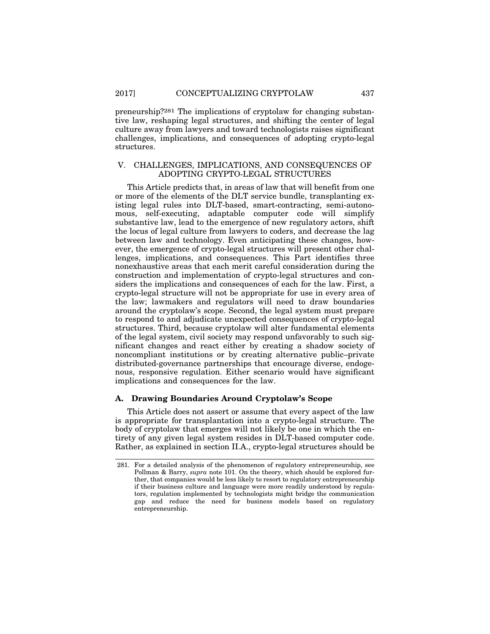preneurship?281 The implications of cryptolaw for changing substantive law, reshaping legal structures, and shifting the center of legal culture away from lawyers and toward technologists raises significant challenges, implications, and consequences of adopting crypto-legal structures.

## V. CHALLENGES, IMPLICATIONS, AND CONSEQUENCES OF ADOPTING CRYPTO-LEGAL STRUCTURES

This Article predicts that, in areas of law that will benefit from one or more of the elements of the DLT service bundle, transplanting existing legal rules into DLT-based, smart-contracting, semi-autonomous, self-executing, adaptable computer code will simplify substantive law, lead to the emergence of new regulatory actors, shift the locus of legal culture from lawyers to coders, and decrease the lag between law and technology. Even anticipating these changes, however, the emergence of crypto-legal structures will present other challenges, implications, and consequences. This Part identifies three nonexhaustive areas that each merit careful consideration during the construction and implementation of crypto-legal structures and considers the implications and consequences of each for the law. First, a crypto-legal structure will not be appropriate for use in every area of the law; lawmakers and regulators will need to draw boundaries around the cryptolaw's scope. Second, the legal system must prepare to respond to and adjudicate unexpected consequences of crypto-legal structures. Third, because cryptolaw will alter fundamental elements of the legal system, civil society may respond unfavorably to such significant changes and react either by creating a shadow society of noncompliant institutions or by creating alternative public–private distributed-governance partnerships that encourage diverse, endogenous, responsive regulation. Either scenario would have significant implications and consequences for the law.

#### **A. Drawing Boundaries Around Cryptolaw's Scope**

This Article does not assert or assume that every aspect of the law is appropriate for transplantation into a crypto-legal structure. The body of cryptolaw that emerges will not likely be one in which the entirety of any given legal system resides in DLT-based computer code. Rather, as explained in section II.A., crypto-legal structures should be

<sup>281.</sup> For a detailed analysis of the phenomenon of regulatory entrepreneurship, see Pollman & Barry, *supra* note 101. On the theory, which should be explored further, that companies would be less likely to resort to regulatory entrepreneurship if their business culture and language were more readily understood by regulators, regulation implemented by technologists might bridge the communication gap and reduce the need for business models based on regulatory entrepreneurship.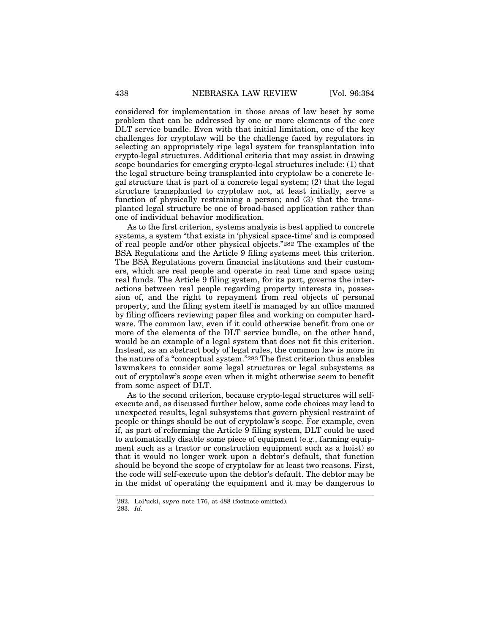considered for implementation in those areas of law beset by some problem that can be addressed by one or more elements of the core DLT service bundle. Even with that initial limitation, one of the key challenges for cryptolaw will be the challenge faced by regulators in selecting an appropriately ripe legal system for transplantation into crypto-legal structures. Additional criteria that may assist in drawing scope boundaries for emerging crypto-legal structures include: (1) that the legal structure being transplanted into cryptolaw be a concrete legal structure that is part of a concrete legal system; (2) that the legal structure transplanted to cryptolaw not, at least initially, serve a function of physically restraining a person; and (3) that the transplanted legal structure be one of broad-based application rather than one of individual behavior modification.

As to the first criterion, systems analysis is best applied to concrete systems, a system "that exists in 'physical space-time' and is composed of real people and/or other physical objects."282 The examples of the BSA Regulations and the Article 9 filing systems meet this criterion. The BSA Regulations govern financial institutions and their customers, which are real people and operate in real time and space using real funds. The Article 9 filing system, for its part, governs the interactions between real people regarding property interests in, possession of, and the right to repayment from real objects of personal property, and the filing system itself is managed by an office manned by filing officers reviewing paper files and working on computer hardware. The common law, even if it could otherwise benefit from one or more of the elements of the DLT service bundle, on the other hand, would be an example of a legal system that does not fit this criterion. Instead, as an abstract body of legal rules, the common law is more in the nature of a "conceptual system."283 The first criterion thus enables lawmakers to consider some legal structures or legal subsystems as out of cryptolaw's scope even when it might otherwise seem to benefit from some aspect of DLT.

As to the second criterion, because crypto-legal structures will selfexecute and, as discussed further below, some code choices may lead to unexpected results, legal subsystems that govern physical restraint of people or things should be out of cryptolaw's scope. For example, even if, as part of reforming the Article 9 filing system, DLT could be used to automatically disable some piece of equipment (e.g., farming equipment such as a tractor or construction equipment such as a hoist) so that it would no longer work upon a debtor's default, that function should be beyond the scope of cryptolaw for at least two reasons. First, the code will self-execute upon the debtor's default. The debtor may be in the midst of operating the equipment and it may be dangerous to

<sup>282.</sup> LoPucki, *supra* note 176, at 488 (footnote omitted).

<sup>283.</sup> *Id.*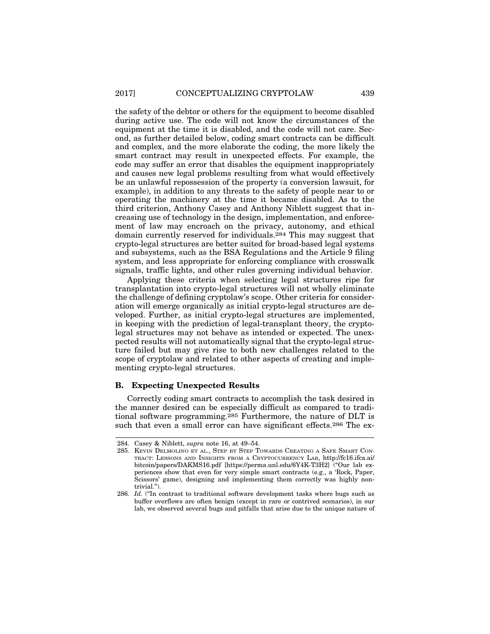the safety of the debtor or others for the equipment to become disabled during active use. The code will not know the circumstances of the equipment at the time it is disabled, and the code will not care. Second, as further detailed below, coding smart contracts can be difficult and complex, and the more elaborate the coding, the more likely the smart contract may result in unexpected effects. For example, the code may suffer an error that disables the equipment inappropriately and causes new legal problems resulting from what would effectively be an unlawful repossession of the property (a conversion lawsuit, for example), in addition to any threats to the safety of people near to or operating the machinery at the time it became disabled. As to the third criterion, Anthony Casey and Anthony Niblett suggest that increasing use of technology in the design, implementation, and enforcement of law may encroach on the privacy, autonomy, and ethical domain currently reserved for individuals.284 This may suggest that crypto-legal structures are better suited for broad-based legal systems and subsystems, such as the BSA Regulations and the Article 9 filing system, and less appropriate for enforcing compliance with crosswalk signals, traffic lights, and other rules governing individual behavior.

Applying these criteria when selecting legal structures ripe for transplantation into crypto-legal structures will not wholly eliminate the challenge of defining cryptolaw's scope. Other criteria for consideration will emerge organically as initial crypto-legal structures are developed. Further, as initial crypto-legal structures are implemented, in keeping with the prediction of legal-transplant theory, the cryptolegal structures may not behave as intended or expected. The unexpected results will not automatically signal that the crypto-legal structure failed but may give rise to both new challenges related to the scope of cryptolaw and related to other aspects of creating and implementing crypto-legal structures.

## **B. Expecting Unexpected Results**

Correctly coding smart contracts to accomplish the task desired in the manner desired can be especially difficult as compared to traditional software programming.285 Furthermore, the nature of DLT is such that even a small error can have significant effects.286 The ex-

<sup>284.</sup> Casey & Niblett, *supra* note 16, at 49–54.

<sup>285.</sup> KEVIN DELMOLINO ET AL., STEP BY STEP TOWARDS CREATING A SAFE SMART CON-TRACT: LESSONS AND INSIGHTS FROM A CRYPTOCURRENCY LAB, http://fc16.ifca.ai/ bitcoin/papers/DAKMS16.pdf [https://perma.unl.edu/6Y4K-T3H2] ("Our lab experiences show that even for very simple smart contracts (e.g., a 'Rock, Paper, Scissors' game), designing and implementing them correctly was highly nontrivial.").

<sup>286.</sup> *Id.* ("In contrast to traditional software development tasks where bugs such as buffer overflows are often benign (except in rare or contrived scenarios), in our lab, we observed several bugs and pitfalls that arise due to the unique nature of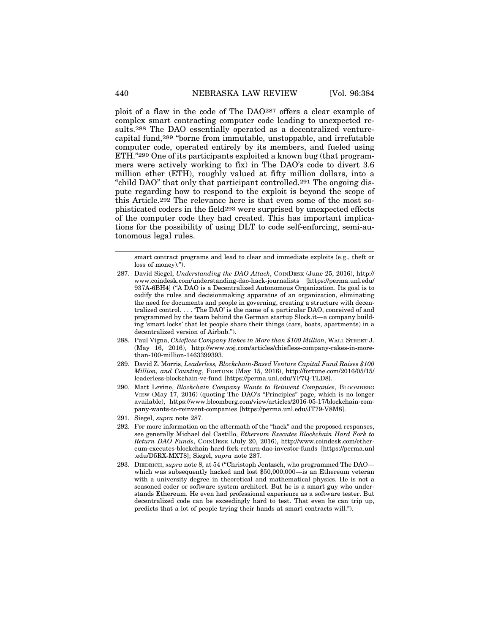ploit of a flaw in the code of The DAO287 offers a clear example of complex smart contracting computer code leading to unexpected results.288 The DAO essentially operated as a decentralized venturecapital fund,289 "borne from immutable, unstoppable, and irrefutable computer code, operated entirely by its members, and fueled using ETH."290 One of its participants exploited a known bug (that programmers were actively working to fix) in The DAO's code to divert 3.6 million ether (ETH), roughly valued at fifty million dollars, into a "child DAO" that only that participant controlled.291 The ongoing dispute regarding how to respond to the exploit is beyond the scope of this Article.292 The relevance here is that even some of the most sophisticated coders in the field293 were surprised by unexpected effects of the computer code they had created. This has important implications for the possibility of using DLT to code self-enforcing, semi-autonomous legal rules.

smart contract programs and lead to clear and immediate exploits (e.g., theft or loss of money).").

- 288. Paul Vigna, *Chiefless Company Rakes in More than \$100 Million*, WALL STREET J. (May 16, 2016), http://www.wsj.com/articles/chiefless-company-rakes-in-morethan-100-million-1463399393.
- 289. David Z. Morris, *Leaderless, Blockchain-Based Venture Capital Fund Raises \$100 Million, and Counting*, FORTUNE (May 15, 2016), http://fortune.com/2016/05/15/ leaderless-blockchain-vc-fund [https://perma.unl.edu/YF7Q-TLD8].
- 290. Matt Levine, *Blockchain Company Wants to Reinvent Companies*, BLOOMBERG VIEW (May 17, 2016) (quoting The DAO's "Principles" page, which is no longer available), https://www.bloomberg.com/view/articles/2016-05-17/blockchain-company-wants-to-reinvent-companies [https://perma.unl.edu/JT79-V8M8].
- 291. Siegel, *supra* note 287.
- 292. For more information on the aftermath of the "hack" and the proposed responses, see generally Michael del Castillo, *Ethereum Executes Blockchain Hard Fork to Return DAO Funds*, COINDESK (July 20, 2016), http://www.coindesk.com/ethereum-executes-blockchain-hard-fork-return-dao-investor-funds [https://perma.unl .edu/D5RX-MXT8]; Siegel, *supra* note 287.
- 293. DIEDRICH, *supra* note 8, at 54 ("Christoph Jentzsch, who programmed The DAO which was subsequently hacked and lost \$50,000,000—is an Ethereum veteran with a university degree in theoretical and mathematical physics. He is not a seasoned coder or software system architect. But he is a smart guy who understands Ethereum. He even had professional experience as a software tester. But decentralized code can be exceedingly hard to test. That even he can trip up, predicts that a lot of people trying their hands at smart contracts will.").

<sup>287.</sup> David Siegel, *Understanding the DAO Attack*, COINDESK (June 25, 2016), http:// www.coindesk.com/understanding-dao-hack-journalists [https://perma.unl.edu/ 937A-6BH4] ("A DAO is a Decentralized Autonomous Organization. Its goal is to codify the rules and decisionmaking apparatus of an organization, eliminating the need for documents and people in governing, creating a structure with decentralized control. . . . 'The DAO' is the name of a particular DAO, conceived of and programmed by the team behind the German startup Slock.it—a company building 'smart locks' that let people share their things (cars, boats, apartments) in a decentralized version of Airbnb.").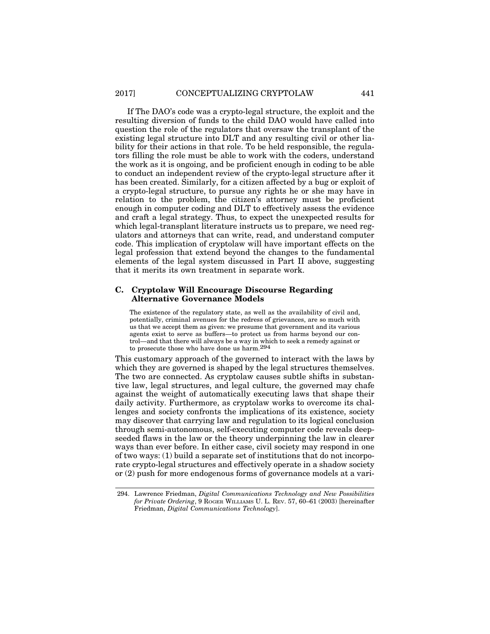If The DAO's code was a crypto-legal structure, the exploit and the resulting diversion of funds to the child DAO would have called into question the role of the regulators that oversaw the transplant of the existing legal structure into DLT and any resulting civil or other liability for their actions in that role. To be held responsible, the regulators filling the role must be able to work with the coders, understand the work as it is ongoing, and be proficient enough in coding to be able to conduct an independent review of the crypto-legal structure after it has been created. Similarly, for a citizen affected by a bug or exploit of a crypto-legal structure, to pursue any rights he or she may have in relation to the problem, the citizen's attorney must be proficient enough in computer coding and DLT to effectively assess the evidence and craft a legal strategy. Thus, to expect the unexpected results for which legal-transplant literature instructs us to prepare, we need regulators and attorneys that can write, read, and understand computer code. This implication of cryptolaw will have important effects on the legal profession that extend beyond the changes to the fundamental elements of the legal system discussed in Part II above, suggesting that it merits its own treatment in separate work.

## **C. Cryptolaw Will Encourage Discourse Regarding Alternative Governance Models**

The existence of the regulatory state, as well as the availability of civil and, potentially, criminal avenues for the redress of grievances, are so much with us that we accept them as given: we presume that government and its various agents exist to serve as buffers—to protect us from harms beyond our control—and that there will always be a way in which to seek a remedy against or to prosecute those who have done us harm.294

This customary approach of the governed to interact with the laws by which they are governed is shaped by the legal structures themselves. The two are connected. As cryptolaw causes subtle shifts in substantive law, legal structures, and legal culture, the governed may chafe against the weight of automatically executing laws that shape their daily activity. Furthermore, as cryptolaw works to overcome its challenges and society confronts the implications of its existence, society may discover that carrying law and regulation to its logical conclusion through semi-autonomous, self-executing computer code reveals deepseeded flaws in the law or the theory underpinning the law in clearer ways than ever before. In either case, civil society may respond in one of two ways: (1) build a separate set of institutions that do not incorporate crypto-legal structures and effectively operate in a shadow society or (2) push for more endogenous forms of governance models at a vari-

<sup>294.</sup> Lawrence Friedman, *Digital Communications Technology and New Possibilities for Private Ordering*, 9 ROGER WILLIAMS U. L. REV. 57, 60–61 (2003) [hereinafter Friedman, *Digital Communications Technology*].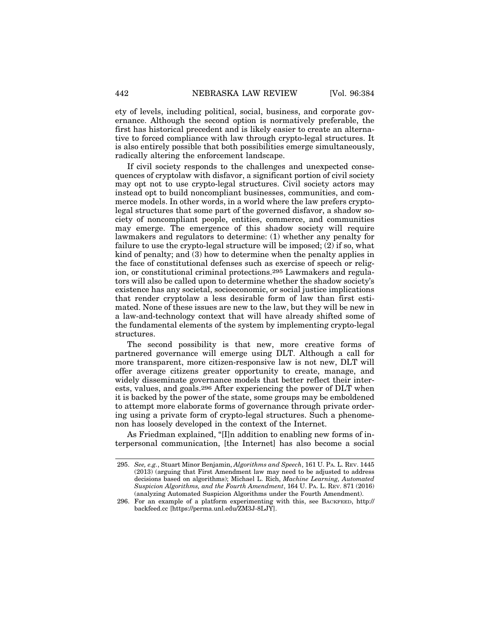ety of levels, including political, social, business, and corporate governance. Although the second option is normatively preferable, the first has historical precedent and is likely easier to create an alternative to forced compliance with law through crypto-legal structures. It is also entirely possible that both possibilities emerge simultaneously, radically altering the enforcement landscape.

If civil society responds to the challenges and unexpected consequences of cryptolaw with disfavor, a significant portion of civil society may opt not to use crypto-legal structures. Civil society actors may instead opt to build noncompliant businesses, communities, and commerce models. In other words, in a world where the law prefers cryptolegal structures that some part of the governed disfavor, a shadow society of noncompliant people, entities, commerce, and communities may emerge. The emergence of this shadow society will require lawmakers and regulators to determine: (1) whether any penalty for failure to use the crypto-legal structure will be imposed; (2) if so, what kind of penalty; and (3) how to determine when the penalty applies in the face of constitutional defenses such as exercise of speech or religion, or constitutional criminal protections.295 Lawmakers and regulators will also be called upon to determine whether the shadow society's existence has any societal, socioeconomic, or social justice implications that render cryptolaw a less desirable form of law than first estimated. None of these issues are new to the law, but they will be new in a law-and-technology context that will have already shifted some of the fundamental elements of the system by implementing crypto-legal structures.

The second possibility is that new, more creative forms of partnered governance will emerge using DLT. Although a call for more transparent, more citizen-responsive law is not new, DLT will offer average citizens greater opportunity to create, manage, and widely disseminate governance models that better reflect their interests, values, and goals.296 After experiencing the power of DLT when it is backed by the power of the state, some groups may be emboldened to attempt more elaborate forms of governance through private ordering using a private form of crypto-legal structures. Such a phenomenon has loosely developed in the context of the Internet.

As Friedman explained, "[I]n addition to enabling new forms of interpersonal communication, [the Internet] has also become a social

<sup>295.</sup> *See, e.g.*, Stuart Minor Benjamin, *Algorithms and Speech*, 161 U. PA. L. REV. 1445 (2013) (arguing that First Amendment law may need to be adjusted to address decisions based on algorithms); Michael L. Rich, *Machine Learning, Automated Suspicion Algorithms, and the Fourth Amendment*, 164 U. PA. L. REV. 871 (2016) (analyzing Automated Suspicion Algorithms under the Fourth Amendment).

<sup>296.</sup> For an example of a platform experimenting with this, see BACKFEED, http:// backfeed.cc [https://perma.unl.edu/ZM3J-8LJY].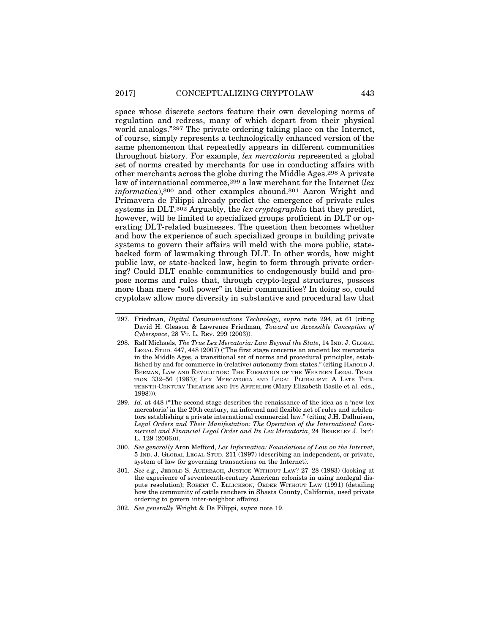space whose discrete sectors feature their own developing norms of regulation and redress, many of which depart from their physical world analogs."297 The private ordering taking place on the Internet, of course, simply represents a technologically enhanced version of the same phenomenon that repeatedly appears in different communities throughout history. For example, *lex mercatoria* represented a global set of norms created by merchants for use in conducting affairs with other merchants across the globe during the Middle Ages.298 A private law of international commerce,299 a law merchant for the Internet (*lex informatica*),300 and other examples abound.301 Aaron Wright and Primavera de Filippi already predict the emergence of private rules systems in DLT.302 Arguably, the *lex cryptographia* that they predict, however, will be limited to specialized groups proficient in DLT or operating DLT-related businesses. The question then becomes whether and how the experience of such specialized groups in building private systems to govern their affairs will meld with the more public, statebacked form of lawmaking through DLT. In other words, how might public law, or state-backed law, begin to form through private ordering? Could DLT enable communities to endogenously build and propose norms and rules that, through crypto-legal structures, possess more than mere "soft power" in their communities? In doing so, could cryptolaw allow more diversity in substantive and procedural law that

- 297. Friedman, *Digital Communications Technology, supra* note 294, at 61 (citing David H. Gleason & Lawrence Friedman*, Toward an Accessible Conception of Cyberspace*, 28 VT. L. REV. 299 (2003)).
- 298. Ralf Michaels, *The True Lex Mercatoria: Law Beyond the State*, 14 IND. J. GLOBAL LEGAL STUD. 447, 448 (2007) ("The first stage concerns an ancient lex mercatoria in the Middle Ages, a transitional set of norms and procedural principles, established by and for commerce in (relative) autonomy from states." (citing HAROLD J. BERMAN, LAW AND REVOLUTION: THE FORMATION OF THE WESTERN LEGAL TRADI-TION 332–56 (1983); LEX MERCATORIA AND LEGAL PLURALISM: A LATE THIR-TEENTH-CENTURY TREATISE AND ITS AFTERLIFE (Mary Elizabeth Basile et al. eds., 1998))).
- 299. *Id.* at 448 ("The second stage describes the renaissance of the idea as a 'new lex mercatoria' in the 20th century, an informal and flexible net of rules and arbitrators establishing a private international commercial law." (citing J.H. Dalhuisen, *Legal Orders and Their Manifestation: The Operation of the International Commercial and Financial Legal Order and Its Lex Mercatoria*, 24 BERKELEY J. INT'L  $L. 129 (2006)$
- 300. *See generally* Aron Mefford, *Lex Informatica: Foundations of Law on the Internet*, 5 IND. J. GLOBAL LEGAL STUD. 211 (1997) (describing an independent, or private, system of law for governing transactions on the Internet).
- 301. *See e.g.*, JEROLD S. AUERBACH, JUSTICE WITHOUT LAW? 27–28 (1983) (looking at the experience of seventeenth-century American colonists in using nonlegal dispute resolution); ROBERT C. ELLICKSON, ORDER WITHOUT LAW (1991) (detailing how the community of cattle ranchers in Shasta County, California, used private ordering to govern inter-neighbor affairs).
- 302. *See generally* Wright & De Filippi, *supra* note 19.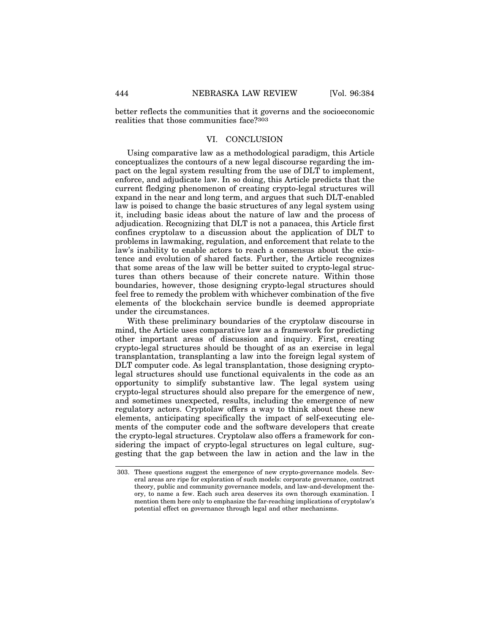better reflects the communities that it governs and the socioeconomic realities that those communities face?303

## VI. CONCLUSION

Using comparative law as a methodological paradigm, this Article conceptualizes the contours of a new legal discourse regarding the impact on the legal system resulting from the use of DLT to implement, enforce, and adjudicate law. In so doing, this Article predicts that the current fledging phenomenon of creating crypto-legal structures will expand in the near and long term, and argues that such DLT-enabled law is poised to change the basic structures of any legal system using it, including basic ideas about the nature of law and the process of adjudication. Recognizing that DLT is not a panacea, this Article first confines cryptolaw to a discussion about the application of DLT to problems in lawmaking, regulation, and enforcement that relate to the law's inability to enable actors to reach a consensus about the existence and evolution of shared facts. Further, the Article recognizes that some areas of the law will be better suited to crypto-legal structures than others because of their concrete nature. Within those boundaries, however, those designing crypto-legal structures should feel free to remedy the problem with whichever combination of the five elements of the blockchain service bundle is deemed appropriate under the circumstances.

With these preliminary boundaries of the cryptolaw discourse in mind, the Article uses comparative law as a framework for predicting other important areas of discussion and inquiry. First, creating crypto-legal structures should be thought of as an exercise in legal transplantation, transplanting a law into the foreign legal system of DLT computer code. As legal transplantation, those designing cryptolegal structures should use functional equivalents in the code as an opportunity to simplify substantive law. The legal system using crypto-legal structures should also prepare for the emergence of new, and sometimes unexpected, results, including the emergence of new regulatory actors. Cryptolaw offers a way to think about these new elements, anticipating specifically the impact of self-executing elements of the computer code and the software developers that create the crypto-legal structures. Cryptolaw also offers a framework for considering the impact of crypto-legal structures on legal culture, suggesting that the gap between the law in action and the law in the

<sup>303.</sup> These questions suggest the emergence of new crypto-governance models. Several areas are ripe for exploration of such models: corporate governance, contract theory, public and community governance models, and law-and-development theory, to name a few. Each such area deserves its own thorough examination. I mention them here only to emphasize the far-reaching implications of cryptolaw's potential effect on governance through legal and other mechanisms.